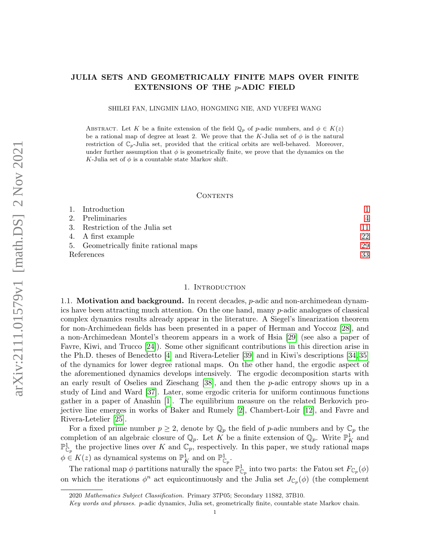# JULIA SETS AND GEOMETRICALLY FINITE MAPS OVER FINITE EXTENSIONS OF THE  $p$ -ADIC FIELD

SHILEI FAN, LINGMIN LIAO, HONGMING NIE, AND YUEFEI WANG

ABSTRACT. Let K be a finite extension of the field  $\mathbb{Q}_p$  of p-adic numbers, and  $\phi \in K(z)$ be a rational map of degree at least 2. We prove that the K-Julia set of  $\phi$  is the natural restriction of  $\mathbb{C}_p$ -Julia set, provided that the critical orbits are well-behaved. Moreover, under further assumption that  $\phi$  is geometrically finite, we prove that the dynamics on the K-Julia set of  $\phi$  is a countable state Markov shift.

# CONTENTS

|            | 1. Introduction                       |    |
|------------|---------------------------------------|----|
|            | 2. Preliminaries                      | 4  |
|            | 3. Restriction of the Julia set       | 11 |
|            | 4. A first example                    | 22 |
|            | 5. Geometrically finite rational maps | 29 |
| References | 33                                    |    |

# 1. INTRODUCTION

<span id="page-0-0"></span>1.1. Motivation and background. In recent decades, p-adic and non-archimedean dynamics have been attracting much attention. On the one hand, many p-adic analogues of classical complex dynamics results already appear in the literature. A Siegel's linearization theorem for non-Archimedean fields has been presented in a paper of Herman and Yoccoz [\[28\]](#page-33-0), and a non-Archimedean Montel's theorem appears in a work of Hsia [\[29\]](#page-33-1) (see also a paper of Favre, Kiwi, and Trucco [\[24\]](#page-33-2)). Some other significant contributions in this direction arise in the Ph.D. theses of Benedetto [\[4\]](#page-32-1) and Rivera-Letelier [\[39\]](#page-34-0) and in Kiwi's descriptions [\[34,](#page-33-3) [35\]](#page-33-4) of the dynamics for lower degree rational maps. On the other hand, the ergodic aspect of the aforementioned dynamics develops intensively. The ergodic decomposition starts with an early result of Oselies and Zieschang [\[38\]](#page-34-1), and then the p-adic entropy shows up in a study of Lind and Ward [\[37\]](#page-34-2). Later, some ergodic criteria for uniform continuous functions gather in a paper of Anashin [\[1\]](#page-32-2). The equilibrium measure on the related Berkovich projective line emerges in works of Baker and Rumely [\[2\]](#page-32-3), Chambert-Loir [\[12\]](#page-33-5), and Favre and Rivera-Letelier [\[25\]](#page-33-6).

For a fixed prime number  $p \geq 2$ , denote by  $\mathbb{Q}_p$  the field of p-adic numbers and by  $\mathbb{C}_p$  the completion of an algebraic closure of  $\mathbb{Q}_p$ . Let K be a finite extension of  $\mathbb{Q}_p$ . Write  $\mathbb{P}^1_K$  and  $\mathbb{P}^1_{\mathbb{C}_p}$  the projective lines over K and  $\mathbb{C}_p$ , respectively. In this paper, we study rational maps  $\phi \in K(z)$  as dynamical systems on  $\mathbb{P}^1_K$  and on  $\mathbb{P}^1_{\mathbb{C}_p}$ .

The rational map  $\phi$  partitions naturally the space  $\mathbb{P}^1_{\mathbb{C}_p}$  into two parts: the Fatou set  $F_{\mathbb{C}_p}(\phi)$ on which the iterations  $\phi^n$  act equicontinuously and the Julia set  $J_{\mathbb{C}_p}(\phi)$  (the complement

<sup>2020</sup> Mathematics Subject Classification. Primary 37P05; Secondary 11S82, 37B10.

Key words and phrases. p-adic dynamics, Julia set, geometrically finite, countable state Markov chain.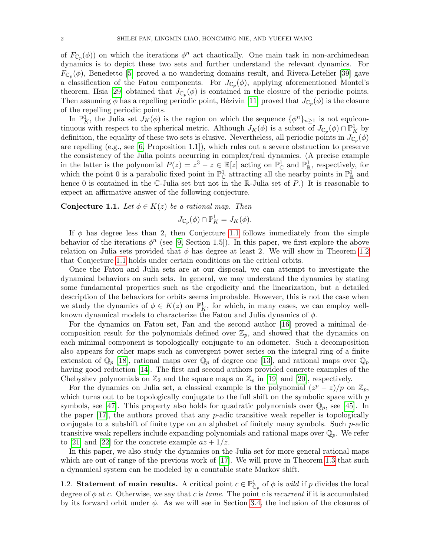of  $F_{\mathbb{C}_p}(\phi)$  on which the iterations  $\phi^n$  act chaotically. One main task in non-archimedean dynamics is to depict these two sets and further understand the relevant dynamics. For  $F_{\mathbb{C}_p}(\phi)$ , Benedetto [\[5\]](#page-32-4) proved a no wandering domains result, and Rivera-Letelier [\[39\]](#page-34-0) gave a classification of the Fatou components. For  $J_{\mathbb{C}_p}(\phi)$ , applying aforementioned Montel's theorem, Hsia [\[29\]](#page-33-1) obtained that  $J_{\mathbb{C}_p}(\phi)$  is contained in the closure of the periodic points. Then assuming  $\phi$  has a repelling periodic point, Bézivin [\[11\]](#page-33-7) proved that  $J_{\mathbb{C}_p}(\phi)$  is the closure of the repelling periodic points.

In  $\mathbb{P}^1_K$ , the Julia set  $J_K(\phi)$  is the region on which the sequence  $\{\phi^n\}_{n\geq 1}$  is not equicontinuous with respect to the spherical metric. Although  $J_K(\phi)$  is a subset of  $J_{\mathbb{C}_p}(\phi) \cap \mathbb{P}^1_K$  by definition, the equality of these two sets is elusive. Nevertheless, all periodic points in  $J_{\mathbb{C}_p}(\phi)$ are repelling (e.g., see [\[6,](#page-32-5) Proposition 1.1]), which rules out a severe obstruction to preserve the consistency of the Julia points occurring in complex/real dynamics. (A precise example in the latter is the polynomial  $P(z) = z^3 - z \in \mathbb{R}[z]$  acting on  $\mathbb{P}_{\mathbb{C}}^1$  and  $\mathbb{P}_{\mathbb{R}}^1$ , respectively, for which the point 0 is a parabolic fixed point in  $\mathbb{P}^1_{\mathbb{C}}$  attracting all the nearby points in  $\mathbb{P}^1_{\mathbb{R}}$  and hence 0 is contained in the C-Julia set but not in the R-Julia set of P.) It is reasonable to expect an affirmative answer of the following conjecture.

<span id="page-1-0"></span>**Conjecture 1.1.** Let  $\phi \in K(z)$  be a rational map. Then

$$
J_{\mathbb{C}_p}(\phi) \cap \mathbb{P}^1_K = J_K(\phi).
$$

If  $\phi$  has degree less than 2, then Conjecture [1.1](#page-1-0) follows immediately from the simple behavior of the iterations  $\phi^n$  (see [\[9,](#page-33-8) Section 1.5]). In this paper, we first explore the above relation on Julia sets provided that  $\phi$  has degree at least 2. We will show in Theorem [1.2](#page-2-0) that Conjecture [1.1](#page-1-0) holds under certain conditions on the critical orbits.

Once the Fatou and Julia sets are at our disposal, we can attempt to investigate the dynamical behaviors on such sets. In general, we may understand the dynamics by stating some fundamental properties such as the ergodicity and the linearization, but a detailed description of the behaviors for orbits seems improbable. However, this is not the case when we study the dynamics of  $\phi \in K(z)$  on  $\mathbb{P}^1_K$ , for which, in many cases, we can employ wellknown dynamical models to characterize the Fatou and Julia dynamics of  $\phi$ .

For the dynamics on Fatou set, Fan and the second author [\[16\]](#page-33-9) proved a minimal decomposition result for the polynomials defined over  $\mathbb{Z}_p$ , and showed that the dynamics on each minimal component is topologically conjugate to an odometer. Such a decomposition also appears for other maps such as convergent power series on the integral ring of a finite extension of  $\mathbb{Q}_p$  [\[18\]](#page-33-10), rational maps over  $\mathbb{Q}_p$  of degree one [\[13\]](#page-33-11), and rational maps over  $\mathbb{Q}_p$ having good reduction [\[14\]](#page-33-12). The first and second authors provided concrete examples of the Chebyshev polynomials on  $\mathbb{Z}_2$  and the square maps on  $\mathbb{Z}_p$  in [\[19\]](#page-33-13) and [\[20\]](#page-33-14), respectively.

For the dynamics on Julia set, a classical example is the polynomial  $(z^p - z)/p$  on  $\mathbb{Z}_p$ , which turns out to be topologically conjugate to the full shift on the symbolic space with  $p$ symbols, see [\[47\]](#page-34-3). This property also holds for quadratic polynomials over  $\mathbb{Q}_p$ , see [\[45\]](#page-34-4). In the paper [\[17\]](#page-33-15), the authors proved that any p-adic transitive weak repeller is topologically conjugate to a subshift of finite type on an alphabet of finitely many symbols. Such p-adic transitive weak repellers include expanding polynomials and rational maps over  $\mathbb{Q}_p$ . We refer to [\[21\]](#page-33-16) and [\[22\]](#page-33-17) for the concrete example  $az + 1/z$ .

In this paper, we also study the dynamics on the Julia set for more general rational maps which are out of range of the previous work of [\[17\]](#page-33-15). We will prove in Theorem [1.3](#page-2-1) that such a dynamical system can be modeled by a countable state Markov shift.

1.2. Statement of main results. A critical point  $c \in \mathbb{P}^1_{\mathbb{C}_p}$  of  $\phi$  is *wild* if p divides the local degree of  $\phi$  at c. Otherwise, we say that c is tame. The point c is recurrent if it is accumulated by its forward orbit under  $\phi$ . As we will see in Section [3.4,](#page-14-0) the inclusion of the closures of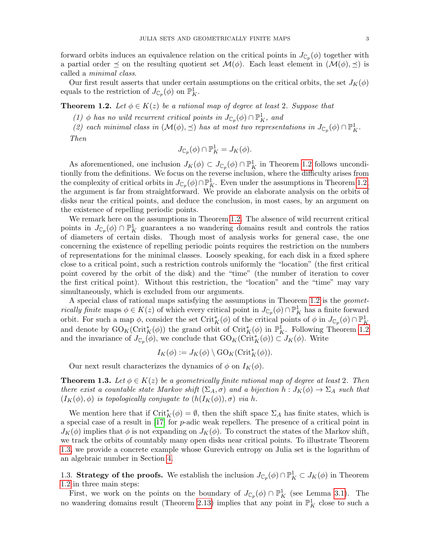forward orbits induces an equivalence relation on the critical points in  $J_{\mathbb{C}_p}(\phi)$  together with a partial order  $\preceq$  on the resulting quotient set  $\mathcal{M}(\phi)$ . Each least element in  $(\mathcal{M}(\phi), \preceq)$  is called a minimal class.

Our first result asserts that under certain assumptions on the critical orbits, the set  $J_K(\phi)$ equals to the restriction of  $J_{\mathbb{C}_p}(\phi)$  on  $\mathbb{P}^1_K$ .

<span id="page-2-0"></span>**Theorem 1.2.** Let  $\phi \in K(z)$  be a rational map of degree at least 2. Suppose that

(1)  $\phi$  has no wild recurrent critical points in  $J_{\mathbb{C}_p}(\phi) \cap \mathbb{P}^1_K$ , and

(2) each minimal class in  $(\mathcal{M}(\phi), \preceq)$  has at most two representations in  $J_{\mathbb{C}_p}(\phi) \cap \mathbb{P}^1_K$ . Then

$$
J_{\mathbb{C}_p}(\phi) \cap \mathbb{P}^1_K = J_K(\phi).
$$

As aforementioned, one inclusion  $J_K(\phi) \subset J_{\mathbb{C}_p}(\phi) \cap \mathbb{P}^1_K$  in Theorem [1.2](#page-2-0) follows unconditionlly from the definitions. We focus on the reverse inclusion, where the difficulty arises from the complexity of critical orbits in  $J_{\mathbb{C}_p}(\phi) \cap \mathbb{P}^1_K$ . Even under the assumptions in Theorem [1.2,](#page-2-0) the argument is far from straightforward. We provide an elaborate analysis on the orbits of disks near the critical points, and deduce the conclusion, in most cases, by an argument on the existence of repelling periodic points.

We remark here on the assumptions in Theorem [1.2.](#page-2-0) The absence of wild recurrent critical points in  $J_{\mathbb{C}_p}(\phi) \cap \mathbb{P}^1_K$  guarantees a no wandering domains result and controls the ratios of diameters of certain disks. Though most of analysis works for general case, the one concerning the existence of repelling periodic points requires the restriction on the numbers of representations for the minimal classes. Loosely speaking, for each disk in a fixed sphere close to a critical point, such a restriction controls uniformly the "location" (the first critical point covered by the orbit of the disk) and the "time" (the number of iteration to cover the first critical point). Without this restriction, the "location" and the "time" may vary simultaneously, which is excluded from our arguments.

A special class of rational maps satisfying the assumptions in Theorem [1.2](#page-2-0) is the geomet*rically finite* maps  $\phi \in K(z)$  of which every critical point in  $J_{\mathbb{C}_p}(\phi) \cap \mathbb{P}^1_K$  has a finite forward orbit. For such a map  $\phi$ , consider the set Crit<sub>K</sub> $(\phi)$  of the critical points of  $\phi$  in  $J_{\mathbb{C}_p}(\phi) \cap \mathbb{P}^1_K$ and denote by  $\mathrm{GO}_K(\mathrm{Crit}_K^*(\phi))$  the grand orbit of  $\mathrm{Crit}_K^*(\phi)$  in  $\mathbb{P}^1_K$ . Following Theorem [1.2](#page-2-0) and the invariance of  $J_{\mathbb{C}_p}(\phi)$ , we conclude that  $\mathrm{GO}_K(\mathrm{Crit}_K^*(\phi)) \subset J_K(\phi)$ . Write

$$
I_K(\phi) := J_K(\phi) \setminus \mathrm{GO}_K(\mathrm{Crit}_K^*(\phi)).
$$

Our next result characterizes the dynamics of  $\phi$  on  $I_K(\phi)$ .

<span id="page-2-1"></span>**Theorem 1.3.** Let  $\phi \in K(z)$  be a geometrically finite rational map of degree at least 2. Then there exist a countable state Markov shift  $(\Sigma_A, \sigma)$  and a bijection  $h : J_K(\phi) \to \Sigma_A$  such that  $(I_K(\phi), \phi)$  is topologically conjugate to  $(h(I_K(\phi)), \sigma)$  via h.

We mention here that if  $\mathrm{Crit}_K^*(\phi) = \emptyset$ , then the shift space  $\Sigma_A$  has finite states, which is a special case of a result in [\[17\]](#page-33-15) for p-adic weak repellers. The presence of a critical point in  $J_K(\phi)$  implies that  $\phi$  is not expanding on  $J_K(\phi)$ . To construct the states of the Markov shift, we track the orbits of countably many open disks near critical points. To illustrate Theorem [1.3,](#page-2-1) we provide a concrete example whose Gurevich entropy on Julia set is the logarithm of an algebraic number in Section [4.](#page-21-0)

1.3. Strategy of the proofs. We establish the inclusion  $J_{\mathbb{C}_p}(\phi) \cap \mathbb{P}^1_K \subset J_K(\phi)$  in Theorem [1.2](#page-2-0) in three main steps:

First, we work on the points on the boundary of  $J_{\mathbb{C}_p}(\phi) \cap \mathbb{P}^1_K$  (see Lemma [3.1\)](#page-10-1). The no wandering domains result (Theorem [2.13\)](#page-9-0) implies that any point in  $\mathbb{P}^1_K$  close to such a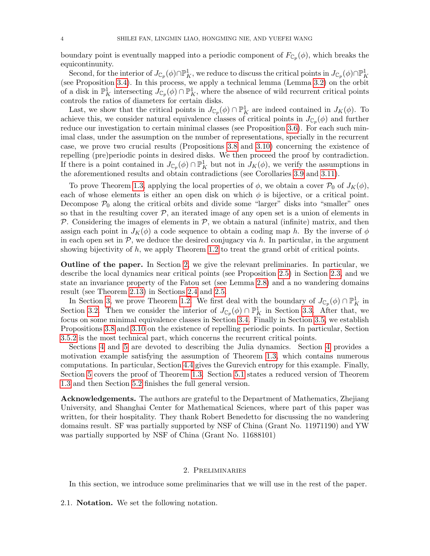boundary point is eventually mapped into a periodic component of  $F_{\mathbb{C}_p}(\phi)$ , which breaks the equicontinunity.

Second, for the interior of  $J_{\mathbb{C}_p}(\phi) \cap \mathbb{P}^1_K$ , we reduce to discuss the critical points in  $J_{\mathbb{C}_p}(\phi) \cap \mathbb{P}^1_K$ (see Proposition [3.4\)](#page-13-0). In this process, we apply a technical lemma (Lemma [3.2\)](#page-11-0) on the orbit of a disk in  $\mathbb{P}^1_K$  intersecting  $J_{\mathbb{C}_p}(\phi) \cap \mathbb{P}^1_K$ , where the absence of wild recurrent critical points controls the ratios of diameters for certain disks.

Last, we show that the critical points in  $J_{\mathbb{C}_p}(\phi) \cap \mathbb{P}^1_K$  are indeed contained in  $J_K(\phi)$ . To achieve this, we consider natural equivalence classes of critical points in  $J_{\mathbb{C}_p}(\phi)$  and further reduce our investigation to certain minimal classes (see Proposition [3.6\)](#page-14-1). For each such minimal class, under the assumption on the number of representations, specially in the recurrent case, we prove two crucial results (Propositions [3.8](#page-16-0) and [3.10\)](#page-18-0) concerning the existence of repelling (pre)periodic points in desired disks. We then proceed the proof by contradiction. If there is a point contained in  $J_{\mathbb{C}_p}(\phi) \cap \mathbb{P}^1_K$  but not in  $J_K(\phi)$ , we verify the assumptions in the aforementioned results and obtain contradictions (see Corollaries [3.9](#page-18-1) and [3.11\)](#page-20-0).

To prove Theorem [1.3,](#page-2-1) applying the local properties of  $\phi$ , we obtain a cover  $\mathcal{P}_0$  of  $J_K(\phi)$ , each of whose elements is either an open disk on which  $\phi$  is bijective, or a critical point. Decompose  $P_0$  along the critical orbits and divide some "larger" disks into "smaller" ones so that in the resulting cover  $P$ , an iterated image of any open set is a union of elements in P. Considering the images of elements in  $P$ , we obtain a natural (infinite) matrix, and then assign each point in  $J_K(\phi)$  a code sequence to obtain a coding map h. By the inverse of  $\phi$ in each open set in  $P$ , we deduce the desired conjugacy via h. In particular, in the argument showing bijectivity of  $h$ , we apply Theorem [1.2](#page-2-0) to treat the grand orbit of critical points.

Outline of the paper. In Section [2,](#page-3-0) we give the relevant preliminaries. In particular, we describe the local dynamics near critical points (see Proposition [2.5\)](#page-6-0) in Section [2.3,](#page-4-0) and we state an invariance property of the Fatou set (see Lemma [2.8\)](#page-8-0) and a no wandering domains result (see Theorem [2.13\)](#page-9-0) in Sections [2.4](#page-7-0) and [2.5.](#page-8-1)

In Section [3,](#page-10-0) we prove Theorem [1.2.](#page-2-0) We first deal with the boundary of  $J_{\mathbb{C}_p}(\phi) \cap \mathbb{P}^1_K$  in Section [3.2.](#page-10-2) Then we consider the interior of  $J_{\mathbb{C}_p}(\phi) \cap \mathbb{P}^1_K$  in Section [3.3.](#page-11-1) After that, we focus on some minimal equivalence classes in Section [3.4.](#page-14-0) Finally in Section [3.5,](#page-15-0) we establish Propositions [3.8](#page-16-0) and [3.10](#page-18-0) on the existence of repelling periodic points. In particular, Section [3.5.2](#page-16-1) is the most technical part, which concerns the recurrent critical points.

Sections [4](#page-21-0) and [5](#page-28-0) are devoted to describing the Julia dynamics. Section [4](#page-21-0) provides a motivation example satisfying the assumption of Theorem [1.3,](#page-2-1) which contains numerous computations. In particular, Section [4.4](#page-28-1) gives the Gurevich entropy for this example. Finally, Section [5](#page-28-0) covers the proof of Theorem [1.3.](#page-2-1) Section [5.1](#page-29-0) states a reduced version of Theorem [1.3](#page-2-1) and then Section [5.2](#page-32-6) finishes the full general version.

Acknowledgements. The authors are grateful to the Department of Mathematics, Zhejiang University, and Shanghai Center for Mathematical Sciences, where part of this paper was written, for their hospitality. They thank Robert Benedetto for discussing the no wandering domains result. SF was partially supported by NSF of China (Grant No. 11971190) and YW was partially supported by NSF of China (Grant No. 11688101)

# 2. Preliminaries

<span id="page-3-0"></span>In this section, we introduce some preliminaries that we will use in the rest of the paper.

2.1. Notation. We set the following notation.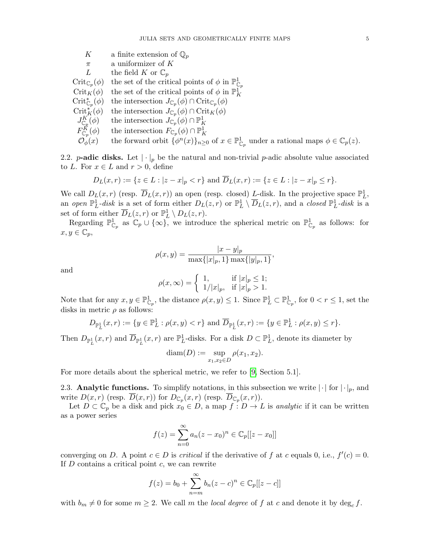- K a finite extension of  $\mathbb{Q}_p$
- $\pi$  a uniformizer of K
- L the field K or  $\mathbb{C}_p$

 $\mathrm{Crit}_{\mathbb{C}_p}(\phi)$ ( $\phi$ ) the set of the critical points of  $\phi$  in  $\mathbb{P}^1_{\mathbb{C}_p}$ 

- Crit<sub>K</sub> $(\phi)$  the set of the critical points of  $\phi$  in  $\mathbb{P}^1_K$
- $\mathrm{Crit}_{\mathbb{C}_p}^*$ ( $\phi$ ) the intersection  $J_{\mathbb{C}_p}(\phi) \cap \mathrm{Crit}_{\mathbb{C}_p}(\phi)$
- $\mathrm{Crit}_K^*(\phi)$  $K(K)$  the intersection  $J_{\mathbb{C}_p}(\phi) \cap \mathrm{Crit}_K(\phi)$
- $J^K_{\mathbb{C}_p}$  $(\phi)$  the intersection  $J_{\mathbb{C}_p}(\phi) \cap \mathbb{P}^1_K$
- $F_{\mathbb{C}p}^K$ ( $\phi$ ) the intersection  $F_{\mathbb{C}_p}(\phi) \cap \mathbb{P}^1_K$
- $\mathcal{O}_{\phi}^{\Gamma}(x)$  the forward orbit  $\{\phi^{n}(x)\}_{n\geq 0}$  of  $x \in \mathbb{P}^{1}_{\mathbb{C}_{p}}$  under a rational maps  $\phi \in \mathbb{C}_{p}(z)$ .

2.2. p-adic disks. Let  $|\cdot|_p$  be the natural and non-trivial p-adic absolute value associated to L. For  $x \in L$  and  $r > 0$ , define

$$
D_L(x,r) := \{ z \in L : |z - x|_p < r \} \text{ and } \overline{D}_L(x,r) := \{ z \in L : |z - x|_p \le r \}.
$$

We call  $D_L(x,r)$  (resp.  $\overline{D}_L(x,r)$ ) an open (resp. closed) L-disk. In the projective space  $\mathbb{P}^1_L$ , an open  $\mathbb{P}^1_L$ -disk is a set of form either  $D_L(z,r)$  or  $\mathbb{P}^1_L \setminus \overline{D}_L(z,r)$ , and a closed  $\mathbb{P}^1_L$ -disk is a set of form either  $\overline{D}_L(z,r)$  or  $\mathbb{P}^1_L \setminus D_L(z,r)$ .

Regarding  $\mathbb{P}^1_{\mathbb{C}_p}$  as  $\mathbb{C}_p \cup \{\infty\}$ , we introduce the spherical metric on  $\mathbb{P}^1_{\mathbb{C}_p}$  as follows: for  $x, y \in \mathbb{C}_p$ 

$$
\rho(x,y) = \frac{|x-y|_p}{\max\{|x|_p, 1\} \max\{|y|_p, 1\}},
$$

and

$$
\rho(x,\infty) = \begin{cases} 1, & \text{if } |x|_p \le 1; \\ 1/|x|_p, & \text{if } |x|_p > 1. \end{cases}
$$

Note that for any  $x, y \in \mathbb{P}^1_{\mathbb{C}_p}$ , the distance  $\rho(x, y) \leq 1$ . Since  $\mathbb{P}^1_L \subset \mathbb{P}^1_{\mathbb{C}_p}$ , for  $0 < r \leq 1$ , set the disks in metric  $\rho$  as follows:

$$
D_{\mathbb{P}_L^1}(x,r) := \{ y \in \mathbb{P}_L^1 : \rho(x,y) < r \} \text{ and } \overline{D}_{\mathbb{P}_L^1}(x,r) := \{ y \in \mathbb{P}_L^1 : \rho(x,y) \le r \}.
$$

Then  $D_{\mathbb{P}_L^1}(x,r)$  and  $\overline{D}_{\mathbb{P}_L^1}(x,r)$  are  $\mathbb{P}_L^1$ -disks. For a disk  $D \subset \mathbb{P}_L^1$ , denote its diameter by

$$
diam(D) := \sup_{x_1, x_2 \in D} \rho(x_1, x_2).
$$

For more details about the spherical metric, we refer to [\[9,](#page-33-8) Section 5.1].

<span id="page-4-0"></span>2.3. Analytic functions. To simplify notations, in this subsection we write  $|\cdot|$  for  $|\cdot|_p$ , and write  $D(x,r)$  (resp.  $D(x,r)$ ) for  $D_{\mathbb{C}_p}(x,r)$  (resp.  $D_{\mathbb{C}_p}(x,r)$ ).

Let  $D \subset \mathbb{C}_p$  be a disk and pick  $x_0 \in D$ , a map  $f: D \to L$  is *analytic* if it can be written as a power series

$$
f(z) = \sum_{n=0}^{\infty} a_n (z - x_0)^n \in \mathbb{C}_p[[z - x_0]]
$$

converging on D. A point  $c \in D$  is *critical* if the derivative of f at c equals 0, i.e.,  $f'(c) = 0$ . If  $D$  contains a critical point  $c$ , we can rewrite

$$
f(z) = b_0 + \sum_{n=m}^{\infty} b_n(z-c)^n \in \mathbb{C}_p[[z-c]]
$$

with  $b_m \neq 0$  for some  $m \geq 2$ . We call m the local degree of f at c and denote it by deg<sub>c</sub> f.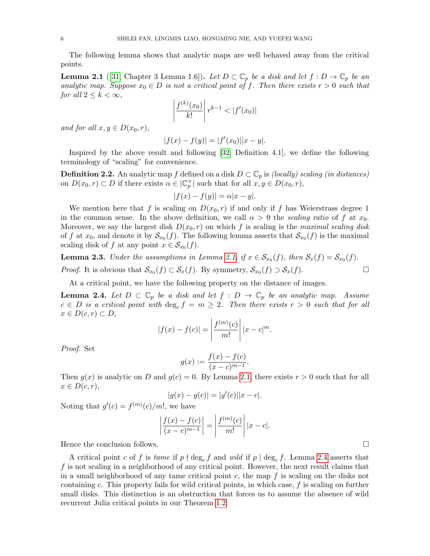The following lemma shows that analytic maps are well behaved away from the critical points.

<span id="page-5-0"></span>**Lemma 2.1** ([\[31,](#page-33-18) Chapter 3 Lemma 1.6]). Let  $D \subset \mathbb{C}_p$  be a disk and let  $f : D \to \mathbb{C}_p$  be an analytic map. Suppose  $x_0 \in D$  is not a critical point of f. Then there exists  $r > 0$  such that for all  $2 \leq k < \infty$ ,

$$
\left| \frac{f^{(k)}(x_0)}{k!} \right| r^{k-1} < |f'(x_0)|
$$

and for all  $x, y \in D(x_0, r)$ ,

$$
|f(x) - f(y)| = |f'(x_0)||x - y|.
$$

Inspired by the above result and following [\[32,](#page-33-19) Definition 4.1], we define the following terminology of "scaling" for convenience.

**Definition 2.2.** An analytic map f defined on a disk  $D \subset \mathbb{C}_p$  is *(locally) scaling (in distances)* on  $D(x_0,r) \subset D$  if there exists  $\alpha \in |\mathbb{C}_p^{\times}|$  such that for all  $x, y \in D(x_0,r)$ ,

$$
|f(x) - f(y)| = \alpha |x - y|.
$$

We mention here that f is scaling on  $D(x_0, r)$  if and only if f has Weierstrass degree 1 in the common sense. In the above definition, we call  $\alpha > 0$  the scaling ratio of f at  $x_0$ . Moreover, we say the largest disk  $D(x_0, r)$  on which f is scaling is the maximal scaling disk of f at  $x_0$ , and denote it by  $\mathcal{S}_{x_0}(f)$ . The following lemma asserts that  $\mathcal{S}_{x_0}(f)$  is the maximal scaling disk of f at any point  $x \in S_{x_0}(f)$ .

**Lemma 2.3.** Under the assumptions in Lemma [2.1,](#page-5-0) if  $x \in S_{x_0}(f)$ , then  $S_x(f) = S_{x_0}(f)$ . *Proof.* It is obvious that  $S_{x_0}(f) \subset S_x(f)$ . By symmetry,  $S_{x_0}(f) \supset S_x(f)$ .

At a critical point, we have the following property on the distance of images.

<span id="page-5-1"></span>**Lemma 2.4.** Let  $D \subset \mathbb{C}_p$  be a disk and let  $f : D \to \mathbb{C}_p$  be an analytic map. Assume  $c \in D$  is a critical point with  $\deg_c f = m \geq 2$ . Then there exists  $r > 0$  such that for all  $x \in D(c, r) \subset D$ ,

$$
|f(x) - f(c)| = \left| \frac{f^{(m)}(c)}{m!} \right| |x - c|^m.
$$

Proof. Set

$$
g(x) := \frac{f(x) - f(c)}{(x - c)^{m-1}}.
$$

Then  $g(x)$  is analytic on D and  $g(c) = 0$ . By Lemma [2.1,](#page-5-0) there exists  $r > 0$  such that for all  $x \in D(c,r),$ 

$$
|g(x) - g(c)| = |g'(c)||x - c|.
$$

Noting that  $g'(c) = f^{(m)}(c)/m!$ , we have

$$
\left| \frac{f(x) - f(c)}{(x - c)^{m-1}} \right| = \left| \frac{f^{(m)}(c)}{m!} \right| |x - c|.
$$

Hence the conclusion follows.

A critical point c of f is tame if  $p \nmid \deg_c f$  and wild if  $p \mid \deg_c f$ . Lemma [2.4](#page-5-1) asserts that f is not scaling in a neighborhood of any critical point. However, the next result claims that in a small neighborhood of any tame critical point c, the map  $f$  is scaling on the disks not containing c. This property fails for wild critical points, in which case,  $f$  is scaling on further small disks. This distinction is an obstruction that forces us to assume the absence of wild recurrent Julia critical points in our Theorem [1.2.](#page-2-0)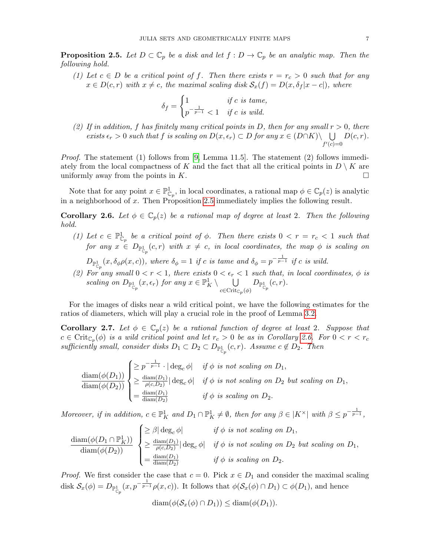<span id="page-6-0"></span>**Proposition 2.5.** Let  $D \subset \mathbb{C}_p$  be a disk and let  $f : D \to \mathbb{C}_p$  be an analytic map. Then the following hold.

(1) Let  $c \in D$  be a critical point of f. Then there exists  $r = r_c > 0$  such that for any  $x \in D(c, r)$  with  $x \neq c$ , the maximal scaling disk  $S_x(f) = D(x, \delta_f |x - c|)$ , where

$$
\delta_f = \begin{cases} 1 & \text{if } c \text{ is tame,} \\ p^{-\frac{1}{p-1}} < 1 & \text{if } c \text{ is wild.} \end{cases}
$$

(2) If in addition, f has finitely many critical points in D, then for any small  $r > 0$ , there exists  $\epsilon_r > 0$  such that f is scaling on  $D(x, \epsilon_r) \subset D$  for any  $x \in (D \cap K) \setminus \bigcup D(c, r)$ .  $f'(c)=0$ 

*Proof.* The statement (1) follows from [\[9,](#page-33-8) Lemma 11.5]. The statement (2) follows immediately from the local compactness of K and the fact that all the critical points in  $D \setminus K$  are uniformly away from the points in  $K$ .

Note that for any point  $x \in \mathbb{P}^1_{\mathbb{C}_p}$ , in local coordinates, a rational map  $\phi \in \mathbb{C}_p(z)$  is analytic in a neighborhood of x. Then Proposition [2.5](#page-6-0) immediately implies the following result.

<span id="page-6-1"></span>**Corollary 2.6.** Let  $\phi \in \mathbb{C}_p(z)$  be a rational map of degree at least 2. Then the following hold.

- (1) Let  $c \in \mathbb{P}^1_{\mathbb{C}_p}$  be a critical point of  $\phi$ . Then there exists  $0 < r = r_c < 1$  such that  $\emph{for any $x$} \in D_{\mathbb{P}^1_{\mathbb{C}_p}}(c,r)$ with $x$ \neq$ c$, in local coordinates, the map $\phi$ is scaling on $x$}$  $D_{\mathbb{P}^1_{\mathbb{C}_p}}(x, \delta_{\phi}\rho(x, c)),$  where  $\delta_{\phi} = 1$  if c is tame and  $\delta_{\phi} = p^{-\frac{1}{p-1}}$  if c is wild.
- (2) For any small  $0 < r < 1$ , there exists  $0 < \epsilon_r < 1$  such that, in local coordinates,  $\phi$  is scaling on  $D_{\mathbb{P}^1_{\mathbb{C}_p}}(x,\epsilon_r)$  for any  $x \in \mathbb{P}^1_K \setminus \bigcup_{x \in C_{\text{init}}}$  $c \in \mathrm{Crit}_{{\mathbb C} p}(\phi)$  $D_{\mathbb{P}_{\mathbb{C}_p}^1}(c,r).$

For the images of disks near a wild critical point, we have the following estimates for the ratios of diameters, which will play a crucial role in the proof of Lemma [3.2.](#page-11-0)

<span id="page-6-2"></span>**Corollary 2.7.** Let  $\phi \in \mathbb{C}_p(z)$  be a rational function of degree at least 2. Suppose that  $c \in \operatorname{Crit}_{\mathbb{C}_p}(\phi)$  is a wild critical point and let  $r_c > 0$  be as in Corollary [2.6.](#page-6-1) For  $0 < r < r_c$ sufficiently small, consider disks  $D_1 \subset D_2 \subset D_{\mathbb{P}^1_{\mathbb{C}_p}}(c,r)$ . Assume  $c \notin D_2$ . Then

$$
\frac{\text{diam}(\phi(D_1))}{\text{diam}(\phi(D_2))} \begin{cases} \geq p^{-\frac{1}{p-1}} \cdot |\deg_c \phi| & \text{if } \phi \text{ is not scaling on } D_1, \\ \geq \frac{\text{diam}(D_1)}{\rho(c, D_2)} |\deg_c \phi| & \text{if } \phi \text{ is not scaling on } D_2 \text{ but scaling on } D_1, \\ = \frac{\text{diam}(D_1)}{\text{diam}(D_2)} & \text{if } \phi \text{ is scaling on } D_2. \end{cases}
$$

Moreover, if in addition,  $c \in \mathbb{P}^1_K$  and  $D_1 \cap \mathbb{P}^1_K \neq \emptyset$ , then for any  $\beta \in |K^\times|$  with  $\beta \leq p^{-\frac{1}{p-1}}$ ,

$$
\frac{\text{diam}(\phi(D_1 \cap \mathbb{P}^1_K))}{\text{diam}(\phi(D_2))} \begin{cases} \geq \beta |\deg_c \phi| & \text{if } \phi \text{ is not scaling on } D_1, \\ \geq \frac{\text{diam}(D_1)}{\rho(c, D_2)} |\deg_c \phi| & \text{if } \phi \text{ is not scaling on } D_2 \text{ but scaling on } D_1, \\ = \frac{\text{diam}(D_1)}{\text{diam}(D_2)} & \text{if } \phi \text{ is scaling on } D_2. \end{cases}
$$

*Proof.* We first consider the case that  $c = 0$ . Pick  $x \in D_1$  and consider the maximal scaling disk  $S_x(\phi) = D_{\mathbb{P}^1_{\mathbb{C}_p}}(x, p^{-\frac{1}{p-1}} \rho(x, c))$ . It follows that  $\phi(S_x(\phi) \cap D_1) \subset \phi(D_1)$ , and hence

$$
\operatorname{diam}(\phi(\mathcal{S}_x(\phi) \cap D_1)) \leq \operatorname{diam}(\phi(D_1)).
$$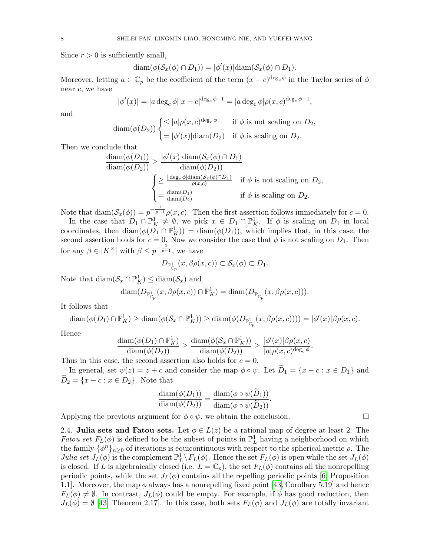Since  $r > 0$  is sufficiently small,

$$
\operatorname{diam}(\phi(\mathcal{S}_x(\phi) \cap D_1)) = |\phi'(x)| \operatorname{diam}(\mathcal{S}_x(\phi) \cap D_1).
$$

Moreover, letting  $a \in \mathbb{C}_p$  be the coefficient of the term  $(x-c)^{\deg_c \phi}$  in the Taylor series of  $\phi$ near  $c$ , we have

$$
|\phi'(x)| = |a \deg_c \phi||x - c|^{deg_c \phi - 1} = |a \deg_c \phi| \rho(x, c)^{deg_c \phi - 1},
$$

and

$$
\text{diam}(\phi(D_2))\begin{cases} \leq |a|\rho(x,c)^{\deg_c \phi} & \text{if } \phi \text{ is not scaling on } D_2, \\ = |\phi'(x)|\text{diam}(D_2) & \text{if } \phi \text{ is scaling on } D_2. \end{cases}
$$

Then we conclude that

$$
\frac{\text{diam}(\phi(D_1))}{\text{diam}(\phi(D_2))} \ge \frac{|\phi'(x)|\text{diam}(\mathcal{S}_x(\phi) \cap D_1)}{\text{diam}(\phi(D_2))}
$$
\n
$$
\begin{cases}\n\ge \frac{|\deg_c \phi| \text{diam}(\mathcal{S}_x(\phi) \cap D_1)}{\rho(x,c)} & \text{if } \phi \text{ is not scaling on } D_2, \\
= \frac{\text{diam}(D_1)}{\text{diam}(D_2)} & \text{if } \phi \text{ is scaling on } D_2.\n\end{cases}
$$

Note that  $\text{diam}(\mathcal{S}_x(\phi)) = p^{-\frac{1}{p-1}} \rho(x, c)$ . Then the first assertion follows immediately for  $c = 0$ .

In the case that  $D_1 \cap \mathbb{P}^1_K \neq \emptyset$ , we pick  $x \in D_1 \cap \mathbb{P}^1_K$ . If  $\phi$  is scaling on  $D_1$  in local coordinates, then  $\text{diam}(\phi(\overline{D}_1 \cap \mathbb{P}_K^1)) = \text{diam}(\phi(D_1)),$  which implies that, in this case, the second assertion holds for  $c = 0$ . Now we consider the case that  $\phi$  is not scaling on  $D_1$ . Then for any  $\beta \in |K^{\times}|$  with  $\beta \leq p^{-\frac{1}{p-1}}$ , we have

$$
D_{\mathbb{P}^1_{\mathbb{C}_p}}(x,\beta\rho(x,c))\subset \mathcal{S}_x(\phi)\subset D_1.
$$

Note that  $\text{diam}(\mathcal{S}_x \cap \mathbb{P}^1_K) \leq \text{diam}(\mathcal{S}_x)$  and

$$
\text{diam}(D_{\mathbb{P}_{\mathbb{C}_p}^1}(x,\beta\rho(x,c))\cap\mathbb{P}_K^1)=\text{diam}(D_{\mathbb{P}_{\mathbb{C}_p}^1}(x,\beta\rho(x,c))).
$$

It follows that

$$
\text{diam}(\phi(D_1) \cap \mathbb{P}_K^1) \ge \text{diam}(\phi(\mathcal{S}_x \cap \mathbb{P}_K^1)) \ge \text{diam}(\phi(D_{\mathbb{P}_{\mathbb{C}_p}^1}(x, \beta \rho(x, c)))) = |\phi'(x)| \beta \rho(x, c).
$$

Hence

$$
\frac{\text{diam}(\phi(D_1) \cap \mathbb{P}_K^1)}{\text{diam}(\phi(D_2))} \ge \frac{\text{diam}(\phi(\mathcal{S}_x \cap \mathbb{P}_K^1))}{\text{diam}(\phi(D_2))} \ge \frac{|\phi'(x)| \beta \rho(x, c)}{|a| \rho(x, c)^{\text{deg}_c \phi}}
$$

Thus in this case, the second assertion also holds for  $c = 0$ .

In general, set  $\psi(z) = z + c$  and consider the map  $\phi \circ \psi$ . Let  $\widetilde{D}_1 = \{x - c : x \in D_1\}$  and  $\widetilde{D}_2 = \{x - c : x \in D_2\}.$  Note that

$$
\frac{\text{diam}(\phi(D_1))}{\text{diam}(\phi(D_2))} = \frac{\text{diam}(\phi \circ \psi(D_1))}{\text{diam}(\phi \circ \psi(\widetilde{D}_2))}.
$$

Applying the previous argument for  $\phi \circ \psi$ , we obtain the conclusion.

<span id="page-7-0"></span>2.4. Julia sets and Fatou sets. Let  $\phi \in L(z)$  be a rational map of degree at least 2. The Fatou set  $F_L(\phi)$  is defined to be the subset of points in  $\mathbb{P}^1_L$  having a neighborhood on which the family  $\{\phi^n\}_{n\geq 0}$  of iterations is equicontinuous with respect to the spherical metric  $\rho$ . The Julia set  $J_L(\phi)$  is the complement  $\mathbb{P}_L^1 \setminus F_L(\phi)$ . Hence the set  $F_L(\phi)$  is open while the set  $J_L(\phi)$ is closed. If L is algebraically closed (i.e.  $L = \mathbb{C}_p$ ), the set  $F_L(\phi)$  contains all the nonrepelling periodic points, while the set  $J_L(\phi)$  contains all the repelling periodic points [\[6,](#page-32-5) Proposition 1.1. Moreover, the map  $\phi$  always has a nonrepelling fixed point [\[43,](#page-34-5) Corollary 5.19] and hence  $F_L(\phi) \neq \emptyset$ . In contrast,  $J_L(\phi)$  could be empty. For example, if  $\phi$  has good reduction, then  $J_L(\phi) = \emptyset$  [\[43,](#page-34-5) Theorem 2,17]. In this case, both sets  $F_L(\phi)$  and  $J_L(\phi)$  are totally invariant

.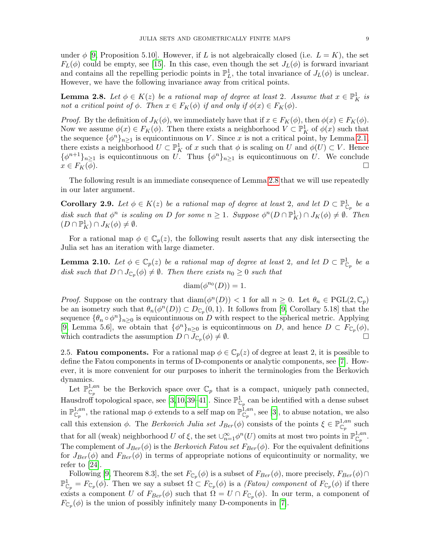under  $\phi$  [\[9,](#page-33-8) Proposition 5.10]. However, if L is not algebraically closed (i.e.  $L = K$ ), the set  $F_L(\phi)$  could be empty, see [\[15\]](#page-33-20). In this case, even though the set  $J_L(\phi)$  is forward invariant and contains all the repelling periodic points in  $\mathbb{P}^1_L$ , the total invariance of  $J_L(\phi)$  is unclear. However, we have the following invariance away from critical points.

<span id="page-8-0"></span>**Lemma 2.8.** Let  $\phi \in K(z)$  be a rational map of degree at least 2. Assume that  $x \in \mathbb{P}^1_K$  is not a critical point of  $\phi$ . Then  $x \in F_K(\phi)$  if and only if  $\phi(x) \in F_K(\phi)$ .

*Proof.* By the definition of  $J_K(\phi)$ , we immediately have that if  $x \in F_K(\phi)$ , then  $\phi(x) \in F_K(\phi)$ . Now we assume  $\phi(x) \in F_K(\phi)$ . Then there exists a neighborhood  $V \subset \mathbb{P}^1_K$  of  $\phi(x)$  such that the sequence  $\{\phi^n\}_{n\geq 1}$  is equicontinuous on V. Since x is not a critical point, by Lemma [2.1,](#page-5-0) there exists a neighborhood  $U \subset \mathbb{P}^1_K$  of x such that  $\phi$  is scaling on U and  $\phi(U) \subset V$ . Hence  $\{\phi^{n+1}\}_{n\geq 1}$  is equicontinuous on U. Thus  $\{\phi^n\}_{n\geq 1}$  is equicontinuous on U. We conclude  $x \in F_K(\overline{\phi})$ .

The following result is an immediate consequence of Lemma [2.8](#page-8-0) that we will use repeatedly in our later argument.

<span id="page-8-3"></span>**Corollary 2.9.** Let  $\phi \in K(z)$  be a rational map of degree at least 2, and let  $D \subset \mathbb{P}^1_{\mathbb{C}_p}$  be a disk such that  $\phi^n$  is scaling on D for some  $n \geq 1$ . Suppose  $\phi^n(D \cap \mathbb{P}^1_K) \cap J_K(\phi) \neq \emptyset$ . Then  $(D \cap \mathbb{P}^1_K) \cap J_K(\phi) \neq \emptyset.$ 

For a rational map  $\phi \in \mathbb{C}_p(z)$ , the following result asserts that any disk intersecting the Julia set has an iteration with large diameter.

<span id="page-8-2"></span>**Lemma 2.10.** Let  $\phi \in \mathbb{C}_p(z)$  be a rational map of degree at least 2, and let  $D \subset \mathbb{P}^1_{\mathbb{C}_p}$  be a disk such that  $D \cap J_{\mathbb{C}_p}(\phi) \neq \emptyset$ . Then there exists  $n_0 \geq 0$  such that

$$
\text{diam}(\phi^{n_0}(D)) = 1.
$$

*Proof.* Suppose on the contrary that  $\text{diam}(\phi^n(D)) < 1$  for all  $n \geq 0$ . Let  $\theta_n \in \text{PGL}(2, \mathbb{C}_p)$ be an isometry such that  $\theta_n(\phi^n(D)) \subset D_{\mathbb{C}_p}(0,1)$ . It follows from [\[9,](#page-33-8) Corollary 5.18] that the sequence  $\{\theta_n \circ \phi^n\}_{n\geq 0}$  is equicontinuous on D with respect to the spherical metric. Applying [\[9,](#page-33-8) Lemma 5.6], we obtain that  $\{\phi^n\}_{n\geq 0}$  is equicontinuous on D, and hence  $D \subset F_{\mathbb{C}_p}(\phi)$ , which contradicts the assumption  $D \cap \overline{J}_{\mathbb{C}_p}(\phi) \neq \emptyset$ .

<span id="page-8-1"></span>2.5. **Fatou components.** For a rational map  $\phi \in \mathbb{C}_p(z)$  of degree at least 2, it is possible to define the Fatou components in terms of D-components or analytic components, see [\[7\]](#page-32-7). However, it is more convenient for our purposes to inherit the terminologies from the Berkovich dynamics.

Let  $\mathbb{P}^{1,an}_{\mathbb{C}_p}$  be the Berkovich space over  $\mathbb{C}_p$  that is a compact, uniquely path connected, Hausdroff topological space, see [\[3,](#page-32-8)[10,](#page-33-21)[39–](#page-34-0)[41\]](#page-34-6). Since  $\mathbb{P}^1_{\mathbb{C}_p}$  can be identified with a dense subset in  $\mathbb{P}^{1,an}_{\mathbb{C}_p}$ , the rational map  $\phi$  extends to a self map on  $\mathbb{P}^{1,an}_{\mathbb{C}_p}$ , see [\[3\]](#page-32-8), to abuse notation, we also call this extension  $\phi$ . The *Berkovich Julia set*  $J_{Ber}(\phi)$  consists of the points  $\xi \in \mathbb{P}_{\mathbb{C}_p}^{1,an}$  such that for all (weak) neighborhood U of  $\xi$ , the set  $\cup_{n=1}^{\infty} \phi^n(U)$  omits at most two points in  $\mathbb{P}^{1,an}_{\mathbb{C}_p}$ . The complement of  $J_{Ber}(\phi)$  is the *Berkovich Fatou set*  $F_{Ber}(\phi)$ . For the equivalent definitions for  $J_{Ber}(\phi)$  and  $F_{Ber}(\phi)$  in terms of appropriate notions of equicontinuity or normality, we refer to [\[24\]](#page-33-2).

Following [\[9,](#page-33-8) Theorem 8.3], the set  $F_{\mathbb{C}_p}(\phi)$  is a subset of  $F_{Ber}(\phi)$ , more precisely,  $F_{Ber}(\phi) \cap$  $\mathbb{P}^1_{\mathbb{C}_p} = F_{\mathbb{C}_p}(\phi)$ . Then we say a subset  $\Omega \subset F_{\mathbb{C}_p}(\phi)$  is a *(Fatou) component* of  $F_{\mathbb{C}_p}(\phi)$  if there exists a component U of  $F_{Ber}(\phi)$  such that  $\Omega = U \cap F_{\mathbb{C}_p}(\phi)$ . In our term, a component of  $F_{\mathbb{C}_p}(\phi)$  is the union of possibly infinitely many D-components in [\[7\]](#page-32-7).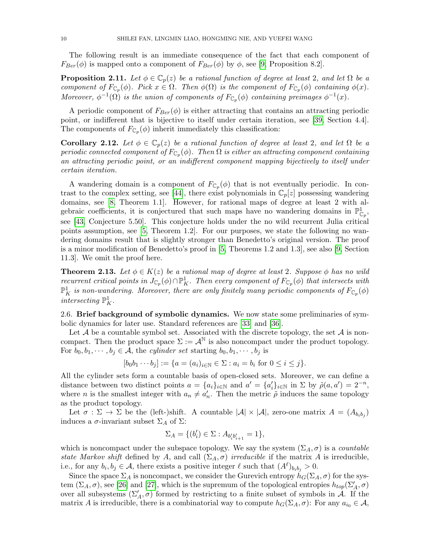The following result is an immediate consequence of the fact that each component of  $F_{Ber}(\phi)$  is mapped onto a component of  $F_{Ber}(\phi)$  by  $\phi$ , see [\[9,](#page-33-8) Proposition 8.2].

**Proposition 2.11.** Let  $\phi \in \mathbb{C}_p(z)$  be a rational function of degree at least 2, and let  $\Omega$  be a component of  $F_{\mathbb{C}_p}(\phi)$ . Pick  $x \in \Omega$ . Then  $\phi(\Omega)$  is the component of  $F_{\mathbb{C}_p}(\phi)$  containing  $\phi(x)$ . Moreover,  $\phi^{-1}(\Omega)$  is the union of components of  $F_{\mathbb{C}_p}(\phi)$  containing preimages  $\phi^{-1}(x)$ .

A periodic component of  $F_{Ber}(\phi)$  is either attracting that contains an attracting periodic point, or indifferent that is bijective to itself under certain iteration, see [\[39,](#page-34-0) Section 4.4]. The components of  $F_{\mathbb{C}_p}(\phi)$  inherit immediately this classification:

<span id="page-9-1"></span>Corollary 2.12. Let  $\phi \in \mathbb{C}_p(z)$  be a rational function of degree at least 2, and let  $\Omega$  be a periodic connected component of  $F_{\mathbb{C}_p}(\phi)$ . Then  $\Omega$  is either an attracting component containing an attracting periodic point, or an indifferent component mapping bijectively to itself under certain iteration.

A wandering domain is a component of  $F_{\mathbb{C}_p}(\phi)$  that is not eventually periodic. In con-trast to the complex setting, see [\[44\]](#page-34-7), there exist polynomials in  $\mathbb{C}_p[z]$  possessing wandering domains, see [\[8,](#page-33-22) Theorem 1.1]. However, for rational maps of degree at least 2 with algebraic coefficients, it is conjectured that such maps have no wandering domains in  $\mathbb{P}^1_{\mathbb{C}_p}$ , see [\[43,](#page-34-5) Conjecture 5.50]. This conjecture holds under the no wild recurrent Julia critical points assumption, see [\[5,](#page-32-4) Theorem 1.2]. For our purposes, we state the following no wandering domains result that is slightly stronger than Benedetto's original version. The proof is a minor modification of Benedetto's proof in [\[5,](#page-32-4) Theorems 1.2 and 1.3], see also [\[9,](#page-33-8) Section 11.3]. We omit the proof here.

<span id="page-9-0"></span>**Theorem 2.13.** Let  $\phi \in K(z)$  be a rational map of degree at least 2. Suppose  $\phi$  has no wild recurrent critical points in  $J_{\mathbb{C}_p}(\phi) \cap \mathbb{P}^1_K$ . Then every component of  $F_{\mathbb{C}_p}(\phi)$  that intersects with  $\mathbb{P}^1_K$  is non-wandering. Moreover, there are only finitely many periodic components of  $F_{\mathbb{C}_p}(\phi)$ intersecting  $\mathbb{P}^1_K$ .

<span id="page-9-2"></span>2.6. Brief background of symbolic dynamics. We now state some preliminaries of symbolic dynamics for later use. Standard references are [\[33\]](#page-33-23) and [\[36\]](#page-33-24).

Let  $A$  be a countable symbol set. Associated with the discrete topology, the set  $A$  is noncompact. Then the product space  $\Sigma := \mathcal{A}^{\mathbb{N}}$  is also noncompact under the product topology. For  $b_0, b_1, \dots, b_j \in \mathcal{A}$ , the cylinder set starting  $b_0, b_1, \dots, b_j$  is

$$
[b_0 b_1 \cdots b_j] := \{ a = (a_i)_{i \in \mathbb{N}} \in \Sigma : a_i = b_i \text{ for } 0 \le i \le j \}.
$$

All the cylinder sets form a countable basis of open-closed sets. Moreover, we can define a distance between two distinct points  $a = \{a_i\}_{i \in \mathbb{N}}$  and  $a' = \{a'_i\}_{i \in \mathbb{N}}$  in  $\Sigma$  by  $\tilde{\rho}(a, a') = 2^{-n}$ , where *n* is the smallest integer with  $a_n \neq a'_n$ . Then the metric  $\tilde{\rho}$  induces the same topology as the product topology.

Let  $\sigma : \Sigma \to \Sigma$  be the (left-)shift. A countable  $|\mathcal{A}| \times |\mathcal{A}|$ , zero-one matrix  $A = (A_{b_i b_j})$ induces a  $\sigma$ -invariant subset  $\Sigma_A$  of  $\Sigma$ :

$$
\Sigma_A = \{(b_i') \in \Sigma : A_{b_i'b_{i+1}'} = 1\},
$$

which is noncompact under the subspace topology. We say the system  $(\Sigma_A, \sigma)$  is a *countable* state Markov shift defined by A, and call  $(\Sigma_A, \sigma)$  irreducible if the matrix A is irreducible, i.e., for any  $b_i, b_j \in \mathcal{A}$ , there exists a positive integer  $\ell$  such that  $(A^{\ell})_{b_i b_j} > 0$ .

Since the space  $\Sigma_A$  is noncompact, we consider the Gurevich entropy  $h_G(\Sigma_A, \sigma)$  for the system  $(\Sigma_A, \sigma)$ , see [\[26\]](#page-33-25) and [\[27\]](#page-33-26), which is the supremum of the topological entropies  $h_{top}(\Sigma_A', \sigma)$ over all subsystems  $(\Sigma'_A, \sigma)$  formed by restricting to a finite subset of symbols in  $\mathcal{A}$ . If the matrix A is irreducible, there is a combinatorial way to compute  $h_G(\Sigma_A, \sigma)$ : For any  $a_{i_0} \in \mathcal{A}$ ,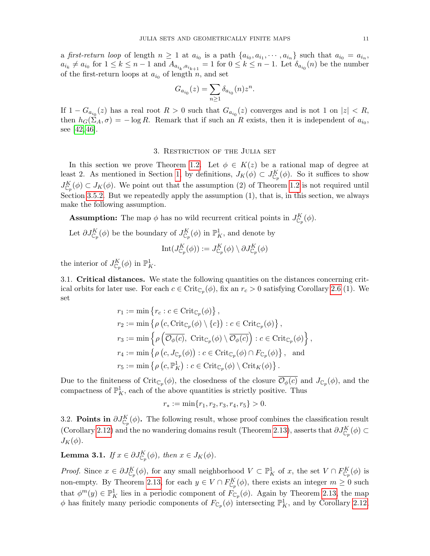a first-return loop of length  $n \geq 1$  at  $a_{i_0}$  is a path  $\{a_{i_0}, a_{i_1}, \cdots, a_{i_n}\}$  such that  $a_{i_0} = a_{i_n}$ ,  $a_{i_k} \neq a_{i_0}$  for  $1 \leq k \leq n-1$  and  $A_{a_{i_k}, a_{i_{k+1}}} = 1$  for  $0 \leq k \leq n-1$ . Let  $\delta_{a_{i_0}}(n)$  be the number of the first-return loops at  $a_{i_0}$  of length n, and set

$$
G_{a_{i_0}}(z) = \sum_{n \ge 1} \delta_{a_{i_0}}(n) z^n.
$$

If  $1 - G_{a_{i_0}}(z)$  has a real root  $R > 0$  such that  $G_{a_{i_0}}(z)$  converges and is not 1 on  $|z| < R$ , then  $h_G(\Sigma_A, \sigma) = -\log R$ . Remark that if such an R exists, then it is independent of  $a_{i_0}$ , see [\[42,](#page-34-8) [46\]](#page-34-9).

# 3. Restriction of the Julia set

<span id="page-10-0"></span>In this section we prove Theorem [1.2.](#page-2-0) Let  $\phi \in K(z)$  be a rational map of degree at least 2. As mentioned in Section [1,](#page-0-0) by definitions,  $J_K(\phi) \subset J_{\mathbb{C}_p}^K(\phi)$ . So it suffices to show  $J_{\mathbb{C}_p}^K(\phi) \subset J_K(\phi)$ . We point out that the assumption (2) of Theorem [1.2](#page-2-0) is not required until Section [3.5.2.](#page-16-1) But we repeatedly apply the assumption  $(1)$ , that is, in this section, we always make the following assumption.

**Assumption:** The map  $\phi$  has no wild recurrent critical points in  $J_{\mathbb{C}_p}^K(\phi)$ .

Let  $\partial J_{\mathbb{C}_p}^K(\phi)$  be the boundary of  $J_{\mathbb{C}_p}^K(\phi)$  in  $\mathbb{P}^1_K$ , and denote by

$$
\mathrm{Int}(J^K_{\mathbb{C}_p}(\phi)):=J^K_{\mathbb{C}_p}(\phi)\setminus \partial J^K_{\mathbb{C}_p}(\phi)
$$

the interior of  $J_{\mathbb{C}_p}^K(\phi)$  in  $\mathbb{P}^1_K$ .

<span id="page-10-3"></span>3.1. Critical distances. We state the following quantities on the distances concerning critical orbits for later use. For each  $c \in \mathrm{Crit}_{\mathbb{C}_p}(\phi)$ , fix an  $r_c > 0$  satisfying Corollary [2.6](#page-6-1) (1). We set

$$
r_1 := \min \left\{ r_c : c \in \operatorname{Crit}_{\mathbb{C}_p}(\phi) \right\},
$$
  
\n
$$
r_2 := \min \left\{ \rho \left( c, \operatorname{Crit}_{\mathbb{C}_p}(\phi) \setminus \{c\} \right) : c \in \operatorname{Crit}_{\mathbb{C}_p}(\phi) \right\},
$$
  
\n
$$
r_3 := \min \left\{ \rho \left( \overline{\mathcal{O}_{\phi}(c)}, \operatorname{Crit}_{\mathbb{C}_p}(\phi) \setminus \overline{\mathcal{O}_{\phi}(c)} \right) : c \in \operatorname{Crit}_{\mathbb{C}_p}(\phi) \right\},
$$
  
\n
$$
r_4 := \min \left\{ \rho \left( c, J_{\mathbb{C}_p}(\phi) \right) : c \in \operatorname{Crit}_{\mathbb{C}_p}(\phi) \cap F_{\mathbb{C}_p}(\phi) \right\}, \text{ and }
$$
  
\n
$$
r_5 := \min \left\{ \rho \left( c, \mathbb{P}_K^1 \right) : c \in \operatorname{Crit}_{\mathbb{C}_p}(\phi) \setminus \operatorname{Crit}_K(\phi) \right\}.
$$

Due to the finiteness of Crit<sub>C<sub>p</sub></sub> $(\phi)$ , the closedness of the closure  $\mathcal{O}_{\phi}(c)$  and  $J_{\mathbb{C}_p}(\phi)$ , and the compactness of  $\mathbb{P}^1_K$ , each of the above quantities is strictly positive. Thus

$$
r_* := \min\{r_1, r_2, r_3, r_4, r_5\} > 0.
$$

<span id="page-10-2"></span>3.2. Points in  $\partial J_{\mathbb{C}_p}^K(\phi)$ . The following result, whose proof combines the classification result (Corollary [2.12\)](#page-9-1) and the no wandering domains result (Theorem [2.13\)](#page-9-0), asserts that  $\partial J_{\mathbb{C}_p}^K(\phi) \subset$  $J_K(\phi)$ .

<span id="page-10-1"></span>**Lemma 3.1.** If  $x \in \partial J_{\mathbb{C}_p}^K(\phi)$ , then  $x \in J_K(\phi)$ .

*Proof.* Since  $x \in \partial J_{\mathbb{C}_p}^K(\phi)$ , for any small neighborhood  $V \subset \mathbb{P}^1_K$  of x, the set  $V \cap F_{\mathbb{C}_p}^K(\phi)$  is non-empty. By Theorem [2.13,](#page-9-0) for each  $y \in V \cap F_{\mathbb{C}_p}^K(\phi)$ , there exists an integer  $m \geq 0$  such that  $\phi^m(y) \in \mathbb{P}^1_K$  lies in a periodic component of  $F_{\mathbb{C}_p}(\phi)$ . Again by Theorem [2.13,](#page-9-0) the map  $\phi$  has finitely many periodic components of  $F_{\mathbb{C}_p}(\phi)$  intersecting  $\mathbb{P}^1_K$ , and by Corollary [2.12,](#page-9-1)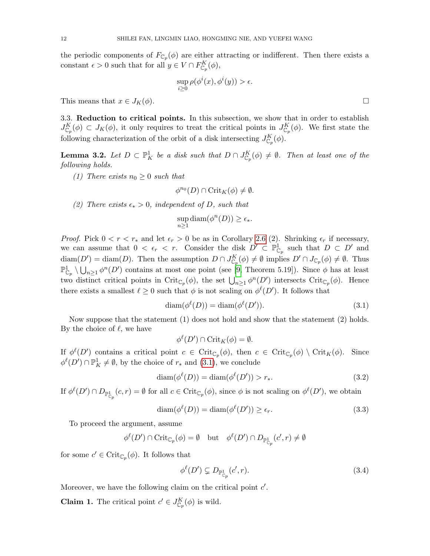the periodic components of  $F_{\mathbb{C}_p}(\phi)$  are either attracting or indifferent. Then there exists a constant  $\epsilon > 0$  such that for all  $y \in V \cap F_{\mathbb{C}_p}^K(\phi)$ ,

$$
\sup_{i\geq 0} \rho(\phi^i(x), \phi^i(y)) > \epsilon.
$$

This means that  $x \in J_K(\phi)$ .

<span id="page-11-1"></span>3.3. Reduction to critical points. In this subsection, we show that in order to establish  $J_{\mathbb{C}_p}^K(\phi) \subset J_K(\phi)$ , it only requires to treat the critical points in  $J_{\mathbb{C}_p}^K(\phi)$ . We first state the following characterization of the orbit of a disk intersecting  $J_{\mathbb{C}_p}^K(\phi)$ .

<span id="page-11-0"></span>**Lemma 3.2.** Let  $D \subset \mathbb{P}^1$  be a disk such that  $D \cap J_{\mathbb{C}_p}^K(\phi) \neq \emptyset$ . Then at least one of the following holds.

(1) There exists  $n_0 \geq 0$  such that

$$
\phi^{n_0}(D) \cap \mathrm{Crit}_K(\phi) \neq \emptyset.
$$

(2) There exists  $\epsilon_* > 0$ , independent of D, such that

$$
\sup_{n\geq 1} \text{diam}(\phi^n(D)) \geq \epsilon_*.
$$

*Proof.* Pick  $0 < r < r_*$  and let  $\epsilon_r > 0$  be as in Corollary [2.6](#page-6-1) (2). Shrinking  $\epsilon_r$  if necessary, we can assume that  $0 < \epsilon_r < r$ . Consider the disk  $D' \subset \mathbb{P}^1_{\mathbb{C}_p}$  such that  $D \subset D'$  and  $\text{diam}(D') = \text{diam}(D)$ . Then the assumption  $D \cap J_{\mathbb{C}_p}^K(\phi) \neq \emptyset$  implies  $D' \cap J_{\mathbb{C}_p}(\phi) \neq \emptyset$ . Thus  $\mathbb{P}^1_{\mathbb{C}_p} \setminus \bigcup_{n\geq 1} \phi^n(D')$  contains at most one point (see [\[9,](#page-33-8) Theorem 5.19]). Since  $\phi$  has at least two distinct critical points in Crit<sub>Cp</sub>( $\phi$ ), the set  $\bigcup_{n\geq 1} \phi^n(D')$  intersects Crit<sub>Cp</sub>( $\phi$ ). Hence there exists a smallest  $\ell \geq 0$  such that  $\phi$  is not scaling on  $\phi^{\ell}(D')$ . It follows that

<span id="page-11-2"></span>
$$
diam(\phi^{\ell}(D)) = diam(\phi^{\ell}(D')).
$$
\n(3.1)

Now suppose that the statement (1) does not hold and show that the statement (2) holds. By the choice of  $\ell$ , we have

$$
\phi^{\ell}(D') \cap \operatorname{Crit}_K(\phi) = \emptyset.
$$

If  $\phi^{\ell}(D')$  contains a critical point  $c \in \mathrm{Crit}_{\mathbb{C}_p}(\phi)$ , then  $c \in \mathrm{Crit}_{\mathbb{C}_p}(\phi) \setminus \mathrm{Crit}_K(\phi)$ . Since  $\phi^{\ell}(D') \cap \mathbb{P}^1_K \neq \emptyset$ , by the choice of  $r_*$  and  $(3.1)$ , we conclude

<span id="page-11-5"></span>
$$
\operatorname{diam}(\phi^{\ell}(D)) = \operatorname{diam}(\phi^{\ell}(D')) > r_*.\tag{3.2}
$$

If  $\phi^{\ell}(D') \cap D_{\mathbb{P}^1_{\mathbb{C}_p}}(c,r) = \emptyset$  for all  $c \in \mathrm{Crit}_{\mathbb{C}_p}(\phi)$ , since  $\phi$  is not scaling on  $\phi^{\ell}(D')$ , we obtain

$$
diam(\phi^{\ell}(D)) = diam(\phi^{\ell}(D')) \ge \epsilon_r.
$$
\n(3.3)

To proceed the argument, assume

$$
\phi^{\ell}(D') \cap \mathrm{Crit}_{\mathbb{C}_p}(\phi) = \emptyset \quad \mathrm{but} \quad \phi^{\ell}(D') \cap D_{\mathbb{P}_{\mathbb{C}_p}^1}(c', r) \neq \emptyset
$$

for some  $c' \in \operatorname{Crit}_{\mathbb{C}_p}(\phi)$ . It follows that

<span id="page-11-3"></span>
$$
\phi^{\ell}(D') \subsetneq D_{\mathbb{P}_{\mathbb{C}_p}^1}(c',r). \tag{3.4}
$$

Moreover, we have the following claim on the critical point  $c'$ .

<span id="page-11-4"></span>**Claim 1.** The critical point  $c' \in J_{\mathbb{C}_p}^K(\phi)$  is wild.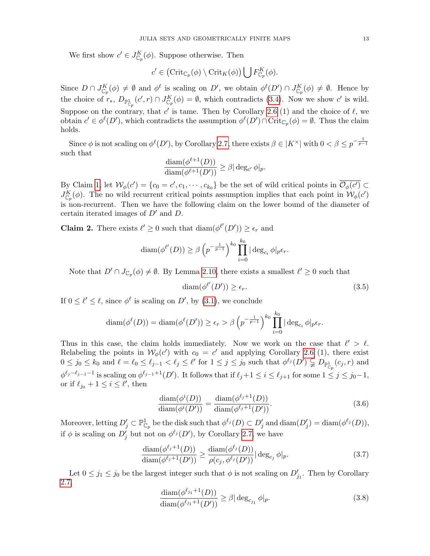We first show  $c' \in J_{\mathbb{C}_p}^K(\phi)$ . Suppose otherwise. Then

$$
c' \in (\mathrm{Crit}_{\mathbb{C}_p}(\phi) \setminus \mathrm{Crit}_K(\phi)) \bigcup F_{\mathbb{C}_p}^K(\phi).
$$

Since  $D \cap J_{\mathbb{C}_p}^K(\phi) \neq \emptyset$  and  $\phi^{\ell}$  is scaling on D', we obtain  $\phi^{\ell}(D') \cap J_{\mathbb{C}_p}^K(\phi) \neq \emptyset$ . Hence by the choice of  $r_*, D_{\mathbb{P}^1_{\mathbb{C}_p}}(c', r) \cap J_{\mathbb{C}_p}^K(\phi) = \emptyset$ , which contradicts [\(3.4\)](#page-11-3). Now we show c' is wild. Suppose on the contrary, that c' is tame. Then by Corollary [2.6](#page-6-1) (1) and the choice of  $\ell$ , we obtain  $c' \in \phi^{\ell}(D')$ , which contradicts the assumption  $\phi^{\ell}(D') \cap \text{Crit}_{\mathbb{C}_p}(\phi) = \emptyset$ . Thus the claim holds.

Since  $\phi$  is not scaling on  $\phi^{\ell}(D')$ , by Corollary [2.7,](#page-6-2) there exists  $\beta \in |K^{\times}|$  with  $0 < \beta \leq p^{-\frac{1}{p-1}}$ such that

$$
\frac{\text{diam}(\phi^{\ell+1}(D))}{\text{diam}(\phi^{\ell+1}(D'))} \geq \beta |\deg_{c'} \phi|_p.
$$

By Claim [1,](#page-11-4) let  $\mathcal{W}_{\phi}(c') = \{c_0 = c', c_1, \cdots, c_{k_0}\}\$ be the set of wild critical points in  $\overline{\mathcal{O}_{\phi}(c')} \subset$  $J_{\mathbb{C}_p}^K(\phi)$ . The no wild recurrent critical points assumption implies that each point in  $\mathcal{W}_\phi(c')$ is non-recurrent. Then we have the following claim on the lower bound of the diameter of certain iterated images of  $D'$  and  $D$ .

<span id="page-12-4"></span>**Claim 2.** There exists  $\ell' \geq 0$  such that  $\text{diam}(\phi^{\ell'}(D')) \geq \epsilon_r$  and

$$
\operatorname{diam}(\phi^{\ell'}(D)) \ge \beta \left( p^{-\frac{1}{p-1}} \right)^{k_0} \prod_{i=0}^{k_0} |\deg_{c_i} \phi|_{p \epsilon_r}.
$$

Note that  $D' \cap J_{\mathbb{C}_p}(\phi) \neq \emptyset$ . By Lemma [2.10,](#page-8-2) there exists a smallest  $\ell' \geq 0$  such that

<span id="page-12-0"></span>
$$
\text{diam}(\phi^{\ell'}(D')) \ge \epsilon_r. \tag{3.5}
$$

If  $0 \leq \ell' \leq \ell$ , since  $\phi^{\ell}$  is scaling on D', by [\(3.1\)](#page-11-2), we conclude

$$
\operatorname{diam}(\phi^{\ell}(D)) = \operatorname{diam}(\phi^{\ell}(D')) \ge \epsilon_r > \beta \left( p^{-\frac{1}{p-1}} \right)^{k_0} \prod_{i=0}^{k_0} |\deg_{c_i} \phi|_{p \epsilon_r}.
$$

Thus in this case, the claim holds immediately. Now we work on the case that  $\ell' > \ell$ . Relabeling the points in  $W_{\phi}(c')$  with  $c_0 = c'$  and applying Corollary [2.6](#page-6-1) (1), there exist  $0 \leq j_0 \leq k_0$  and  $\ell = \ell_0 \leq \ell_{j-1} < \ell_j \leq \ell'$  for  $1 \leq j \leq j_0$  such that  $\phi^{\ell_j}(D') \subsetneqq D_{\mathbb{P}^1_{\mathbb{C}_p}}(c_j, r)$  and  $\phi^{\ell_j-\ell_{j-1}-1}$  is scaling on  $\phi^{\ell_{j-1}+1}(D')$ . It follows that if  $\ell_j+1 \leq i \leq \ell_{j+1}$  for some  $1 \leq j \leq j_0-1$ , or if  $\ell_{j_0} + 1 \leq i \leq \ell'$ , then

<span id="page-12-1"></span>
$$
\frac{\text{diam}(\phi^i(D))}{\text{diam}(\phi^i(D'))} = \frac{\text{diam}(\phi^{\ell_j+1}(D))}{\text{diam}(\phi^{\ell_j+1}(D'))}.\tag{3.6}
$$

Moreover, letting  $D'_j \subset \mathbb{P}^1_{\mathbb{C}_p}$  be the disk such that  $\phi^{\ell_j}(D) \subset D'_j$  and  $\text{diam}(D'_j) = \text{diam}(\phi^{\ell_j}(D)),$ if  $\phi$  is scaling on  $D'_j$  but not on  $\phi^{\ell_j}(D')$ , by Corollary [2.7,](#page-6-2) we have

$$
\frac{\text{diam}(\phi^{\ell_j+1}(D))}{\text{diam}(\phi^{\ell_j+1}(D'))} \ge \frac{\text{diam}(\phi^{\ell_j}(D))}{\rho(c_j, \phi^{\ell_j}(D'))} |\deg_{c_j} \phi|_p. \tag{3.7}
$$

Let  $0 \le j_1 \le j_0$  be the largest integer such that  $\phi$  is not scaling on  $D'_{j_1}$ . Then by Corollary [2.7,](#page-6-2)

<span id="page-12-3"></span><span id="page-12-2"></span>
$$
\frac{\text{diam}(\phi^{\ell_{j_1}+1}(D))}{\text{diam}(\phi^{\ell_{j_1}+1}(D'))} \ge \beta |\deg_{c_{j_1}} \phi|_p. \tag{3.8}
$$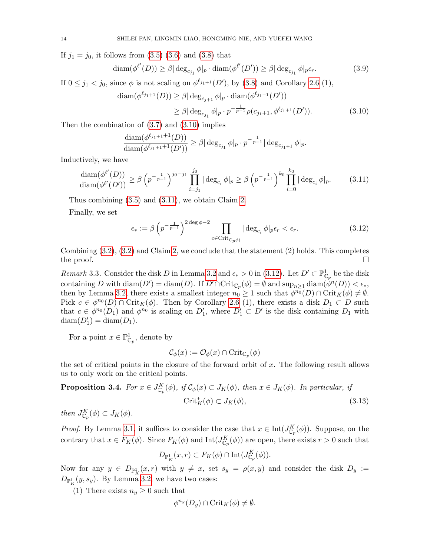If  $j_1 = j_0$ , it follows from  $(3.5)$   $(3.6)$  and  $(3.8)$  that

$$
\text{diam}(\phi^{\ell'}(D)) \ge \beta |\deg_{c_{j_1}} \phi|_p \cdot \text{diam}(\phi^{\ell'}(D')) \ge \beta |\deg_{c_{j_1}} \phi|_p \epsilon_r. \tag{3.9}
$$

If  $0 \le j_1 < j_0$ , since  $\phi$  is not scaling on  $\phi^{\ell_{j_1+1}}(D')$ , by  $(3.8)$  and Corollary [2.6](#page-6-1) (1),

$$
\text{diam}(\phi^{\ell_{j_1+1}}(D)) \ge \beta |\deg_{c_{j+1}} \phi|_p \cdot \text{diam}(\phi^{\ell_{j_1+1}}(D'))
$$
  

$$
\ge \beta |\deg_{c_{j_1}} \phi|_p \cdot p^{-\frac{1}{p-1}} \rho(c_{j_1+1}, \phi^{\ell_{j_1+1}}(D')). \qquad (3.10)
$$

Then the combination of [\(3.7\)](#page-12-3) and [\(3.10\)](#page-13-1) implies

<span id="page-13-1"></span>
$$
\frac{\text{diam}(\phi^{\ell_{j_1+1}+1}(D))}{\text{diam}(\phi^{\ell_{j_1+1}+1}(D'))} \geq \beta |\deg_{c_{j_1}} \phi|_p \cdot p^{-\frac{1}{p-1}} |\deg_{c_{j_1+1}} \phi|_p.
$$

Inductively, we have

<span id="page-13-2"></span>
$$
\frac{\text{diam}(\phi^{\ell'}(D))}{\text{diam}(\phi^{\ell'}(D'))} \ge \beta \left( p^{-\frac{1}{p-1}} \right)^{j_0-j_1} \prod_{i=j_1}^{j_0} |\deg_{c_i} \phi|_p \ge \beta \left( p^{-\frac{1}{p-1}} \right)^{k_0} \prod_{i=0}^{k_0} |\deg_{c_i} \phi|_p. \tag{3.11}
$$

Thus combining [\(3.5\)](#page-12-0) and [\(3.11\)](#page-13-2), we obtain Claim [2.](#page-12-4)

Finally, we set

<span id="page-13-3"></span>
$$
\epsilon_* := \beta \left( p^{-\frac{1}{p-1}} \right)^{2 \deg \phi - 2} \prod_{c \in \text{Crit}_{C_p \phi}} |\deg_{c_i} \phi|_{p \epsilon_r} < \epsilon_r. \tag{3.12}
$$

Combining  $(3.2)$ ,  $(3.2)$  and Claim [2,](#page-12-4) we conclude that the statement  $(2)$  holds. This completes the proof.  $\Box$ 

<span id="page-13-4"></span>Remark 3.3. Consider the disk D in Lemma [3.2](#page-11-0) and  $\epsilon_* > 0$  in [\(3.12\)](#page-13-3). Let  $D' \subset \mathbb{P}^1_{\mathbb{C}_p}$  be the disk containing D with  $\text{diam}(D') = \text{diam}(D)$ . If  $D' \cap \text{Crit}_{\mathbb{C}_p}(\phi) = \emptyset$  and  $\text{sup}_{n \geq 1} \text{diam}(\phi^n(D)) < \epsilon_*,$ then by Lemma [3.2,](#page-11-0) there exists a smallest integer  $n_0 \geq 1$  such that  $\phi^{n_0}(D) \cap \mathrm{Crit}_K(\phi) \neq \emptyset$ . Pick  $c \in \phi^{n_0}(D) \cap \text{Crit}_K(\phi)$ . Then by Corollary [2.6](#page-6-1) (1), there exists a disk  $D_1 \subset D$  such that  $c \in \phi^{n_0}(D_1)$  and  $\phi^{n_0}$  is scaling on  $D'_1$ , where  $D'_1 \subset D'$  is the disk containing  $D_1$  with  $\text{diam}(D_1') = \text{diam}(D_1).$ 

For a point  $x \in \mathbb{P}^1_{\mathbb{C}_p}$ , denote by

<span id="page-13-5"></span>
$$
\mathcal{C}_{\phi}(x) := \mathcal{O}_{\phi}(x) \cap \mathrm{Crit}_{\mathbb{C}_p}(\phi)
$$

the set of critical points in the closure of the forward orbit of  $x$ . The following result allows us to only work on the critical points.

<span id="page-13-0"></span>**Proposition 3.4.** For 
$$
x \in J_{\mathbb{C}_p}^K(\phi)
$$
, if  $\mathcal{C}_{\phi}(x) \subset J_K(\phi)$ , then  $x \in J_K(\phi)$ . In particular, if  
\n
$$
\operatorname{Crit}_K^*(\phi) \subset J_K(\phi), \tag{3.13}
$$

then  $J_{\mathbb{C}_p}^K(\phi) \subset J_K(\phi)$ .

*Proof.* By Lemma [3.1,](#page-10-1) it suffices to consider the case that  $x \in \text{Int}(J_{\mathbb{C}_p}^K(\phi))$ . Suppose, on the contrary that  $x \in F_K(\phi)$ . Since  $F_K(\phi)$  and  $\text{Int}(J_{\mathbb{C}_p}^K(\phi))$  are open, there exists  $r > 0$  such that

$$
D_{\mathbb{P}^1_K}(x,r) \subset F_K(\phi) \cap \mathrm{Int}(J^K_{\mathbb{C}_p}(\phi)).
$$

Now for any  $y \in D_{\mathbb{P}^1_K}(x,r)$  with  $y \neq x$ , set  $s_y = \rho(x,y)$  and consider the disk  $D_y :=$  $D_{\mathbb{P}^1_K}(y,s_y)$ . By Lemma [3.2,](#page-11-0) we have two cases:

(1) There exists  $n_y \geq 0$  such that

$$
\phi^{n_y}(D_y) \cap \mathrm{Crit}_K(\phi) \neq \emptyset.
$$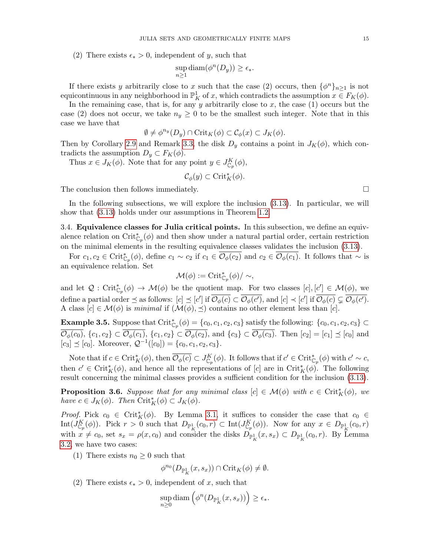(2) There exists  $\epsilon_* > 0$ , independent of y, such that

$$
\sup_{n\geq 1} \text{diam}(\phi^n(D_y)) \geq \epsilon_*.
$$

If there exists y arbitrarily close to x such that the case (2) occurs, then  $\{\phi^n\}_{n\geq 1}$  is not equicontinuous in any neighborhood in  $\mathbb{P}^1_K$  of x, which contradicts the assumption  $x \in F_K(\phi)$ .

In the remaining case, that is, for any y arbitrarily close to x, the case  $(1)$  occurs but the case (2) does not occur, we take  $n_y \geq 0$  to be the smallest such integer. Note that in this case we have that

$$
\emptyset \neq \phi^{n_y}(D_y) \cap \text{Crit}_K(\phi) \subset \mathcal{C}_{\phi}(x) \subset J_K(\phi).
$$

Then by Corollary [2.9](#page-8-3) and Remark [3.3,](#page-13-4) the disk  $D_y$  contains a point in  $J_K(\phi)$ , which contradicts the assumption  $D_y \subset F_K(\phi)$ .

Thus  $x \in J_K(\phi)$ . Note that for any point  $y \in J_{\mathbb{C}_p}^K(\phi)$ ,

$$
\mathcal{C}_{\phi}(y) \subset \operatorname{Crit}_{K}^*(\phi).
$$

The conclusion then follows immediately.  $\Box$ 

In the following subsections, we will explore the inclusion [\(3.13\)](#page-13-5). In particular, we will show that [\(3.13\)](#page-13-5) holds under our assumptions in Theorem [1.2.](#page-2-0)

<span id="page-14-0"></span>3.4. Equivalence classes for Julia critical points. In this subsection, we define an equivalence relation on  $\mathrm{Crit}_{\mathbb{C}_p}^*(\phi)$  and then show under a natural partial order, certain restriction on the minimal elements in the resulting equivalence classes validates the inclusion [\(3.13\)](#page-13-5).

For  $c_1, c_2 \in \operatorname{Crit}_{\mathbb{C}_p}^*(\phi)$ , define  $c_1 \sim c_2$  if  $c_1 \in \overline{\mathcal{O}_{\phi}(c_2)}$  and  $c_2 \in \overline{\mathcal{O}_{\phi}(c_1)}$ . It follows that  $\sim$  is an equivalence relation. Set

$$
\mathcal{M}(\phi) := \operatorname{Crit}_{\mathbb{C}_p}^*(\phi) / \sim,
$$

and let  $\mathcal{Q}: \operatorname{Crit}_{\mathbb{C}_p}^*(\phi) \to \mathcal{M}(\phi)$  be the quotient map. For two classes  $[c], [c'] \in \mathcal{M}(\phi)$ , we define a partial order  $\preceq$  as follows:  $[c] \preceq [c']$  if  $\overline{\mathcal{O}_{\phi}(c)} \subset \overline{\mathcal{O}_{\phi}(c')}$ , and  $[c] \preceq [c']$  if  $\overline{\mathcal{O}_{\phi}(c)} \subsetneq \overline{\mathcal{O}_{\phi}(c')}$ . A class  $[c] \in \mathcal{M}(\phi)$  is minimal if  $(\mathcal{M}(\phi), \preceq)$  contains no other element less than  $[c]$ .

**Example 3.5.** Suppose that  $\operatorname{Crit}_{\mathbb{C}_p}^*(\phi) = \{c_0, c_1, c_2, c_3\}$  satisfy the following:  $\{c_0, c_1, c_2, c_3\} \subset$  $\overline{\mathcal{O}_{\phi}(c_0)}, \{c_1, c_2\} \subset \overline{\mathcal{O}_{\phi}(c_1)}, \{c_1, c_2\} \subset \overline{\mathcal{O}_{\phi}(c_2)}, \text{ and } \{c_3\} \subset \overline{\mathcal{O}_{\phi}(c_3)}. \text{ Then } [c_2] = [c_1] \preceq [c_0] \text{ and }$  $[c_3] \preceq [c_0]$ . Moreover,  $\mathcal{Q}^{-1}([c_0]) = \{c_0, c_1, c_2, c_3\}.$ 

Note that if  $c \in \operatorname{Crit}_K^*(\phi)$ , then  $\overline{\mathcal{O}_{\phi}(c)} \subset J_{\mathbb{C}_p}^K(\phi)$ . It follows that if  $c' \in \operatorname{Crit}_{\mathbb{C}_p}^*(\phi)$  with  $c' \sim c$ , then  $c' \in \operatorname{Crit}_K^*(\phi)$ , and hence all the representations of [c] are in  $\operatorname{Crit}_K^*(\phi)$ . The following result concerning the minimal classes provides a sufficient condition for the inclusion [\(3.13\)](#page-13-5).

<span id="page-14-1"></span>**Proposition 3.6.** Suppose that for any minimal class  $[c] \in \mathcal{M}(\phi)$  with  $c \in \text{Crit}_K^*(\phi)$ , we have  $c \in J_K(\phi)$ . Then  $\operatorname{Crit}_K^*(\phi) \subset J_K(\phi)$ .

*Proof.* Pick  $c_0 \in \operatorname{Crit}_K^*(\phi)$ . By Lemma [3.1,](#page-10-1) it suffices to consider the case that  $c_0 \in$  $\mathrm{Int}(J_{\mathbb{C}_p}^K(\phi))$ . Pick  $r > 0$  such that  $D_{\mathbb{P}^1_K}(c_0, r) \subset \mathrm{Int}(J_{\mathbb{C}_p}^K(\phi))$ . Now for any  $x \in D_{\mathbb{P}^1_K}(c_0, r)$ with  $x \neq c_0$ , set  $s_x = \rho(x, c_0)$  and consider the disks  $D_{\mathbb{P}^1_K}(x, s_x) \subset D_{\mathbb{P}^1_K}(c_0, r)$ . By Lemma [3.2,](#page-11-0) we have two cases:

(1) There exists  $n_0 \geq 0$  such that

$$
\phi^{n_0}(D_{\mathbb{P}^1_K}(x,s_x)) \cap \mathrm{Crit}_K(\phi) \neq \emptyset.
$$

(2) There exists  $\epsilon_* > 0$ , independent of x, such that

$$
\sup_{n\geq 0} \text{diam}\left(\phi^n(D_{\mathbb{P}^1_K}(x,s_x))\right) \geq \epsilon_*.
$$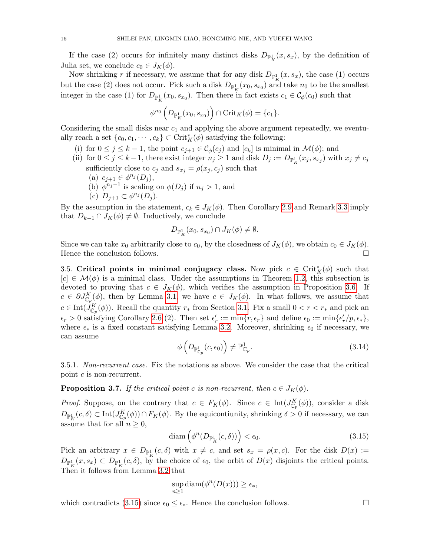If the case (2) occurs for infinitely many distinct disks  $D_{\mathbb{P}^1_K}(x, s_x)$ , by the definition of Julia set, we conclude  $c_0 \in J_K(\phi)$ .

Now shrinking r if necessary, we assume that for any disk  $D_{\mathbb{P}^1_K}(x, s_x)$ , the case (1) occurs but the case (2) does not occur. Pick such a disk  $D_{\mathbb{P}^1_K}(x_0, s_{x_0})$  and take  $n_0$  to be the smallest integer in the case (1) for  $D_{\mathbb{P}^1_K}(x_0, s_{x_0})$ . Then there in fact exists  $c_1 \in C_{\phi}(c_0)$  such that

$$
\phi^{n_0}\left(D_{\mathbb{P}^1_K}(x_0,s_{x_0})\right) \cap \mathrm{Crit}_K(\phi) = \{c_1\}.
$$

Considering the small disks near  $c_1$  and applying the above argument repeatedly, we eventually reach a set  $\{c_0, c_1, \dots, c_k\} \subset \operatorname{Crit}_K^*(\phi)$  satisfying the following:

- (i) for  $0 \leq j \leq k-1$ , the point  $c_{j+1} \in C_{\phi}(c_j)$  and  $[c_k]$  is minimal in  $\mathcal{M}(\phi)$ ; and
- (ii) for  $0 \le j \le k-1$ , there exist integer  $n_j \ge 1$  and disk  $D_j := D_{\mathbb{P}^1_K}(x_j, s_{x_j})$  with  $x_j \ne c_j$ sufficiently close to  $c_j$  and  $s_{x_j} = \rho(x_j, c_j)$  such that (a)  $c_{j+1} \in \phi^{n_j}(D_j)$ ,
	- (b)  $\phi^{n_j-1}$  is scaling on  $\phi(D_j)$  if  $n_j > 1$ , and
	- (c)  $D_{j+1} \subset \phi^{n_j}(D_j)$ .

By the assumption in the statement,  $c_k \in J_K(\phi)$ . Then Corollary [2.9](#page-8-3) and Remark [3.3](#page-13-4) imply that  $D_{k-1} \cap J_K(\phi) \neq \emptyset$ . Inductively, we conclude

$$
D_{\mathbb{P}^1_K}(x_0, s_{x_0}) \cap J_K(\phi) \neq \emptyset.
$$

Since we can take  $x_0$  arbitrarily close to  $c_0$ , by the closedness of  $J_K(\phi)$ , we obtain  $c_0 \in J_K(\phi)$ . Hence the conclusion follows.

<span id="page-15-0"></span>3.5. Critical points in minimal conjugacy class. Now pick  $c \in \operatorname{Crit}_K^*(\phi)$  such that  $[c] \in \mathcal{M}(\phi)$  is a minimal class. Under the assumptions in Theorem [1.2,](#page-2-0) this subsection is devoted to proving that  $c \in J_K(\phi)$ , which verifies the assumption in Proposition [3.6.](#page-14-1) If  $c \in \partial J_{\mathbb{C}_p}^K(\phi)$ , then by Lemma [3.1,](#page-10-1) we have  $c \in J_K(\phi)$ . In what follows, we assume that  $c \in \text{Int}(J_{\mathbb{C}_p}^K(\phi))$ . Recall the quantity  $r_*$  from Section [3.1.](#page-10-3) Fix a small  $0 < r < r_*$  and pick an  $\epsilon_r > 0$  satisfying Corollary [2.6](#page-6-1) (2). Then set  $\epsilon'_r := \min\{r, \epsilon_r\}$  and define  $\epsilon_0 := \min\{\epsilon'_r/p, \epsilon_*\},$ where  $\epsilon_*$  is a fixed constant satisfying Lemma [3.2.](#page-11-0) Moreover, shrinking  $\epsilon_0$  if necessary, we can assume

<span id="page-15-2"></span>
$$
\phi\left(D_{\mathbb{P}^1_{\mathbb{C}_p}}(c,\epsilon_0)\right) \neq \mathbb{P}^1_{\mathbb{C}_p}.\tag{3.14}
$$

3.5.1. Non-recurrent case. Fix the notations as above. We consider the case that the critical point c is non-recurrent.

<span id="page-15-3"></span>**Proposition 3.7.** If the critical point c is non-recurrent, then  $c \in J_K(\phi)$ .

*Proof.* Suppose, on the contrary that  $c \in F_K(\phi)$ . Since  $c \in Int(J_{\mathbb{C}_p}^K(\phi))$ , consider a disk  $D_{\mathbb{P}^1_K}(c,\delta) \subset \text{Int}(J_{\mathbb{C}_p}^K(\phi)) \cap F_K(\phi)$ . By the equicontiunity, shrinking  $\delta > 0$  if necessary, we can assume that for all  $n \geq 0$ ,

<span id="page-15-1"></span>
$$
\text{diam}\left(\phi^n(D_{\mathbb{P}^1_K}(c,\delta))\right) < \epsilon_0. \tag{3.15}
$$

Pick an arbitrary  $x \in D_{\mathbb{P}^1_K}(c,\delta)$  with  $x \neq c$ , and set  $s_x = \rho(x,c)$ . For the disk  $D(x) :=$  $D_{\mathbb{P}^1_K}(x,s_x) \subset D_{\mathbb{P}^1_K}(c,\delta)$ , by the choice of  $\epsilon_0$ , the orbit of  $D(x)$  disjoints the critical points. Then it follows from Lemma [3.2](#page-11-0) that

$$
\sup_{n\geq 1} \text{diam}(\phi^n(D(x))) \geq \epsilon_*,
$$

which contradicts [\(3.15\)](#page-15-1) since  $\epsilon_0 \leq \epsilon_*$ . Hence the conclusion follows.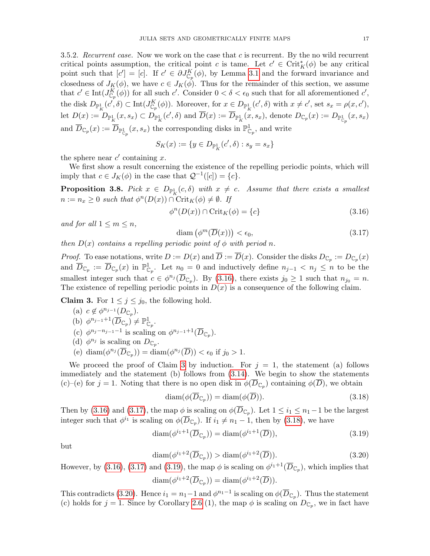<span id="page-16-1"></span>3.5.2. Recurrent case. Now we work on the case that  $c$  is recurrent. By the no wild recurrent critical points assumption, the critical point c is tame. Let  $c' \in \text{Crit}_K^*(\phi)$  be any critical point such that  $[c'] = [c]$ . If  $c' \in \partial J_{\mathbb{C}_p}^K(\phi)$ , by Lemma [3.1](#page-10-1) and the forward invariance and closedness of  $J_K(\phi)$ , we have  $c \in J_K(\phi)$ . Thus for the remainder of this section, we assume that  $c' \in \text{Int}(J_{\mathbb{C}_p}^K(\phi))$  for all such  $c'$ . Consider  $0 < \delta < \epsilon_0$  such that for all aforementioned  $c'$ , the disk  $D_{\mathbb{P}_K^1}(c',\delta) \subset \text{Int}(J_{\mathbb{C}_p}^K(\phi))$ . Moreover, for  $x \in D_{\mathbb{P}_K^1}(c',\delta)$  with  $x \neq c'$ , set  $s_x = \rho(x,c')$ ,  $\mathrm{let}\; D(x) := D_{\mathbb{P}^1_K}(x,s_x) \subset D_{\mathbb{P}^1_K}(c',\delta) \text{ and } \overline{D}(x) := \overline{D}_{\mathbb{P}^1_K}(x,s_x), \text{ denote } D_{\mathbb{C}_p}(x) := D_{\mathbb{P}^1_{\mathbb{C}_p}}(x,s_x)$ and  $\overline{D}_{\mathbb{C}_p}(x) := \overline{D}_{\mathbb{P}^1_{\mathbb{C}_p}}(x, s_x)$  the corresponding disks in  $\mathbb{P}^1_{\mathbb{C}_p}$ , and write

$$
S_K(x) := \{ y \in D_{\mathbb{P}^1_K}(c', \delta) : s_y = s_x \}
$$

the sphere near  $c'$  containing x.

We first show a result concerning the existence of the repelling periodic points, which will imply that  $c \in J_K(\phi)$  in the case that  $\mathcal{Q}^{-1}([c]) = \{c\}.$ 

<span id="page-16-0"></span>**Proposition 3.8.** Pick  $x \in D_{\mathbb{P}^1_K}(c, \delta)$  with  $x \neq c$ . Assume that there exists a smallest  $n := n_x \geq 0$  such that  $\phi^n(D(x)) \cap \text{Crit}_K(\phi) \neq \emptyset$ . If

<span id="page-16-2"></span>
$$
\phi^n(D(x)) \cap \text{Crit}_K(\phi) = \{c\} \tag{3.16}
$$

and for all  $1 \leq m \leq n$ ,

<span id="page-16-4"></span>
$$
\text{diam}\left(\phi^m(\overline{D}(x))\right) < \epsilon_0,\tag{3.17}
$$

then  $D(x)$  contains a repelling periodic point of  $\phi$  with period n.

*Proof.* To ease notations, write  $D := D(x)$  and  $D := D(x)$ . Consider the disks  $D_{\mathbb{C}_p} := D_{\mathbb{C}_p}(x)$ and  $\overline{D}_{\mathbb{C}_p} := \overline{D}_{\mathbb{C}_p}(x)$  in  $\mathbb{P}^1_{\mathbb{C}_p}$ . Let  $n_0 = 0$  and inductively define  $n_{j-1} < n_j \leq n$  to be the smallest integer such that  $c \in \phi^{n_j}(\overline{D}_{\mathbb{C}_p})$ . By [\(3.16\)](#page-16-2), there exists  $j_0 \geq 1$  such that  $n_{j_0} = n$ . The existence of repelling periodic points in  $D(x)$  is a consequence of the following claim.

<span id="page-16-3"></span>**Claim 3.** For  $1 \leq j \leq j_0$ , the following hold.

- (a)  $c \notin \phi^{n_{j-1}}(D_{\mathbb{C}_p}).$ (b)  $\phi^{n_{j-1}+1}(\overline{D}_{\mathbb{C}_p}) \neq \mathbb{P}^1_{\mathbb{C}_p}.$ (c)  $\phi^{n_j-n_{j-1}-1}$  is scaling on  $\phi^{n_{j-1}+1}(\overline{D}_{\mathbb{C}_p})$ . (d)  $\phi^{n_j}$  is scaling on  $D_{\mathbb{C}_p}$ .
	- (e) diam $(\phi^{n_j}(\overline{D}_{\mathbb{C}_p})) = \text{diam}(\phi^{n_j}(\overline{D})) < \epsilon_0$  if  $j_0 > 1$ .

We proceed the proof of Claim [3](#page-16-3) by induction. For  $j = 1$ , the statement (a) follows immediately and the statement (b) follows from [\(3.14\)](#page-15-2). We begin to show the statements (c)–(e) for  $j = 1$ . Noting that there is no open disk in  $\phi(\overline{D}_{\mathbb{C}_p})$  containing  $\phi(\overline{D})$ , we obtain

<span id="page-16-5"></span>
$$
diam(\phi(\overline{D}_{\mathbb{C}_p})) = diam(\phi(\overline{D})).
$$
\n(3.18)

Then by [\(3.16\)](#page-16-2) and [\(3.17\)](#page-16-4), the map  $\phi$  is scaling on  $\phi(D_{\mathbb{C}_p})$ . Let  $1 \leq i_1 \leq n_1 - 1$  be the largest integer such that  $\phi^{i_1}$  is scaling on  $\phi(\overline{D}_{\mathbb{C}_p})$ . If  $i_1 \neq n_1 - 1$ , then by [\(3.18\)](#page-16-5), we have

<span id="page-16-6"></span>
$$
\operatorname{diam}(\phi^{i_1+1}(\overline{D}_{\mathbb{C}_p})) = \operatorname{diam}(\phi^{i_1+1}(\overline{D})),\tag{3.19}
$$

but

<span id="page-16-7"></span>
$$
\operatorname{diam}(\phi^{i_1+2}(\overline{D}_{\mathbb{C}_p})) > \operatorname{diam}(\phi^{i_1+2}(\overline{D})).\tag{3.20}
$$

However, by [\(3.16\)](#page-16-2), [\(3.17\)](#page-16-4) and [\(3.19\)](#page-16-6), the map  $\phi$  is scaling on  $\phi^{i_1+1}(\overline{D}_{\mathbb{C}_p})$ , which implies that  $\text{diam}(\phi^{i_1+2}(\overline{D}_{\mathbb{C}_p})) = \text{diam}(\phi^{i_1+2}(\overline{D})).$ 

This contradicts [\(3.20\)](#page-16-7). Hence  $i_1 = n_1 - 1$  and  $\phi^{n_1-1}$  is scaling on  $\phi(\overline{D}_{\mathbb{C}_p})$ . Thus the statement (c) holds for  $j = 1$ . Since by Corollary [2.6](#page-6-1) (1), the map  $\phi$  is scaling on  $D_{\mathbb{C}_p}$ , we in fact have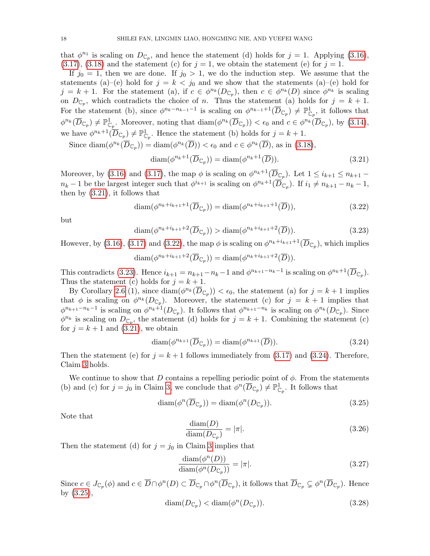that  $\phi^{n_1}$  is scaling on  $D_{\mathbb{C}_p}$ , and hence the statement (d) holds for  $j = 1$ . Applying [\(3.16\)](#page-16-2),  $(3.17), (3.18)$  $(3.17), (3.18)$  $(3.17), (3.18)$  and the statement (c) for  $j = 1$ , we obtain the statement (e) for  $j = 1$ .

If  $j_0 = 1$ , then we are done. If  $j_0 > 1$ , we do the induction step. We assume that the statements (a)–(e) hold for  $j = k < j_0$  and we show that the statements (a)–(e) hold for  $j = k + 1$ . For the statement (a), if  $c \in \phi^{n_k}(D_{\mathbb{C}_p})$ , then  $c \in \phi^{n_k}(D)$  since  $\phi^{n_k}$  is scaling on  $D_{\mathbb{C}_p}$ , which contradicts the choice of n. Thus the statement (a) holds for  $j = k + 1$ . For the statement (b), since  $\phi^{n_k-n_{k-1}-1}$  is scaling on  $\phi^{n_{k-1}+1}(\overline{D}_{\mathbb{C}_p}) \neq \mathbb{P}^1_{\mathbb{C}_p}$ , it follows that  $\phi^{n_k}(\overline{D}_{\mathbb{C}_p}) \neq \mathbb{P}^1_{\mathbb{C}_p}$ . Moreover, noting that  $\text{diam}(\phi^{n_k}(\overline{D}_{\mathbb{C}_p})) < \epsilon_0$  and  $c \in \phi^{n_k}(\overline{D}_{\mathbb{C}_p})$ , by  $(3.14)$ , we have  $\phi^{n_k+1}(\overline{D}_{\mathbb{C}_p}) \neq \mathbb{P}^1_{\mathbb{C}_p}$ . Hence the statement (b) holds for  $j = k + 1$ .

Since diam $(\phi^{n_k}(\overline{D}_{\mathbb{C}_p})) = \text{diam}(\phi^{n_k}(\overline{D})) < \epsilon_0$  and  $c \in \phi^{n_k}(\overline{D})$ , as in [\(3.18\)](#page-16-5),

<span id="page-17-0"></span>
$$
\operatorname{diam}(\phi^{n_k+1}(\overline{D}_{\mathbb{C}_p})) = \operatorname{diam}(\phi^{n_k+1}(\overline{D})).\tag{3.21}
$$

Moreover, by [\(3.16\)](#page-16-2) and [\(3.17\)](#page-16-4), the map  $\phi$  is scaling on  $\phi^{n_k+1}(\overline{D}_{\mathbb{C}_p})$ . Let  $1 \leq i_{k+1} \leq n_{k+1}$  –  $n_k-1$  be the largest integer such that  $\phi^{i_{k+1}}$  is scaling on  $\phi^{n_k+1}(\overline{D}_{\mathbb{C}_p})$ . If  $i_1 \neq n_{k+1}-n_k-1$ , then by [\(3.21\)](#page-17-0), it follows that

<span id="page-17-1"></span>
$$
\operatorname{diam}(\phi^{n_k+i_{k+1}+1}(\overline{D}_{\mathbb{C}_p})) = \operatorname{diam}(\phi^{n_k+i_{k+1}+1}(\overline{D})),\tag{3.22}
$$

but

<span id="page-17-2"></span>
$$
\operatorname{diam}(\phi^{n_k+i_{k+1}+2}(\overline{D}_{\mathbb{C}_p})) > \operatorname{diam}(\phi^{n_k+i_{k+1}+2}(\overline{D})).\tag{3.23}
$$

However, by [\(3.16\)](#page-16-2), [\(3.17\)](#page-16-4) and [\(3.22\)](#page-17-1), the map  $\phi$  is scaling on  $\phi^{n_k+i_{k+1}+1}(\overline{D}_{\mathbb{C}_p})$ , which implies

$$
\operatorname{diam}(\phi^{n_k+i_{k+1}+2}(\overline{D}_{\mathbb{C}_p})) = \operatorname{diam}(\phi^{n_k+i_{k+1}+2}(\overline{D})).
$$

This contradicts [\(3.23\)](#page-17-2). Hence  $i_{k+1} = n_{k+1} - n_k - 1$  and  $\phi^{n_{k+1}-n_k-1}$  is scaling on  $\phi^{n_k+1}(\overline{D}_{\mathbb{C}_p})$ . Thus the statement (c) holds for  $j = k + 1$ .

By Corollary [2.6](#page-6-1) (1), since  $\text{diam}(\phi^{n_k}(\overline{D}_{\mathbb{C}_p})) < \epsilon_0$ , the statement (a) for  $j = k + 1$  implies that  $\phi$  is scaling on  $\phi^{n_k}(D_{\mathbb{C}_p})$ . Moreover, the statement (c) for  $j = k + 1$  implies that  $\phi^{n_{k+1}-n_k-1}$  is scaling on  $\phi^{n_k+1}(D_{\mathbb{C}_p})$ . It follows that  $\phi^{n_{k+1}-n_k}$  is scaling on  $\phi^{n_k}(D_{\mathbb{C}_p})$ . Since  $\phi^{n_k}$  is scaling on  $D_{\mathbb{C}_p}$ , the statement (d) holds for  $j = k + 1$ . Combining the statement (c) for  $j = k + 1$  and  $(3.21)$ , we obtain

<span id="page-17-3"></span>
$$
diam(\phi^{n_{k+1}}(\overline{D}_{\mathbb{C}_p})) = diam(\phi^{n_{k+1}}(\overline{D})).
$$
\n(3.24)

Then the statement (e) for  $j = k + 1$  follows immediately from [\(3.17\)](#page-16-4) and [\(3.24\)](#page-17-3). Therefore, Claim [3](#page-16-3) holds.

We continue to show that D contains a repelling periodic point of  $\phi$ . From the statements (b) and (c) for  $j = j_0$  in Claim [3,](#page-16-3) we conclude that  $\phi^n(\overline{D}_{\mathbb{C}_p}) \neq \mathbb{P}^1_{\mathbb{C}_p}$ . It follows that

<span id="page-17-4"></span>
$$
diam(\phi^n(\overline{D}_{\mathbb{C}_p})) = diam(\phi^n(D_{\mathbb{C}_p})).
$$
\n(3.25)

Note that

<span id="page-17-5"></span>
$$
\frac{\text{diam}(D)}{\text{diam}(D_{\mathbb{C}_p})} = |\pi|.\tag{3.26}
$$

Then the statement (d) for  $j = j_0$  in Claim [3](#page-16-3) implies that

<span id="page-17-6"></span>
$$
\frac{\text{diam}(\phi^n(D))}{\text{diam}(\phi^n(D_{\mathbb{C}_p}))} = |\pi|.\tag{3.27}
$$

Since  $c \in J_{\mathbb{C}_p}(\phi)$  and  $c \in \overline{D} \cap \phi^n(D) \subset \overline{D}_{\mathbb{C}_p} \cap \phi^n(\overline{D}_{\mathbb{C}_p})$ , it follows that  $\overline{D}_{\mathbb{C}_p} \subsetneq \phi^n(\overline{D}_{\mathbb{C}_p})$ . Hence by [\(3.25\)](#page-17-4),

<span id="page-17-7"></span>
$$
\text{diam}(D_{\mathbb{C}_p}) < \text{diam}(\phi^n(D_{\mathbb{C}_p})).\tag{3.28}
$$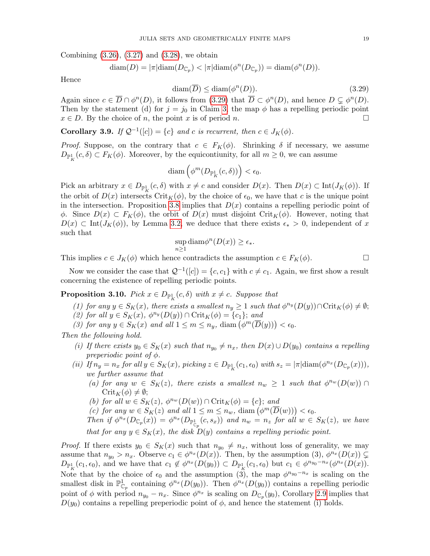Combining [\(3.26\)](#page-17-5), [\(3.27\)](#page-17-6) and [\(3.28\)](#page-17-7), we obtain

$$
\text{diam}(D) = |\pi| \text{diam}(D_{\mathbb{C}_p}) < |\pi| \text{diam}(\phi^n(D_{\mathbb{C}_p})) = \text{diam}(\phi^n(D)).
$$

Hence

<span id="page-18-2"></span>
$$
\text{diam}(\overline{D}) \le \text{diam}(\phi^n(D)).\tag{3.29}
$$

Again since  $c \in \overline{D} \cap \phi^n(D)$ , it follows from  $(3.29)$  that  $\overline{D} \subset \phi^n(D)$ , and hence  $D \subsetneq \phi^n(D)$ . Then by the statement (d) for  $j = j_0$  in Claim [3,](#page-16-3) the map  $\phi$  has a repelling periodic point  $x \in D$ . By the choice of n, the point x is of period n.

<span id="page-18-1"></span>**Corollary 3.9.** If  $\mathcal{Q}^{-1}([c]) = \{c\}$  and c is recurrent, then  $c \in J_K(\phi)$ .

*Proof.* Suppose, on the contrary that  $c \in F_K(\phi)$ . Shrinking  $\delta$  if necessary, we assume  $D_{\mathbb{P}^1_K}(c,\delta) \subset F_K(\phi)$ . Moreover, by the equicontiunity, for all  $m \geq 0$ , we can assume

$$
\text{diam}\left(\phi^m(D_{\mathbb{P}^1_K}(c,\delta))\right) < \epsilon_0.
$$

Pick an arbitrary  $x \in D_{\mathbb{P}^1_K}(c, \delta)$  with  $x \neq c$  and consider  $D(x)$ . Then  $D(x) \subset \text{Int}(J_K(\phi))$ . If the orbit of  $D(x)$  intersects Crit<sub>K</sub>( $\phi$ ), by the choice of  $\epsilon_0$ , we have that c is the unique point in the intersection. Proposition [3.8](#page-16-0) implies that  $D(x)$  contains a repelling periodic point of  $\phi$ . Since  $D(x) \subset F_K(\phi)$ , the orbit of  $D(x)$  must disjoint Crit<sub>K</sub>( $\phi$ ). However, noting that  $D(x) \subset Int(J_K(\phi))$ , by Lemma [3.2,](#page-11-0) we deduce that there exists  $\epsilon_* > 0$ , independent of x such that

$$
\sup_{n\geq 1} \text{diam}\phi^n(D(x)) \geq \epsilon_*.
$$

This implies  $c \in J_K(\phi)$  which hence contradicts the assumption  $c \in F_K(\phi)$ .

Now we consider the case that  $Q^{-1}([c]) = \{c, c_1\}$  with  $c \neq c_1$ . Again, we first show a result concerning the existence of repelling periodic points.

<span id="page-18-0"></span>**Proposition 3.10.** Pick  $x \in D_{\mathbb{P}^1_K}(c, \delta)$  with  $x \neq c$ . Suppose that

- (1) for any  $y \in S_K(x)$ , there exists a smallest  $n_y \geq 1$  such that  $\phi^{n_y}(D(y)) \cap \text{Crit}_K(\phi) \neq \emptyset$ ;
- (2) for all  $y \in S_K(x)$ ,  $\phi^{n_y}(D(y)) \cap \text{Crit}_K(\phi) = \{c_1\}$ ; and
- (3) for any  $y \in S_K(x)$  and all  $1 \leq m \leq n_y$ , diam  $(\phi^m(\overline{D}(y))) < \epsilon_0$ .

Then the following hold.

- (i) If there exists  $y_0 \in S_K(x)$  such that  $n_{y_0} \neq n_x$ , then  $D(x) \cup D(y_0)$  contains a repelling preperiodic point of  $\phi$ .
- (ii) If  $n_y = n_x$  for all  $y \in S_K(x)$ , picking  $z \in D_{\mathbb{P}^1_K}(c_1, \epsilon_0)$  with  $s_z = |\pi| \text{diam}(\phi^{n_x}(D_{\mathbb{C}_p}(x)))$ , we further assume that
	- (a) for any  $w \in S_K(z)$ , there exists a smallest  $n_w \geq 1$  such that  $\phi^{n_w}(D(w)) \cap$  $\operatorname{Crit}_K(\phi) \neq \emptyset;$
	- (b) for all  $w \in S_K(z)$ ,  $\phi^{n_w}(D(w)) \cap \text{Crit}_K(\phi) = \{c\}$ ; and
	- (c) for any  $w \in S_K(z)$  and all  $1 \leq m \leq n_w$ , diam  $(\phi^m(\overline{D}(w))) < \epsilon_0$ .
	- Then if  $\phi^{n_x}(D_{\mathbb{C}_p}(x)) = \phi^{n_x}(D_{\mathbb{P}^1_{\mathbb{C}_p}}(c,s_x))$  and  $n_w = n_z$  for all  $w \in S_K(z)$ , we have that for any  $y \in S_K(x)$ , the disk  $D(y)$  contains a repelling periodic point.

*Proof.* If there exists  $y_0 \in S_K(x)$  such that  $n_{y_0} \neq n_x$ , without loss of generality, we may assume that  $n_{y_0} > n_x$ . Observe  $c_1 \in \phi^{n_x}(D(x))$ . Then, by the assumption (3),  $\phi^{n_x}(D(x)) \subsetneq$  $D_{\mathbb{P}^1_K}(c_1, \epsilon_0)$ , and we have that  $c_1 \notin \phi^{n_x}(D(y_0)) \subset D_{\mathbb{P}^1_K}(c_1, \epsilon_0)$  but  $c_1 \in \phi^{n_{y_0}-n_x}(\phi^{n_x}(D(x))$ . Note that by the choice of  $\epsilon_0$  and the assumption  $(\tilde{3})$ , the map  $\phi^{n_{y_0}-n_x}$  is scaling on the smallest disk in  $\mathbb{P}^1_{\mathbb{C}_p}$  containing  $\phi^{n_x}(D(y_0))$ . Then  $\phi^{n_x}(D(y_0))$  contains a repelling periodic point of  $\phi$  with period  $n_{y_0} - n_x$ . Since  $\phi^{n_x}$  is scaling on  $D_{\mathbb{C}_p}(y_0)$ , Corollary [2.9](#page-8-3) implies that  $D(y_0)$  contains a repelling preperiodic point of  $\phi$ , and hence the statement (i) holds.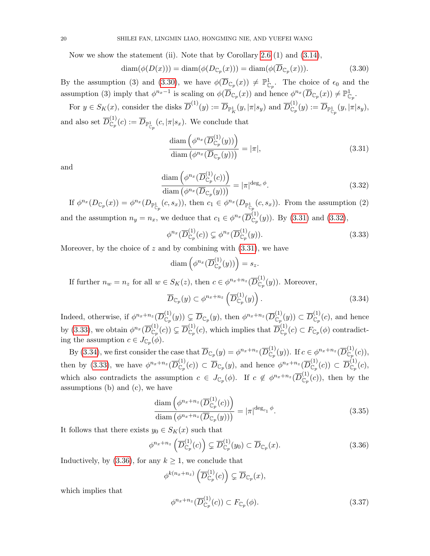Now we show the statement (ii). Note that by Corollary [2.6](#page-6-1)  $(1)$  and  $(3.14)$ ,

<span id="page-19-0"></span>
$$
\text{diam}(\phi(D(x))) = \text{diam}(\phi(D_{\mathbb{C}_p}(x))) = \text{diam}(\phi(\overline{D}_{\mathbb{C}_p}(x))).\tag{3.30}
$$

By the assumption (3) and [\(3.30\)](#page-19-0), we have  $\phi(\overline{D}_{\mathbb{C}_p}(x)) \neq \mathbb{P}^1_{\mathbb{C}_p}$ . The choice of  $\epsilon_0$  and the assumption (3) imply that  $\phi^{n_x-1}$  is scaling on  $\phi(\overline{D}_{\mathbb{C}_p}(x))$  and hence  $\phi^{n_x}(\overline{D}_{\mathbb{C}_p}(x)) \neq \mathbb{P}^1_{\mathbb{C}_p}$ .

For  $y \in S_K(x)$ , consider the disks  $\overline{D}^{(1)}(y) := \overline{D}_{\mathbb{P}^1_K}(y, |\pi| s_y)$  and  $\overline{D}_{\mathbb{C}_p}^{(1)}(y) := \overline{D}_{\mathbb{P}^1_{\mathbb{C}_p}}(y, |\pi| s_y)$ , and also set  $\overline{D}_{\mathbb{C}_p}^{(1)}(c) := \overline{D}_{\mathbb{P}_{\mathbb{C}_p}^1}(c, |\pi|s_x)$ . We conclude that

<span id="page-19-1"></span>
$$
\frac{\text{diam}\left(\phi^{n_x}(\overline{D}_{\mathbb{C}_p}^{(1)}(y))\right)}{\text{diam}\left(\phi^{n_x}(\overline{D}_{\mathbb{C}_p}(y))\right)} = |\pi|,\tag{3.31}
$$

and

<span id="page-19-2"></span>
$$
\frac{\text{diam}\left(\phi^{n_x}(\overline{D}_{\mathbb{C}_p}^{(1)}(c))\right)}{\text{diam}\left(\phi^{n_x}(\overline{D}_{\mathbb{C}_p}(y))\right)} = |\pi|^{\text{deg}_c\phi}.
$$
\n(3.32)

If  $\phi^{n_x}(D_{\mathbb{C}_p}(x)) = \phi^{n_x}(D_{\mathbb{P}^1_{\mathbb{C}_p}}(c,s_x))$ , then  $c_1 \in \phi^{n_x}(D_{\mathbb{P}^1_{\mathbb{C}_p}}(c,s_x))$ . From the assumption (2) and the assumption  $n_y = n_x$ , we deduce that  $c_1 \in \phi^{n_x}(\overline{D}_{\mathbb{C}_p}^{(1)}(y))$ . By [\(3.31\)](#page-19-1) and [\(3.32\)](#page-19-2),

<span id="page-19-3"></span>
$$
\phi^{n_x}(\overline{D}_{\mathbb{C}_p}^{(1)}(c)) \subsetneq \phi^{n_x}(\overline{D}_{\mathbb{C}_p}^{(1)}(y)).
$$
\n(3.33)

Moreover, by the choice of z and by combining with  $(3.31)$ , we have

$$
\text{diam}\left(\phi^{n_x}(\overline{D}_{\mathbb{C}_p}^{(1)}(y))\right) = s_z.
$$

If further  $n_w = n_z$  for all  $w \in S_K(z)$ , then  $c \in \phi^{n_x+n_z}(\overline{D}_{\mathbb{C}_p}^{(1)}(y))$ . Moreover,

<span id="page-19-4"></span>
$$
\overline{D}_{\mathbb{C}_p}(y) \subset \phi^{n_x + n_z} \left( \overline{D}_{\mathbb{C}_p}^{(1)}(y) \right).
$$
 (3.34)

Indeed, otherwise, if  $\phi^{n_x+n_z}(\overline{D}^{(1)}_{\mathbb{C}_p}(y)) \subsetneq \overline{D}_{\mathbb{C}_p}(y)$ , then  $\phi^{n_x+n_z}(\overline{D}^{(1)}_{\mathbb{C}_p}(y)) \subset \overline{D}^{(1)}_{\mathbb{C}_p}(c)$ , and hence by [\(3.33\)](#page-19-3), we obtain  $\phi^{n_x}(\overline{D}_{\mathbb{C}_p}^{(1)}(c)) \subsetneq \overline{D}_{\mathbb{C}_p}^{(1)}(c)$ , which implies that  $\overline{D}_{\mathbb{C}_p}^{(1)}(c) \subset F_{\mathbb{C}_p}(\phi)$  contradicting the assumption  $c \in J_{\mathbb{C}_p}(\phi)$ .

By [\(3.34\)](#page-19-4), we first consider the case that  $\overline{D}_{\mathbb{C}_p}(y) = \phi^{n_x+n_z}(\overline{D}_{\mathbb{C}_p}^{(1)}(y))$ . If  $c \in \phi^{n_x+n_z}(\overline{D}_{\mathbb{C}_p}^{(1)}(c))$ , then by [\(3.33\)](#page-19-3), we have  $\phi^{n_x+n_z}(\overline{D}_{\mathbb{C}_p}^{(1)}(c)) \subset \overline{D}_{\mathbb{C}_p}(y)$ , and hence  $\phi^{n_x+n_z}(\overline{D}_{\mathbb{C}_p}^{(1)}(c)) \subset \overline{D}_{\mathbb{C}_p}^{(1)}(c)$ , which also contradicts the assumption  $c \in J_{\mathbb{C}_p}(\phi)$ . If  $c \notin \phi^{n_x+n_z}(\overline{D}_{\mathbb{C}_p}^{(1)}(c))$ , then by the assumptions (b) and (c), we have

$$
\frac{\text{diam}\left(\phi^{n_x+n_z}(\overline{D}_{\mathbb{C}_p}^{(1)}(c))\right)}{\text{diam}\left(\phi^{n_x+n_z}(\overline{D}_{\mathbb{C}_p}(y))\right)} = |\pi|^{\text{deg}_{c_1}\phi}.
$$
\n(3.35)

It follows that there exists  $y_0 \in S_K(x)$  such that

<span id="page-19-5"></span>
$$
\phi^{n_x+n_z}\left(\overline{D}_{\mathbb{C}_p}^{(1)}(c)\right) \subsetneq \overline{D}_{\mathbb{C}_p}^{(1)}(y_0) \subset \overline{D}_{\mathbb{C}_p}(x). \tag{3.36}
$$

Inductively, by [\(3.36\)](#page-19-5), for any  $k \geq 1$ , we conclude that

$$
\phi^{k(n_x+n_z)}\left(\overline{D}_{\mathbb{C}_p}^{(1)}(c)\right) \subsetneq \overline{D}_{\mathbb{C}_p}(x),
$$

which implies that

<span id="page-19-6"></span>
$$
\phi^{n_x+n_z}(\overline{D}_{\mathbb{C}_p}^{(1)}(c)) \subset F_{\mathbb{C}_p}(\phi). \tag{3.37}
$$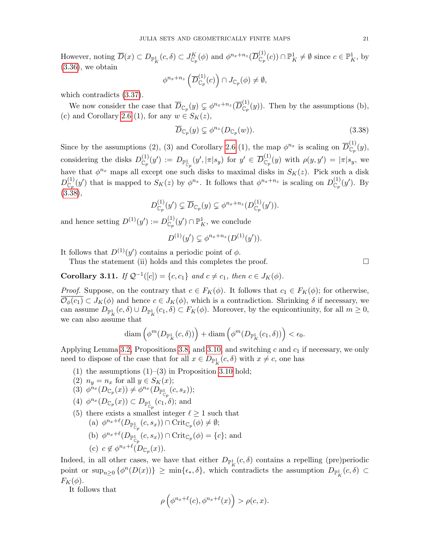However, noting  $\overline{D}(x) \subset D_{\mathbb{P}^1_K}(c,\delta) \subset J^K_{\mathbb{C}_p}(\phi)$  and  $\phi^{n_x+n_z}(\overline{D}^{(1)}_{\mathbb{C}_p}(c)) \cap \mathbb{P}^1_K \neq \emptyset$  since  $c \in \mathbb{P}^1_K$ , by  $(3.36)$ , we obtain

$$
\phi^{n_x+n_z}\left(\overline{D}_{\mathbb{C}_p}^{(1)}(c)\right) \cap J_{\mathbb{C}_p}(\phi) \neq \emptyset,
$$

which contradicts [\(3.37\)](#page-19-6).

We now consider the case that  $\overline{D}_{\mathbb{C}_p}(y) \subsetneq \phi^{n_x+n_z}(\overline{D}_{\mathbb{C}_p}^{(1)}(y))$ . Then by the assumptions (b), (c) and Corollary [2.6](#page-6-1) (1), for any  $w \in S_K(z)$ ,

<span id="page-20-1"></span>
$$
\overline{D}_{\mathbb{C}_p}(y) \subsetneq \phi^{n_z}(D_{\mathbb{C}_p}(w)).\tag{3.38}
$$

Since by the assumptions (2), (3) and Corollary [2.6](#page-6-1) (1), the map  $\phi^{n_x}$  is scaling on  $\overline{D}^{(1)}_{\mathbb{C}_p}(y)$ , considering the disks  $D_{\mathbb{C}_p}^{(1)}(y') := D_{\mathbb{P}_{\mathbb{C}_p}^1}(y',|\pi|s_y)$  for  $y' \in \overline{D}_{\mathbb{C}_p}^{(1)}(y)$  with  $\rho(y,y') = |\pi|s_y$ , we have that  $\phi^{n_x}$  maps all except one such disks to maximal disks in  $S_K(z)$ . Pick such a disk  $D_{\mathbb{C}_p}^{(1)}(y')$  that is mapped to  $S_K(z)$  by  $\phi^{n_x}$ . It follows that  $\phi^{n_x+n_z}$  is scaling on  $D_{\mathbb{C}_p}^{(1)}(y')$ . By  $(3.\overline{3}8),$ 

$$
D_{\mathbb{C}_p}^{(1)}(y') \subsetneq \overline{D}_{\mathbb{C}_p}(y) \subsetneq \phi^{n_x+n_z}(D_{\mathbb{C}_p}^{(1)}(y')).
$$

and hence setting  $D^{(1)}(y') := D_{\mathbb{C}_p}^{(1)}(y') \cap \mathbb{P}^1_K$ , we conclude

$$
D^{(1)}(y') \subsetneq \phi^{n_x+n_z}(D^{(1)}(y')).
$$

It follows that  $D^{(1)}(y')$  contains a periodic point of  $\phi$ .

Thus the statement (ii) holds and this completes the proof.  $\Box$ 

<span id="page-20-0"></span>Corollary 3.11. If  $\mathcal{Q}^{-1}([c]) = \{c, c_1\}$  and  $c \neq c_1$ , then  $c \in J_K(\phi)$ .

*Proof.* Suppose, on the contrary that  $c \in F_K(\phi)$ . It follows that  $c_1 \in F_K(\phi)$ ; for otherwise,  $\overline{\mathcal{O}_{\phi}(c_1)} \subset J_K(\phi)$  and hence  $c \in J_K(\phi)$ , which is a contradiction. Shrinking  $\delta$  if necessary, we can assume  $D_{\mathbb{P}^1_K}(c,\delta) \cup D_{\mathbb{P}^1_K}(c_1,\delta) \subset F_K(\phi)$ . Moreover, by the equicontiunity, for all  $m \geq 0$ , we can also assume that

$$
\text{diam}\left(\phi^m(D_{\mathbb{P}^1_K}(c,\delta))\right) + \text{diam}\left(\phi^m(D_{\mathbb{P}^1_K}(c_1,\delta))\right) < \epsilon_0.
$$

Applying Lemma [3.2,](#page-11-0) Propositions [3.8,](#page-16-0) and [3.10,](#page-18-0) and switching c and  $c_1$  if necessary, we only need to dispose of the case that for all  $x \in D_{\mathbb{P}^1_K}(c, \delta)$  with  $x \neq c$ , one has

- (1) the assumptions  $(1)$ – $(3)$  in Proposition [3.10](#page-18-0) hold;
- (2)  $n_y = n_x$  for all  $y \in S_K(x)$ ;
- (3)  $\phi^{n_x}(D_{\mathbb{C}_p}(x)) \neq \phi^{n_x}(D_{\mathbb{P}^1_{\mathbb{C}_p}}(c,s_x));$
- (4)  $\phi^{n_x}(D_{\mathbb{C}_p}(x)) \subset D_{\mathbb{P}^1_{\mathbb{C}_p}}(c_1, \delta)$ ; and
- (5) there exists a smallest integer  $\ell \geq 1$  such that (a)  $\phi^{n_x+\ell}(D_{\mathbb{P}^1_{\mathbb{C}_p}}(c,s_x)) \cap \mathrm{Crit}_{\mathbb{C}_p}(\phi) \neq \emptyset;$ 
	- (b)  $\phi^{n_x+\ell}(D_{\mathbb{P}_{\mathbb{C}_p}^1}(c,s_x)) \cap \mathrm{Crit}_{\mathbb{C}_p}(\phi) = \{c\};$  and
	- (c)  $c \notin \phi^{n_x+\ell}(D_{\mathbb{C}_p}(x)).$

Indeed, in all other cases, we have that either  $D_{\mathbb{P}^1_K}(c,\delta)$  contains a repelling (pre)periodic point or  $\sup_{n\geq 0} {\{\phi^n(D(x))\}} \geq \min{\{\epsilon_*, \delta\}}$ , which contradicts the assumption  $D_{\mathbb{P}^1_K}(c, \delta) \subset$  $F_K(\phi)$ .

It follows that

$$
\rho\left(\phi^{n_x+\ell}(c),\phi^{n_x+\ell}(x)\right) > \rho(c,x).
$$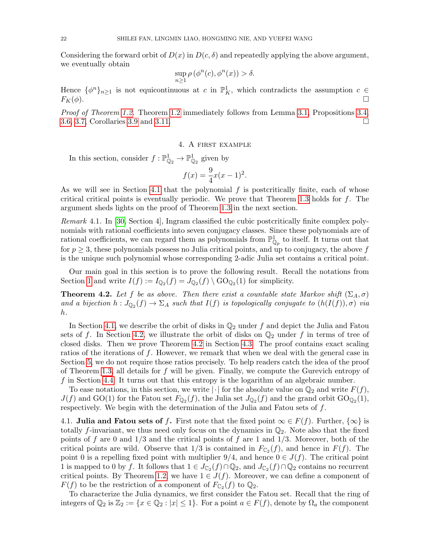Considering the forward orbit of  $D(x)$  in  $D(c, \delta)$  and repeatedly applying the above argument, we eventually obtain

$$
\sup_{n\geq 1}\rho\left(\phi^n(c),\phi^n(x)\right)>\delta.
$$

Hence  $\{\phi^n\}_{n\geq 1}$  is not equicontinuous at c in  $\mathbb{P}^1_K$ , which contradicts the assumption  $c \in$  $F_K(\phi)$ .

Proof of Theorem [1.2.](#page-2-0) Theorem [1.2](#page-2-0) immediately follows from Lemma [3.1,](#page-10-1) Propositions [3.4,](#page-13-0) [3.6,](#page-14-1) [3.7,](#page-15-3) Corollaries [3.9](#page-18-1) and [3.11.](#page-20-0)

# 4. A first example

<span id="page-21-0"></span>In this section, consider  $f: \mathbb{P}^1_{\mathbb{Q}_2} \to \mathbb{P}^1_{\mathbb{Q}_2}$  given by

$$
f(x) = \frac{9}{4}x(x-1)^2.
$$

As we will see in Section [4.1](#page-21-1) that the polynomial f is postcritically finite, each of whose critical critical points is eventually periodic. We prove that Theorem [1.3](#page-2-1) holds for f. The argument sheds lights on the proof of Theorem [1.3](#page-2-1) in the next section.

Remark 4.1. In [\[30,](#page-33-27) Section 4], Ingram classified the cubic postcritically finite complex polynomials with rational coefficients into seven conjugacy classes. Since these polynomials are of rational coefficients, we can regard them as polynomials from  $\mathbb{P}^1_{\mathbb{Q}_p}$  to itself. It turns out that for  $p \geq 3$ , these polynomials possess no Julia critical points, and up to conjugacy, the above f is the unique such polynomial whose corresponding 2-adic Julia set contains a critical point.

Our main goal in this section is to prove the following result. Recall the notations from Section [1](#page-0-0) and write  $I(f) := I_{\mathbb{Q}_2}(f) = J_{\mathbb{Q}_2}(f) \setminus \mathrm{GO}_{\mathbb{Q}_2}(1)$  for simplicity.

<span id="page-21-2"></span>**Theorem 4.2.** Let f be as above. Then there exist a countable state Markov shift  $(\Sigma_A, \sigma)$ and a bijection  $h: J_{\mathbb{Q}_2}(f) \to \Sigma_A$  such that  $I(f)$  is topologically conjugate to  $(h(I(f)), \sigma)$  via h.

In Section [4.1,](#page-21-1) we describe the orbit of disks in  $\mathbb{Q}_2$  under f and depict the Julia and Fatou sets of f. In Section [4.2,](#page-25-0) we illustrate the orbit of disks on  $\mathbb{Q}_2$  under f in terms of tree of closed disks. Then we prove Theorem [4.2](#page-21-2) in Section [4.3.](#page-25-1) The proof contains exact scaling ratios of the iterations of f. However, we remark that when we deal with the general case in Section [5,](#page-28-0) we do not require those ratios precisely. To help readers catch the idea of the proof of Theorem [1.3,](#page-2-1) all details for f will be given. Finally, we compute the Gurevich entropy of f in Section [4.4.](#page-28-1) It turns out that this entropy is the logarithm of an algebraic number.

To ease notations, in this section, we write  $|\cdot|$  for the absolute value on  $\mathbb{Q}_2$  and write  $F(f)$ ,  $J(f)$  and GO(1) for the Fatou set  $F_{\mathbb{Q}_2}(f)$ , the Julia set  $J_{\mathbb{Q}_2}(f)$  and the grand orbit  $\text{GO}_{\mathbb{Q}_2}(1)$ , respectively. We begin with the determination of the Julia and Fatou sets of  $f$ .

<span id="page-21-1"></span>4.1. Julia and Fatou sets of f. First note that the fixed point  $\infty \in F(f)$ . Further,  $\{\infty\}$  is totally f-invariant, we thus need only focus on the dynamics in  $\mathbb{Q}_2$ . Note also that the fixed points of f are 0 and  $1/3$  and the critical points of f are 1 and  $1/3$ . Moreover, both of the critical points are wild. Observe that  $1/3$  is contained in  $F_{\mathbb{C}_2}(f)$ , and hence in  $F(f)$ . The point 0 is a repelling fixed point with multiplier  $9/4$ , and hence  $0 \in J(f)$ . The critical point 1 is mapped to 0 by f. It follows that  $1 \in J_{\mathbb{C}_2}(f) \cap \mathbb{Q}_2$ , and  $J_{\mathbb{C}_2}(f) \cap \mathbb{Q}_2$  contains no recurrent critical points. By Theorem [1.2,](#page-2-0) we have  $1 \in J(f)$ . Moreover, we can define a component of  $F(f)$  to be the restriction of a component of  $F_{\mathbb{C}_2}(f)$  to  $\mathbb{Q}_2$ .

To characterize the Julia dynamics, we first consider the Fatou set. Recall that the ring of integers of  $\mathbb{Q}_2$  is  $\mathbb{Z}_2 := \{x \in \mathbb{Q}_2 : |x| \leq 1\}$ . For a point  $a \in F(f)$ , denote by  $\Omega_a$  the component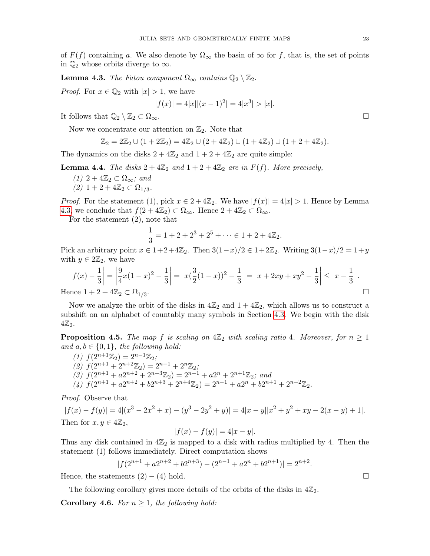of  $F(f)$  containing a. We also denote by  $\Omega_{\infty}$  the basin of  $\infty$  for f, that is, the set of points in  $\mathbb{Q}_2$  whose orbits diverge to  $\infty$ .

<span id="page-22-0"></span>**Lemma 4.3.** The Fatou component  $\Omega_{\infty}$  contains  $\mathbb{Q}_2 \setminus \mathbb{Z}_2$ .

*Proof.* For  $x \in \mathbb{Q}_2$  with  $|x| > 1$ , we have

$$
|f(x)| = 4|x||(x-1)^2| = 4|x^3| > |x|.
$$

It follows that  $\mathbb{Q}_2 \setminus \mathbb{Z}_2 \subset \Omega_\infty$ .

Now we concentrate our attention on  $\mathbb{Z}_2$ . Note that

$$
\mathbb{Z}_2 = 2\mathbb{Z}_2 \cup (1 + 2\mathbb{Z}_2) = 4\mathbb{Z}_2 \cup (2 + 4\mathbb{Z}_2) \cup (1 + 4\mathbb{Z}_2) \cup (1 + 2 + 4\mathbb{Z}_2).
$$

The dynamics on the disks  $2 + 4\mathbb{Z}_2$  and  $1 + 2 + 4\mathbb{Z}_2$  are quite simple:

<span id="page-22-2"></span>**Lemma 4.4.** The disks  $2 + 4\mathbb{Z}_2$  and  $1 + 2 + 4\mathbb{Z}_2$  are in  $F(f)$ . More precisely,

 $(1)$  2 +  $4\mathbb{Z}_2 \subset \Omega_{\infty}$ ; and (2)  $1+2+4\mathbb{Z}_2 \subset \Omega_{1/3}.$ 

*Proof.* For the statement (1), pick  $x \in 2 + 4\mathbb{Z}_2$ . We have  $|f(x)| = 4|x| > 1$ . Hence by Lemma [4.3,](#page-22-0) we conclude that  $f(2+4\mathbb{Z}_2) \subset \Omega_{\infty}$ . Hence  $2+4\mathbb{Z}_2 \subset \Omega_{\infty}$ .

For the statement (2), note that

$$
\frac{1}{3} = 1 + 2 + 2^3 + 2^5 + \dots \in 1 + 2 + 4\mathbb{Z}_2.
$$

Pick an arbitrary point  $x \in 1+2+4\mathbb{Z}_2$ . Then  $3(1-x)/2 \in 1+2\mathbb{Z}_2$ . Writing  $3(1-x)/2 = 1+y$ with  $y \in 2\mathbb{Z}_2$ , we have

$$
\left| f(x) - \frac{1}{3} \right| = \left| \frac{9}{4} x (1 - x)^2 - \frac{1}{3} \right| = \left| x (\frac{3}{2} (1 - x))^2 - \frac{1}{3} \right| = \left| x + 2xy + xy^2 - \frac{1}{3} \right| \le \left| x - \frac{1}{3} \right|.
$$
  
Since  $1 + 2 + 4\mathbb{Z}_2 \subset \Omega_{1/3}$ .

Hence  $1+2+4\mathbb{Z}_2 \subset \Omega_{1/3}$ 

Now we analyze the orbit of the disks in  $4\mathbb{Z}_2$  and  $1 + 4\mathbb{Z}_2$ , which allows us to construct a subshift on an alphabet of countably many symbols in Section [4.3.](#page-25-1) We begin with the disk  $4\mathbb{Z}_2$ .

<span id="page-22-1"></span>**Proposition 4.5.** The map f is scaling on  $4\mathbb{Z}_2$  with scaling ratio 4. Moreover, for  $n \geq 1$ and  $a, b \in \{0, 1\}$ , the following hold:

(1)  $f(2^{n+1}\mathbb{Z}_2) = 2^{n-1}\mathbb{Z}_2;$  $(2) f(2^{n+1} + 2^{n+2} \mathbb{Z}_2) = 2^{n-1} + 2^n \mathbb{Z}_2;$ (3)  $f(2^{n+1} + a2^{n+2} + 2^{n+3}\mathbb{Z}_2) = 2^{n-1} + a2^n + 2^{n+1}\mathbb{Z}_2$ ; and (4)  $f(2^{n+1} + a2^{n+2} + b2^{n+3} + 2^{n+4} \mathbb{Z}_2) = 2^{n-1} + a2^n + b2^{n+1} + 2^{n+2} \mathbb{Z}_2.$ 

Proof. Observe that

$$
|f(x) - f(y)| = 4|(x^3 - 2x^2 + x) - (y^3 - 2y^2 + y)| = 4|x - y||x^2 + y^2 + xy - 2(x - y) + 1|.
$$
  
Then for  $x, y \in 4\mathbb{Z}_2$ ,  

$$
|f(x) - f(y)| = 4|x - y|.
$$

Thus any disk contained in  $4\mathbb{Z}_2$  is mapped to a disk with radius multiplied by 4. Then the statement (1) follows immediately. Direct computation shows

$$
|f(2^{n+1} + a2^{n+2} + b2^{n+3}) - (2^{n-1} + a2^n + b2^{n+1})| = 2^{n+2}.
$$

Hence, the statements  $(2) - (4)$  hold.

The following corollary gives more details of the orbits of the disks in 
$$
4\mathbb{Z}_2
$$
.

<span id="page-22-3"></span>**Corollary 4.6.** For  $n \geq 1$ , the following hold: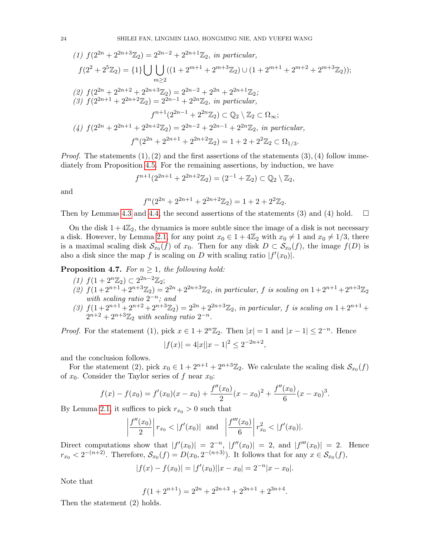(1) 
$$
f(2^{2n} + 2^{2n+3}\mathbb{Z}_2) = 2^{2n-2} + 2^{2n+1}\mathbb{Z}_2
$$
, in particular,  
\n $f(2^2 + 2^5\mathbb{Z}_2) = \{1\} \bigcup \bigcup_{m \ge 2} ((1 + 2^{m+1} + 2^{m+3}\mathbb{Z}_2) \cup (1 + 2^{m+1} + 2^{m+2} + 2^{m+3}\mathbb{Z}_2));$   
\n(2)  $f(2^{2n} + 2^{2n+2} + 2^{2n+3}\mathbb{Z}_2) = 2^{2n-2} + 2^{2n} + 2^{2n+1}\mathbb{Z}_2;$   
\n(3)  $f(2^{2n+1} + 2^{2n+2}\mathbb{Z}_2) = 2^{2n-1} + 2^{2n}\mathbb{Z}_2$ , in particular,  
\n $f^{n+1}(2^{2n-1} + 2^{2n}\mathbb{Z}_2) \subset \mathbb{Q}_2 \setminus \mathbb{Z}_2 \subset \Omega_\infty;$   
\n(4)  $f(2^{2n} + 2^{2n+1} + 2^{2n+2}\mathbb{Z}_2) = 2^{2n-2} + 2^{2n-1} + 2^{2n}\mathbb{Z}_2$ , in particular,  
\n $f^n(2^{2n} + 2^{2n+1} + 2^{2n+2}\mathbb{Z}_2) = 1 + 2 + 2^2\mathbb{Z}_2 \subset \Omega_{1/3}.$ 

*Proof.* The statements  $(1), (2)$  and the first assertions of the statements  $(3), (4)$  follow immediately from Proposition [4.5.](#page-22-1) For the remaining assertions, by induction, we have

$$
f^{n+1}(2^{2n+1} + 2^{2n+2} \mathbb{Z}_2) = (2^{-1} + \mathbb{Z}_2) \subset \mathbb{Q}_2 \setminus \mathbb{Z}_2,
$$

and

$$
f^{n}(2^{2n} + 2^{2n+1} + 2^{2n+2} \mathbb{Z}_2) = 1 + 2 + 2^{2} \mathbb{Z}_2.
$$

Then by Lemmas [4.3](#page-22-0) and [4.4,](#page-22-2) the second assertions of the statements (3) and (4) hold.  $\square$ 

On the disk  $1 + 4\mathbb{Z}_2$ , the dynamics is more subtle since the image of a disk is not necessary a disk. However, by Lemma [2.1,](#page-5-0) for any point  $x_0 \in 1 + 4\mathbb{Z}_2$  with  $x_0 \neq 1$  and  $x_0 \neq 1/3$ , there is a maximal scaling disk  $\mathcal{S}_{x_0}(f)$  of  $x_0$ . Then for any disk  $D \subset \mathcal{S}_{x_0}(f)$ , the image  $f(D)$  is also a disk since the map f is scaling on D with scaling ratio  $|f'(x_0)|$ .

<span id="page-23-0"></span>**Proposition 4.7.** For  $n \geq 1$ , the following hold:

- (1)  $f(1 + 2^n \mathbb{Z}_2) \subset 2^{2n-2} \mathbb{Z}_2;$
- (2)  $f(1+2^{n+1}+2^{n+3}\mathbb{Z}_2)=2^{2n}+2^{2n+3}\mathbb{Z}_2$ , in particular, f is scaling on  $1+2^{n+1}+2^{n+3}\mathbb{Z}_2$ with scaling ratio  $2^{-n}$ ; and
- (3)  $f(1+2^{n+1}+2^{n+2}+2^{n+3}\mathbb{Z}_2)=2^{2n}+2^{2n+3}\mathbb{Z}_2$ , in particular, f is scaling on  $1+2^{n+1}+$  $2^{n+2} + 2^{n+3} \mathbb{Z}_2$  with scaling ratio  $2^{-n}$ .

*Proof.* For the statement (1), pick  $x \in 1 + 2^n \mathbb{Z}_2$ . Then  $|x| = 1$  and  $|x - 1| \leq 2^{-n}$ . Hence  $|f(x)| = 4|x||x-1|^2 \leq 2^{-2n+2},$ 

and the conclusion follows.

For the statement (2), pick  $x_0 \in 1 + 2^{n+1} + 2^{n+3} \mathbb{Z}_2$ . We calculate the scaling disk  $\mathcal{S}_{x_0}(f)$ of  $x_0$ . Consider the Taylor series of f near  $x_0$ :

$$
f(x) - f(x_0) = f'(x_0)(x - x_0) + \frac{f''(x_0)}{2}(x - x_0)^2 + \frac{f''(x_0)}{6}(x - x_0)^3.
$$

By Lemma [2.1,](#page-5-0) it suffices to pick  $r_{x_0} > 0$  such that

$$
\left|\frac{f''(x_0)}{2}\right| r_{x_0} < |f'(x_0)| \text{ and } \left|\frac{f'''(x_0)}{6}\right| r_{x_0}^2 < |f'(x_0)|.
$$

Direct computations show that  $|f'(x_0)| = 2^{-n}$ ,  $|f''(x_0)| = 2$ , and  $|f'''(x_0)| = 2$ . Hence  $r_{x_0} < 2^{-(n+2)}$ . Therefore,  $\mathcal{S}_{x_0}(f) = D(x_0, 2^{-(n+3)})$ . It follows that for any  $x \in \mathcal{S}_{x_0}(f)$ ,

$$
|f(x) - f(x_0)| = |f'(x_0)||x - x_0| = 2^{-n}|x - x_0|.
$$

Note that

$$
f(1 + 2^{n+1}) = 2^{2n} + 2^{2n+3} + 2^{3n+1} + 2^{3n+4}.
$$

Then the statement (2) holds.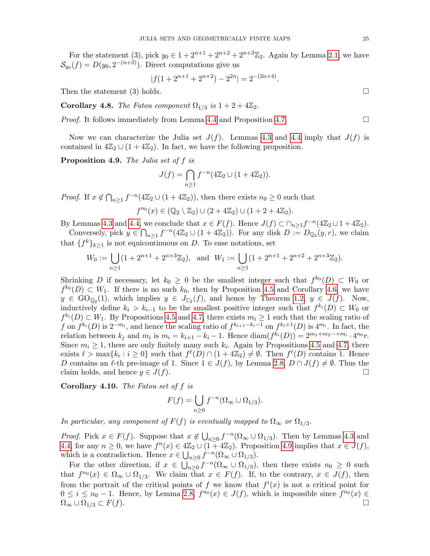For the statement (3), pick  $y_0 \in 1 + 2^{n+1} + 2^{n+2} + 2^{n+3}\mathbb{Z}_2$ . Again by Lemma [2.1,](#page-5-0) we have  $S_{y_0}(f) = D(y_0, 2^{-(n+3)})$ . Direct computations give us

$$
|f(1 + 2^{n+1} + 2^{n+2}) - 2^{2n}| = 2^{-(2n+4)}.
$$

Then the statement (3) holds.  $\square$ 

Corollary 4.8. The Fatou component  $\Omega_{1/3}$  is  $1 + 2 + 4\mathbb{Z}_2$ .

*Proof.* It follows immediately from Lemma [4.4](#page-22-2) and Proposition [4.7.](#page-23-0)  $\Box$ 

Now we can characterize the Julia set  $J(f)$ . Lemmas [4.3](#page-22-0) and [4.4](#page-22-2) imply that  $J(f)$  is contained in  $4\mathbb{Z}_2 \cup (1 + 4\mathbb{Z}_2)$ . In fact, we have the following proposition.

<span id="page-24-0"></span>Proposition 4.9. The Julia set of f is

$$
J(f) = \bigcap_{n\geq 1} f^{-n}(4\mathbb{Z}_2 \cup (1+4\mathbb{Z}_2)).
$$

*Proof.* If  $x \notin \bigcap_{n\geq 1} f^{-n}(4\mathbb{Z}_2 \cup (1+4\mathbb{Z}_2))$ , then there exists  $n_0 \geq 0$  such that  $f^{n_0}(x) \in (\mathbb{Q}_2 \setminus \mathbb{Z}_2) \cup (2 + 4\mathbb{Z}_2) \cup (1 + 2 + 4\mathbb{Z}_2).$ 

By Lemmas [4.3](#page-22-0) and [4.4,](#page-22-2) we conclude that  $x \in F(f)$ . Hence  $J(f) \subset \bigcap_{n \geq 1} f^{-n}(4\mathbb{Z}_2 \cup 1 + 4\mathbb{Z}_2)$ .

Conversely, pick  $y \in \bigcap_{n\geq 1} f^{-n}(4\mathbb{Z}_2 \cup (1+4\mathbb{Z}_2))$ . For any disk  $D := D_{\mathbb{Q}_2}(y,r)$ , we claim that  $\{f^k\}_{k\geq 1}$  is not equicontinuous on D. To ease notations, set

$$
W_0 := \bigcup_{n \ge 1} (1 + 2^{n+1} + 2^{n+3} \mathbb{Z}_2), \text{ and } W_1 := \bigcup_{n \ge 1} (1 + 2^{n+1} + 2^{n+2} + 2^{n+3} \mathbb{Z}_2).
$$

Shrinking D if necessary, let  $k_0 \geq 0$  be the smallest integer such that  $f^{k_0}(D) \subset W_0$  or  $f^{k_0}(D) \subset W_1$ . If there is no such  $k_0$ , then by Proposition [4.5](#page-22-1) and Corollary [4.6,](#page-22-3) we have  $y \in \text{GO}_{\mathbb{Q}_2}(1)$ , which implies  $y \in J_{\mathbb{C}_2}(f)$ , and hence by Theorem [1.2,](#page-2-0)  $y \in J(f)$ . Now, inductively define  $k_i > k_{i-1}$  to be the smallest positive integer such that  $f^{k_i}(D) \subset W_0$  or  $f^{k_i}(D) \subset W_1$ . By Propositions [4.5](#page-22-1) and [4.7,](#page-23-0) there exists  $m_i \geq 1$  such that the scaling ratio of f on  $f^{k_i}(D)$  is  $2^{-m_i}$ , and hence the scaling ratio of  $f^{k_{i+1}-k_i-1}$  on  $f^{k_i+1}(D)$  is  $4^{m_i}$ . In fact, the relation between  $k_j$  and  $m_i$  is  $m_i = k_{i+1} - k_i - 1$ . Hence  $\text{diam}(f^{k_i}(D)) = 2^{m_1 + m_2 \cdots + m_i} \cdot 4^{n_0} r$ . Since  $m_i \geq 1$ , there are only finitely many such  $k_i$ . Again by Propositions [4.5](#page-22-1) and [4.7,](#page-23-0) there exists  $\ell > \max\{k_i : i \geq 0\}$  such that  $f^{\ell}(D) \cap (1 + 4\mathbb{Z}_2) \neq \emptyset$ . Then  $f^{\ell}(D)$  contains 1. Hence D contains an  $\ell$ -th pre-image of 1. Since  $1 \in J(f)$ , by Lemma [2.8,](#page-8-0)  $D \cap J(f) \neq \emptyset$ . Thus the claim holds, and hence  $y \in J(f)$ .

Corollary 4.10. The Fatou set of f is

$$
F(f) = \bigcup_{n \ge 0} f^{-n}(\Omega_{\infty} \cup \Omega_{1/3}).
$$

In particular, any component of  $F(f)$  is eventually mapped to  $\Omega_{\infty}$  or  $\Omega_{1/3}$ .

*Proof.* Pick  $x \in F(f)$ . Suppose that  $x \notin \bigcup_{n\geq 0} f^{-n}(\Omega_\infty \cup \Omega_{1/3})$ . Then by Lemmas [4.3](#page-22-0) and [4.4,](#page-22-2) for any  $n \geq 0$ , we have  $f^{n}(x) \in 4\mathbb{Z}_2 \cup (1+4\mathbb{Z}_2)$ . Proposition [4.9](#page-24-0) implies that  $x \in J(f)$ , which is a contradiction. Hence  $x \in \bigcup_{n \geq 0} f^{-n}(\Omega_\infty \cup \Omega_{1/3}).$ 

For the other direction, if  $x \in \bigcup_{n\geq 0} \overline{f}^{-n}(\Omega_\infty \cup \Omega_{1/3})$ , then there exists  $n_0 \geq 0$  such that  $f^{n_0}(x) \in \Omega_\infty \cup \Omega_{1/3}$ . We claim that  $x \in F(f)$ . If, to the contrary,  $x \in J(f)$ , then from the portrait of the critical points of f we know that  $f^{i}(x)$  is not a critical point for  $0 \leq i \leq n_0 - 1$ . Hence, by Lemma [2.8,](#page-8-0)  $f^{n_0}(x) \in J(f)$ , which is impossible since  $f^{n_0}(x) \in$  $\Omega_{\infty} \cup \Omega_{1/3} \subset F(f).$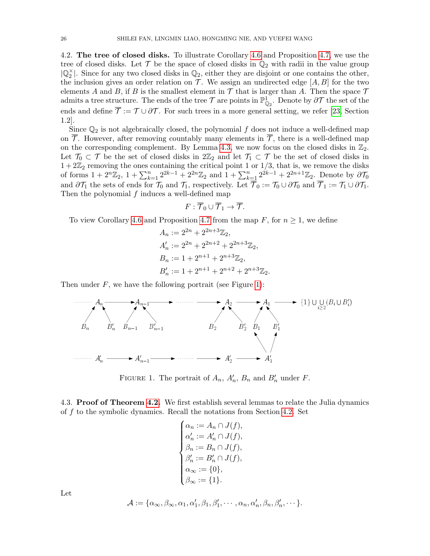<span id="page-25-0"></span>4.2. The tree of closed disks. To illustrate Corollary [4.6](#page-22-3) and Proposition [4.7,](#page-23-0) we use the tree of closed disks. Let  $\mathcal T$  be the space of closed disks in  $\mathbb Q_2$  with radii in the value group  $|\mathbb{Q}_2^{\times}|$ . Since for any two closed disks in  $\mathbb{Q}_2$ , either they are disjoint or one contains the other, the inclusion gives an order relation on  $\mathcal T$ . We assign an undirected edge  $[A, B]$  for the two elements A and B, if B is the smallest element in  $\mathcal T$  that is larger than A. Then the space  $\mathcal T$ admits a tree structure. The ends of the tree  $\mathcal T$  are points in  $\mathbb{P}^1_{\mathbb{Q}_2}$ . Denote by  $\partial \mathcal T$  the set of the ends and define  $\overline{\mathcal{T}} := \mathcal{T} \cup \partial \mathcal{T}$ . For such trees in a more general setting, we refer [\[23,](#page-33-28) Section 1.2].

Since  $\mathbb{Q}_2$  is not algebraically closed, the polynomial f does not induce a well-defined map on  $\overline{\mathcal{T}}$ . However, after removing countably many elements in  $\overline{\mathcal{T}}$ , there is a well-defined map on the corresponding complement. By Lemma [4.3,](#page-22-0) we now focus on the closed disks in  $\mathbb{Z}_2$ . Let  $\mathcal{T}_0 \subset \mathcal{T}$  be the set of closed disks in  $2\mathbb{Z}_2$  and let  $\mathcal{T}_1 \subset \mathcal{T}$  be the set of closed disks in  $1+2\mathbb{Z}_2$  removing the ones containing the critical point 1 or  $1/3$ , that is, we remove the disks of forms  $1 + 2^n \bar{\mathbb{Z}}_2$ ,  $1 + \sum_{k=1}^n 2^{2k-1} + 2^{2n} \mathbb{Z}_2$  and  $1 + \sum_{k=1}^n 2^{2k-1} + 2^{2n+1} \mathbb{Z}_2$ . Denote by  $\partial \mathcal{T}_0$ and  $\partial \mathcal{T}_1$  the sets of ends for  $\mathcal{T}_0$  and  $\mathcal{T}_1$ , respectively. Let  $\overline{\mathcal{T}}_0 := \mathcal{T}_0 \cup \partial \mathcal{T}_0$  and  $\overline{\mathcal{T}}_1 := \mathcal{T}_1 \cup \partial \mathcal{T}_1$ . Then the polynomial  $f$  induces a well-defined map

$$
F:\overline{\mathcal{T}}_0\cup\overline{\mathcal{T}}_1\to\overline{\mathcal{T}}.
$$

To view Corollary [4.6](#page-22-3) and Proposition [4.7](#page-23-0) from the map  $F$ , for  $n \geq 1$ , we define

$$
A_n := 2^{2n} + 2^{2n+3} \mathbb{Z}_2,
$$
  
\n
$$
A'_n := 2^{2n} + 2^{2n+2} + 2^{2n+3} \mathbb{Z}_2,
$$
  
\n
$$
B_n := 1 + 2^{n+1} + 2^{n+3} \mathbb{Z}_2,
$$
  
\n
$$
B'_n := 1 + 2^{n+1} + 2^{n+2} + 2^{n+3} \mathbb{Z}_2.
$$

Then under  $F$ , we have the following portrait (see Figure [1\)](#page-25-2):



FIGURE 1. The portrait of  $A_n$ ,  $A'_n$ ,  $B_n$  and  $B'_n$  under F.

<span id="page-25-1"></span>4.3. Proof of Theorem [4.2.](#page-21-2) We first establish several lemmas to relate the Julia dynamics of f to the symbolic dynamics. Recall the notations from Section [4.2.](#page-25-0) Set

<span id="page-25-2"></span>
$$
\begin{cases} \alpha_n := A_n \cap J(f), \\ \alpha'_n := A'_n \cap J(f), \\ \beta_n := B_n \cap J(f), \\ \beta'_n := B'_n \cap J(f), \\ \alpha_\infty := \{0\}, \\ \beta_\infty := \{1\}. \end{cases}
$$

Let

$$
\mathcal{A} := {\alpha_{\infty}, \beta_{\infty}, \alpha_1, \alpha'_1, \beta_1, \beta'_1, \cdots, \alpha_n, \alpha'_n, \beta_n, \beta'_n, \cdots }.
$$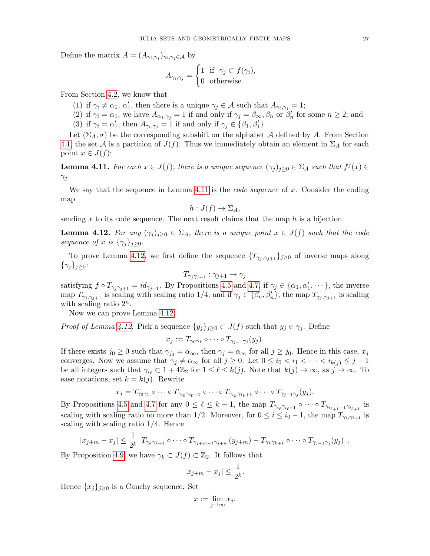Define the matrix  $A = (A_{\gamma_i, \gamma_j})_{\gamma_i, \gamma_j \in \mathcal{A}}$  by

$$
A_{\gamma_i, \gamma_j} = \begin{cases} 1 & \text{if } \gamma_j \subset f(\gamma_i), \\ 0 & \text{otherwise.} \end{cases}
$$

From Section [4.2,](#page-25-0) we know that

- (1) if  $\gamma_i \neq \alpha_1, \alpha'_1$ , then there is a unique  $\gamma_j \in \mathcal{A}$  such that  $A_{\gamma_i, \gamma_j} = 1$ ;
- (2) if  $\gamma_i = \alpha_1$ , we have  $A_{\alpha_1,\gamma_j} = 1$  if and only if  $\gamma_j = \beta_{\infty}, \beta_n$  or  $\beta'_n$  for some  $n \geq 2$ ; and
- (3) if  $\gamma_i = \alpha'_1$ , then  $A_{\gamma_i, \gamma_j} = 1$  if and only if  $\gamma_j \in {\beta_1, \beta'_1}$ .

Let  $(\Sigma_A, \sigma)$  be the corresponding subshift on the alphabet A defined by A. From Section [4.1,](#page-21-1) the set A is a partition of  $J(f)$ . Thus we immediately obtain an element in  $\Sigma_A$  for each point  $x \in J(f)$ :

<span id="page-26-0"></span>**Lemma 4.11.** For each  $x \in J(f)$ , there is a unique sequence  $(\gamma_j)_{j \geq 0} \in \Sigma_A$  such that  $f^j(x) \in$  $\gamma_j$ .

We say that the sequence in Lemma [4.11](#page-26-0) is the *code sequence* of x. Consider the coding map

$$
h: J(f) \to \Sigma_A,
$$

sending x to its code sequence. The next result claims that the map  $h$  is a bijection.

<span id="page-26-1"></span>**Lemma 4.12.** For any  $(\gamma_i)_{i>0} \in \Sigma_A$ , there is a unique point  $x \in J(f)$  such that the code sequence of x is  $\{\gamma_j\}_{j\geq 0}$ .

To prove Lemma [4.12,](#page-26-1) we first define the sequence  $\{T_{\gamma_i,\gamma_{i+1}}\}_{j\geq 0}$  of inverse maps along  $\{\gamma_j\}_{j\geq 0}$ :

$$
T_{\gamma_j\gamma_{j+1}}:\gamma_{j+1}\to\gamma_j
$$

satisfying  $f \circ T_{\gamma_j \gamma_{j+1}} = id_{\gamma_{j+1}}$ . By Propositions [4.5](#page-22-1) and [4.7,](#page-23-0) if  $\gamma_j \in {\alpha_1, \alpha'_1, \cdots}$ , the inverse map  $T_{\gamma_j,\gamma_{j+1}}$  is scaling with scaling ratio 1/4; and if  $\gamma_j \in {\beta_n, \beta_n'}$ , the map  $T_{\gamma_j,\gamma_{j+1}}$  is scaling with scaling ratio  $2^n$ .

Now we can prove Lemma [4.12.](#page-26-1)

*Proof of Lemma [4.12.](#page-26-1)* Pick a sequence  $\{y_j\}_{j\geq 0} \subset J(f)$  such that  $y_j \in \gamma_j$ . Define

$$
x_j := T_{\gamma_0 \gamma_1} \circ \cdots \circ T_{\gamma_{j-1} \gamma_j}(y_j).
$$

If there exists  $j_0 \geq 0$  such that  $\gamma_{j_0} = \alpha_{\infty}$ , then  $\gamma_j = \alpha_{\infty}$  for all  $j \geq j_0$ . Hence in this case,  $x_j$ converges. Now we assume that  $\gamma_j \neq \alpha_\infty$  for all  $j \geq 0$ . Let  $0 \leq i_0 < i_1 < \cdots < i_{k(j)} \leq j-1$ be all integers such that  $\gamma_{i_\ell} \subset 1 + 4\mathbb{Z}_2$  for  $1 \leq \ell \leq k(j)$ . Note that  $k(j) \to \infty$ , as  $j \to \infty$ . To ease notations, set  $k = k(j)$ . Rewrite

$$
x_j = T_{\gamma_0 \gamma_1} \circ \cdots \circ T_{\gamma_{i_0} \gamma_{i_0+1}} \circ \cdots \circ T_{\gamma_{i_k} \gamma_{i_k+1}} \circ \cdots \circ T_{\gamma_{j-1} \gamma_j}(y_j).
$$

By Propositions [4.5](#page-22-1) and [4.7](#page-23-0) for any  $0 \leq \ell \leq k-1$ , the map  $T_{\gamma_{i_\ell}\gamma_{i_\ell+1}} \circ \cdots \circ T_{\gamma_{i_{\ell+1}-1}\gamma_{i_{\ell+1}}}$  is scaling with scaling ratio no more than 1/2. Moreover, for  $0 \le i \le i_0 - 1$ , the map  $T_{\gamma_i, \gamma_{i+1}}$  is scaling with scaling ratio  $1/4$ . Hence

$$
|x_{j+m}-x_j| \leq \frac{1}{2^k} \left|T_{\gamma_k \gamma_{k+1}} \circ \cdots \circ T_{\gamma_{j+m-1} \gamma_{j+m}}(y_{j+m}) - T_{\gamma_k \gamma_{k+1}} \circ \cdots \circ T_{\gamma_{j-1} \gamma_j}(y_j)\right|.
$$

By Proposition [4.9,](#page-24-0) we have  $\gamma_k \subset J(f) \subset \mathbb{Z}_2$ . It follows that

$$
|x_{j+m} - x_j| \le \frac{1}{2^k}.
$$

Hence  ${x_j}_{j>0}$  is a Cauchy sequence. Set

$$
x := \lim_{j \to \infty} x_j.
$$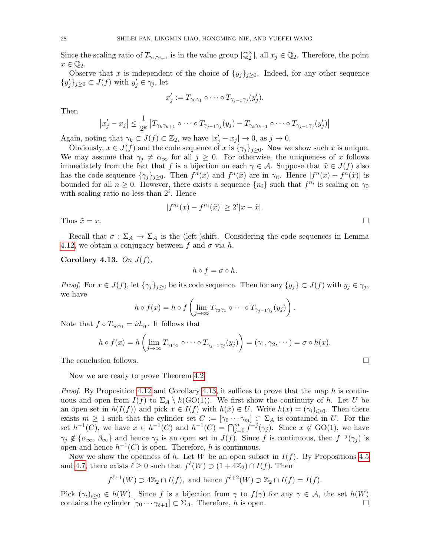Since the scaling ratio of  $T_{\gamma_i,\gamma_{i+1}}$  is in the value group  $|\mathbb{Q}_2^{\times}|$ , all  $x_j \in \mathbb{Q}_2$ . Therefore, the point  $x \in \mathbb{Q}_2.$ 

Observe that x is independent of the choice of  $\{y_j\}_{j\geq 0}$ . Indeed, for any other sequence  $\{y'_j\}_{j\geq 0} \subset J(f)$  with  $y'_j \in \gamma_j$ , let

$$
x'_j := T_{\gamma_0 \gamma_1} \circ \cdots \circ T_{\gamma_{j-1} \gamma_j} (y'_j).
$$

Then

$$
|x'_j - x_j| \leq \frac{1}{2^k} |T_{\gamma_k \gamma_{k+1}} \circ \cdots \circ T_{\gamma_{j-1} \gamma_j}(y_j) - T_{\gamma_k \gamma_{k+1}} \circ \cdots \circ T_{\gamma_{j-1} \gamma_j}(y'_j)|
$$

Again, noting that  $\gamma_k \subset J(f) \subset \mathbb{Z}_2$ , we have  $|x'_j - x_j| \to 0$ , as  $j \to 0$ ,

Obviously,  $x \in J(f)$  and the code sequence of x is  $\{\gamma_j\}_{j\geq 0}$ . Now we show such x is unique. We may assume that  $\gamma_j \neq \alpha_\infty$  for all  $j \geq 0$ . For otherwise, the uniqueness of x follows immediately from the fact that f is a bijection on each  $\gamma \in A$ . Suppose that  $\tilde{x} \in J(f)$  also has the code sequence  $\{\gamma_j\}_{j\geq 0}$ . Then  $f^n(x)$  and  $f^n(\tilde{x})$  are in  $\gamma_n$ . Hence  $|f^n(x) - f^n(\tilde{x})|$  is bounded for all  $n \geq 0$ . However, there exists a sequence  $\{n_i\}$  such that  $f^{n_i}$  is scaling on  $\gamma_0$ with scaling ratio no less than  $2^i$ . Hence

$$
|f^{n_i}(x) - f^{n_i}(\tilde{x})| \ge 2^i |x - \tilde{x}|.
$$

Thus  $\tilde{x} = x$ .

Recall that  $\sigma : \Sigma_A \to \Sigma_A$  is the (left-)shift. Considering the code sequences in Lemma [4.12,](#page-26-1) we obtain a conjugacy between f and  $\sigma$  via h.

<span id="page-27-0"></span>Corollary 4.13. On  $J(f)$ ,

 $h \circ f = \sigma \circ h.$ 

*Proof.* For  $x \in J(f)$ , let  $\{\gamma_j\}_{j\geq 0}$  be its code sequence. Then for any  $\{y_j\} \subset J(f)$  with  $y_j \in \gamma_j$ , we have

$$
h \circ f(x) = h \circ f\left(\lim_{j \to \infty} T_{\gamma_0 \gamma_1} \circ \cdots \circ T_{\gamma_{j-1} \gamma_j}(y_j)\right).
$$

Note that  $f \circ T_{\gamma_0 \gamma_1} = id_{\gamma_1}$ . It follows that

$$
h \circ f(x) = h\left(\lim_{j \to \infty} T_{\gamma_1 \gamma_2} \circ \cdots \circ T_{\gamma_{j-1} \gamma_j}(y_j)\right) = (\gamma_1, \gamma_2, \cdots) = \sigma \circ h(x).
$$

The conclusion follows.

Now we are ready to prove Theorem [4.2](#page-21-2)

*Proof.* By Proposition [4.12](#page-26-1) and Corollary [4.13,](#page-27-0) it suffices to prove that the map h is continuous and open from  $I(f)$  to  $\Sigma_A \setminus h(\text{GO}(1))$ . We first show the continuity of h. Let U be an open set in  $h(I(f))$  and pick  $x \in I(f)$  with  $h(x) \in U$ . Write  $h(x) = (\gamma_i)_{i>0}$ . Then there exists  $m \geq 1$  such that the cylinder set  $C := [\gamma_0 \cdots \gamma_m] \subset \Sigma_A$  is contained in U. For the set  $h^{-1}(C)$ , we have  $x \in h^{-1}(C)$  and  $h^{-1}(C) = \bigcap_{j=0}^m f^{-j}(\gamma_j)$ . Since  $x \notin GO(1)$ , we have  $\gamma_j \notin {\alpha_\infty, \beta_\infty}$  and hence  $\gamma_j$  is an open set in  $J(f)$ . Since f is continuous, then  $f^{-j}(\gamma_j)$  is open and hence  $h^{-1}(C)$  is open. Therefore, h is continuous.

Now we show the openness of h. Let W be an open subset in  $I(f)$ . By Propositions [4.5](#page-22-1) and [4.7,](#page-23-0) there exists  $\ell \geq 0$  such that  $f^{\ell}(W) \supset (1 + 4\mathbb{Z}_2) \cap I(f)$ . Then

$$
f^{\ell+1}(W) \supset 4\mathbb{Z}_2 \cap I(f)
$$
, and hence  $f^{\ell+2}(W) \supset \mathbb{Z}_2 \cap I(f) = I(f)$ .

Pick  $(\gamma_i)_{i\geq 0} \in h(W)$ . Since f is a bijection from  $\gamma$  to  $f(\gamma)$  for any  $\gamma \in \mathcal{A}$ , the set  $h(W)$ contains the cylinder  $[\gamma_0 \cdots \gamma_{\ell+1}] \subset \Sigma_A$ . Therefore, h is open.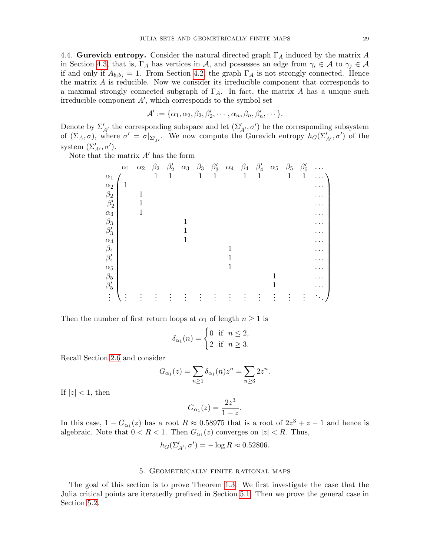<span id="page-28-1"></span>4.4. Gurevich entropy. Consider the natural directed graph  $\Gamma_A$  induced by the matrix A in Section [4.3,](#page-25-1) that is,  $\Gamma_A$  has vertices in A, and possesses an edge from  $\gamma_i \in A$  to  $\gamma_j \in A$ if and only if  $A_{b_i b_j} = 1$ . From Section [4.2,](#page-25-0) the graph  $\Gamma_A$  is not strongly connected. Hence the matrix A is reducible. Now we consider its irreducible component that corresponds to a maximal strongly connected subgraph of  $\Gamma_A$ . In fact, the matrix A has a unique such irreducible component  $A'$ , which corresponds to the symbol set

$$
\mathcal{A}':=\{\alpha_1,\alpha_2,\beta_2,\beta_2',\cdots,\alpha_n,\beta_n,\beta_n',\cdots\}.
$$

Denote by  $\Sigma'_{A'}$  the corresponding subspace and let  $(\Sigma'_{A'}, \sigma')$  be the corresponding subsystem of  $(\Sigma_A, \sigma)$ , where  $\sigma' = \sigma|_{\Sigma'_{A'}}$ . We now compute the Gurevich entropy  $h_G(\Sigma'_{A'}, \sigma')$  of the system  $(\Sigma'_{A'}, \sigma')$ .

Note that the matrix  $A'$  has the form

|            | $\alpha_1$ | $\alpha_2$ | $\beta_2$ | $\beta_2'$ | $\alpha_3$ | $\beta_3$ | $\beta_3'$ | $\alpha_4$ | $\beta_4$   | $\beta_4'$ | $\alpha_5$ | $\beta_5$    | $\beta'_5$   | .         |
|------------|------------|------------|-----------|------------|------------|-----------|------------|------------|-------------|------------|------------|--------------|--------------|-----------|
| $\alpha_1$ |            |            | 1         | 1          |            | 1         | 1          |            | $\mathbf 1$ | 1          |            | $\mathbf{1}$ | $\mathbf{1}$ | $\cdots$  |
| $\alpha_2$ | 1          |            |           |            |            |           |            |            |             |            |            |              |              | $\cdots$  |
| $\beta_2$  |            | 1          |           |            |            |           |            |            |             |            |            |              |              | .         |
| $\beta_2'$ |            | 1          |           |            |            |           |            |            |             |            |            |              |              | .         |
| $\alpha_3$ |            |            |           |            |            |           |            |            |             |            |            |              |              | $\cdot$ . |
| $\beta_3$  |            |            |           |            | 1          |           |            |            |             |            |            |              |              |           |
| $\beta_3'$ |            |            |           |            | 1          |           |            |            |             |            |            |              |              | $\cdots$  |
| $\alpha_4$ |            |            |           |            | 1          |           |            |            |             |            |            |              |              |           |
| $\beta_4$  |            |            |           |            |            |           |            |            |             |            |            |              |              | $\cdots$  |
| $\beta_4'$ |            |            |           |            |            |           |            |            |             |            |            |              |              | . .       |
| $\alpha_5$ |            |            |           |            |            |           |            | 1          |             |            |            |              |              | . .       |
| $\beta_5$  |            |            |           |            |            |           |            |            |             |            | 1          |              |              |           |
| $\beta'_5$ |            |            |           |            |            |           |            |            |             |            | 1          |              |              |           |
| $\vdots$   | $\bullet$  |            |           |            |            |           |            |            |             |            |            |              |              | $\bullet$ |

Then the number of first return loops at  $\alpha_1$  of length  $n \geq 1$  is

$$
\delta_{\alpha_1}(n) = \begin{cases} 0 & \text{if } n \le 2, \\ 2 & \text{if } n \ge 3. \end{cases}
$$

Recall Section [2.6](#page-9-2) and consider

$$
G_{\alpha_1}(z) = \sum_{n \ge 1} \delta_{\alpha_1}(n) z^n = \sum_{n \ge 3} 2z^n.
$$

If  $|z|$  < 1, then

$$
G_{\alpha_1}(z) = \frac{2z^3}{1-z}.
$$

In this case,  $1 - G_{\alpha_1}(z)$  has a root  $R \approx 0.58975$  that is a root of  $2z^3 + z - 1$  and hence is algebraic. Note that  $0 < R < 1$ . Then  $G_{\alpha_1}(z)$  converges on  $|z| < R$ . Thus,

$$
h_G(\Sigma'_{A'}, \sigma') = -\log R \approx 0.52806.
$$

# 5. Geometrically finite rational maps

<span id="page-28-0"></span>The goal of this section is to prove Theorem [1.3.](#page-2-1) We first investigate the case that the Julia critical points are iteratedly prefixed in Section [5.1.](#page-29-0) Then we prove the general case in Section [5.2.](#page-32-6)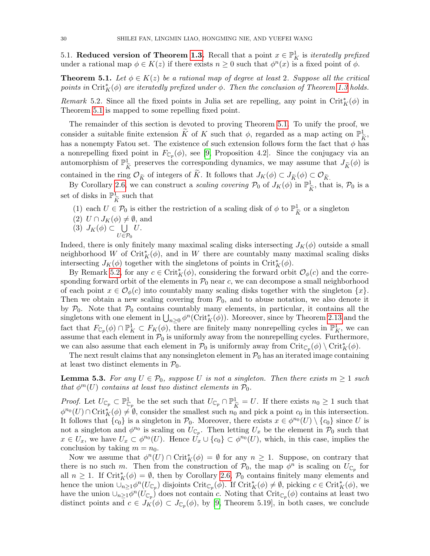<span id="page-29-0"></span>5.1. Reduced version of Theorem [1.3.](#page-2-1) Recall that a point  $x \in \mathbb{P}^1$  is *iteratedly prefixed* under a rational map  $\phi \in K(z)$  if there exists  $n \geq 0$  such that  $\phi^{n}(x)$  is a fixed point of  $\phi$ .

<span id="page-29-1"></span>**Theorem 5.1.** Let  $\phi \in K(z)$  be a rational map of degree at least 2. Suppose all the critical points in  $\mathrm{Crit}_K^*(\phi)$  are iteratedly prefixed under  $\phi$ . Then the conclusion of Theorem [1.3](#page-2-1) holds.

<span id="page-29-2"></span>Remark 5.2. Since all the fixed points in Julia set are repelling, any point in Crit<sup>\*</sup><sub>K</sub> $(\phi)$  in Theorem [5.1](#page-29-1) is mapped to some repelling fixed point.

The remainder of this section is devoted to proving Theorem [5.1.](#page-29-1) To unify the proof, we consider a suitable finite extension  $\widetilde{K}$  of K such that  $\phi$ , regarded as a map acting on  $\mathbb{P}^1_{\widetilde{K}}$ , has a nonempty Fatou set. The existence of such extension follows form the fact that  $\phi$  has a nonrepelling fixed point in  $F_{\mathbb{C}_p}(\phi)$ , see [\[9,](#page-33-8) Proposition 4.2]. Since the conjugacy via an automorphism of  $\mathbb{P}^1_{\hat{r}}$  $\overline{\widetilde{K}}$  preserves the corresponding dynamics, we may assume that  $J_{\widetilde{K}}(\phi)$  is contained in the ring  $\mathcal{O}_{\widetilde{K}}$  of integers of  $\widetilde{K}$ . It follows that  $J_K(\phi) \subset J_{\widetilde{K}}(\phi) \subset \mathcal{O}_{\widetilde{K}}$ .

By Corollary [2.6,](#page-6-1) we can construct a scaling covering  $\mathcal{P}_0$  of  $J_K(\phi)$  in  $\mathbb{P}^1_{\hat{\mathbf{k}}}$  $\frac{1}{\tilde{K}}$ , that is,  $\mathcal{P}_0$  is a set of disks in  $\mathbb{P}^1_{\hat{t}}$  $\frac{1}{\tilde{K}}$  such that

- (1) each  $U \in \mathcal{P}_0$  is either the restriction of a scaling disk of  $\phi$  to  $\mathbb{P}^1_{\tilde{t}}$  $\frac{1}{\tilde{K}}$  or a singleton
- (2)  $U \cap J_K(\phi) \neq \emptyset$ , and
- (3)  $J_K(\phi) \subset \bigcup$  $U$ .
- $U \in \mathcal{P}_0$

Indeed, there is only finitely many maximal scaling disks intersecting  $J_K(\phi)$  outside a small neighborhood W of  $\mathrm{Crit}_K^*(\phi)$ , and in W there are countably many maximal scaling disks intersecting  $J_K(\phi)$  together with the singletons of points in Crit $_K^*(\phi)$ .

By Remark [5.2,](#page-29-2) for any  $c \in \mathrm{Crit}_K^*(\phi)$ , considering the forward orbit  $\mathcal{O}_{\phi}(c)$  and the corresponding forward orbit of the elements in  $P_0$  near c, we can decompose a small neighborhood of each point  $x \in \mathcal{O}_{\phi}(c)$  into countably many scaling disks together with the singleton  $\{x\}$ . Then we obtain a new scaling covering from  $P_0$ , and to abuse notation, we also denote it by  $P_0$ . Note that  $P_0$  contains countably many elements, in particular, it contains all the singletons with one element in  $\bigcup_{n\geq 0} \phi^n(\mathrm{Crit}_K^*(\phi))$ . Moreover, since by Theorem [2.13](#page-9-0) and the fact that  $F_{\mathbb{C}_p}(\phi) \cap \mathbb{P}^1_K \subset F_K(\phi)$ , there are finitely many nonrepelling cycles in  $\mathbb{P}^1_K$ , we can assume that each element in  $P_0$  is uniformly away from the nonrepelling cycles. Furthermore, we can also assume that each element in  $\mathcal{P}_0$  is uniformly away from  $\mathrm{Crit}_{\mathbb{C}_p}(\phi) \setminus \mathrm{Crit}_K^*(\phi)$ .

The next result claims that any nonsingleton element in  $P_0$  has an iterated image containing at least two distinct elements in  $P_0$ .

<span id="page-29-3"></span>**Lemma 5.3.** For any  $U \in \mathcal{P}_0$ , suppose U is not a singleton. Then there exists  $m \geq 1$  such that  $\phi^m(U)$  contains at least two distinct elements in  $\mathcal{P}_0$ .

*Proof.* Let  $U_{\mathbb{C}_p} \subset \mathbb{P}^1_{\mathbb{C}_p}$  be the set such that  $U_{\mathbb{C}_p} \cap \mathbb{P}^1_{\tilde{K}} = U$ . If there exists  $n_0 \ge 1$  such that  $\lim_{\delta \to 0} (U) \cap C_{\mathbb{R}}$  if  $\mathbb{R}^d$  consider the smallest such  $\mathbb{R}^d$  and pick  $\phi^{n_0}(U) \cap \mathrm{Crit}_K^*(\phi) \neq \emptyset$ , consider the smallest such  $n_0$  and pick a point  $c_0$  in this intersection. It follows that  ${c_0}$  is a singleton in  $\mathcal{P}_0$ . Moreover, there exists  $x \in \phi^{n_0}(U) \setminus {c_0}$  since U is not a singleton and  $\phi^{n_0}$  is scaling on  $U_{\mathbb{C}_p}$ . Then letting  $U_x$  be the element in  $\mathcal{P}_0$  such that  $x \in U_x$ , we have  $U_x \subset \phi^{n_0}(U)$ . Hence  $U_x \cup \{c_0\} \subset \phi^{n_0}(U)$ , which, in this case, implies the conclusion by taking  $m = n_0$ .

Now we assume that  $\phi^n(U) \cap \mathrm{Crit}_K^*(\phi) = \emptyset$  for any  $n \geq 1$ . Suppose, on contrary that there is no such m. Then from the construction of  $\mathcal{P}_0$ , the map  $\phi^n$  is scaling on  $U_{\mathbb{C}_p}$  for all  $n \geq 1$ . If Crit<sup>\*</sup><sub>K</sub> $(\phi) = \emptyset$ , then by Corollary [2.6,](#page-6-1)  $\mathcal{P}_0$  contains finitely many elements and hence the union  $\bigcup_{n\geq 1}\phi^n(U_{\mathbb{C}_p})$  disjoints  $\mathrm{Crit}_{\mathbb{C}_p}(\phi)$ . If  $\mathrm{Crit}_K^*(\phi)\neq\emptyset$ , picking  $c\in\mathrm{Crit}_K^*(\phi)$ , we have the union  $\cup_{n\geq 1}\phi^n(U_{\mathbb{C}_p})$  does not contain c. Noting that  $\mathrm{Crit}_{\mathbb{C}_p}(\phi)$  contains at least two distinct points and  $c \in J_K(\phi) \subset J_{\mathbb{C}_p}(\phi)$ , by [\[9,](#page-33-8) Theorem 5.19], in both cases, we conclude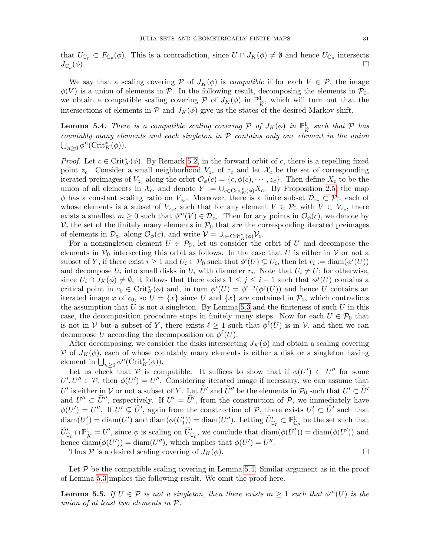that  $U_{\mathbb{C}_p} \subset F_{\mathbb{C}_p}(\phi)$ . This is a contradiction, since  $U \cap J_K(\phi) \neq \emptyset$  and hence  $U_{\mathbb{C}_p}$  intersects  $J_{\mathbb{C}_p}(\phi)$ .  $(\phi)$ .

We say that a scaling covering P of  $J_K(\phi)$  is *compatible* if for each  $V \in \mathcal{P}$ , the image  $\phi(V)$  is a union of elements in P. In the following result, decomposing the elements in  $\mathcal{P}_0$ , we obtain a compatible scaling covering  $P$  of  $J_K(\phi)$  in  $\mathbb{P}^1_{\widetilde{\kappa}}$ , which will turn out that the intersections of elements in  $P$  and  $J_K(\phi)$  give us the states of the desired Markov shift.

<span id="page-30-0"></span>**Lemma 5.4.** There is a compatible scaling covering  $P$  of  $J_K(\phi)$  in  $\mathbb{P}^1_{\widetilde{\mathcal{K}}}$  such that  $P$  has  $\frac{1}{K}$  countably many elements and each singleton in P contains only one element in the union  $\bigcup_{n\geq 0} \phi^n(\mathrm{Crit}_K^*(\phi)).$ 

*Proof.* Let  $c \in \operatorname{Crit}_K^*(\phi)$ . By Remark [5.2,](#page-29-2) in the forward orbit of c, there is a repelling fixed point  $z_c$ . Consider a small neighborhood  $V_{z_c}$  of  $z_c$  and let  $\mathcal{X}_c$  be the set of corresponding iterated preimages of  $V_{z_c}$  along the orbit  $\mathcal{O}_{\phi}(c) = \{c, \phi(c), \cdots, z_c\}$ . Then define  $X_c$  to be the union of all elements in  $\mathcal{X}_c$ , and denote  $Y := \cup_{c \in \text{Crit}_K^*(\phi)} X_c$ . By Proposition [2.5,](#page-6-0) the map  $\phi$  has a constant scaling ratio on  $V_{z_c}$ . Moreover, there is a finite subset  $\mathcal{D}_{z_c} \subset \mathcal{P}_0$ , each of whose elements is a subset of  $V_{z_c}$ , such that for any element  $V \in \mathcal{P}_0$  with  $V \subset V_{z_c}$ , there exists a smallest  $m \geq 0$  such that  $\phi^m(V) \in \mathcal{D}_{z_c}$ . Then for any points in  $\mathcal{O}_{\phi}(c)$ , we denote by  $V_c$  the set of the finitely many elements in  $\mathcal{P}_0$  that are the corresponding iterated preimages of elements in  $\mathcal{D}_{z_c}$  along  $\mathcal{O}_{\phi}(c)$ , and write  $\mathcal{V} = \cup_{c \in \text{Crit}_K^*(\phi)} \mathcal{V}_c$ .

For a nonsingleton element  $U \in \mathcal{P}_0$ , let us consider the orbit of U and decompose the elements in  $\mathcal{P}_0$  intersecting this orbit as follows. In the case that U is either in V or not a subset of Y, if there exist  $i \geq 1$  and  $U_i \in \mathcal{P}_0$  such that  $\phi^i(U) \subsetneq U_i$ , then let  $r_i := \text{diam}(\phi^i(U))$ and decompose  $U_i$  into small disks in  $U_i$  with diameter  $r_i$ . Note that  $U_i \neq U$ ; for otherwise, since  $U_i \cap J_K(\phi) \neq \emptyset$ , it follows that there exists  $1 \leq j \leq i-1$  such that  $\phi^j(U)$  contains a critical point in  $c_0 \in \text{Crit}_{K}^*(\phi)$  and, in turn  $\phi^i(U) = \phi^{i-j}(\phi^j(U))$  and hence U contains an iterated image x of  $c_0$ , so  $U = \{x\}$  since U and  $\{x\}$  are contained in  $\mathcal{P}_0$ , which contradicts the assumption that  $U$  is not a singleton. By Lemma [5.3](#page-29-3) and the finiteness of such  $U$  in this case, the decomposition procedure stops in finitely many steps. Now for each  $U \in \mathcal{P}_0$  that is not in V but a subset of Y, there exists  $\ell \geq 1$  such that  $\phi^{\ell}(U)$  is in V, and then we can decompose U according the decomposition on  $\phi^{\ell}(U)$ .

After decomposing, we consider the disks intersecting  $J_K(\phi)$  and obtain a scaling covering P of  $J_K(\phi)$ , each of whose countably many elements is either a disk or a singleton having element in  $\bigcup_{n\geq 0} \phi^n(\mathrm{Crit}_K^*(\phi)).$ 

Let us check that P is compatible. It suffices to show that if  $\phi(U') \subset U''$  for some  $U', U'' \in \mathcal{P}$ , then  $\phi(U') = U''$ . Considering iterated image if necessary, we can assume that U' is either in V or not a subset of Y. Let  $\tilde{U}'$  and  $\tilde{U}''$  be the elements in  $\mathcal{P}_0$  such that  $U' \subset \tilde{U}'$ and  $U'' \subset \tilde{U}''$ , respectively. If  $U' = \tilde{U}'$ , from the construction of  $P$ , we immediately have  $\phi(U') = U''$ . If  $U' \subsetneq \tilde{U}'$ , again from the construction of P, there exists  $U'_1 \subset \tilde{U}'$  such that  $\text{diam}(U_1') = \text{diam}(U')$  and  $\text{diam}(\phi(U_1')) = \text{diam}(U'')$ . Letting  $\widetilde{U}'_{\mathbb{C}_p} \subset \mathbb{P}^1_{\mathbb{C}_p}$  be the set such that  $\widetilde{U}'_{\mathbb{C}_p} \cap \mathbb{P}^1_{\widetilde{K}} = U'$ , since  $\phi$  is scaling on  $\widetilde{U}'_{\mathbb{C}_p}$ , we conclude that  $\text{diam}(\phi(U'_1)) = \text{diam}(\phi(U'))$  and hence  $\text{diam}(\phi(U')) = \text{diam}(U'')$ , which implies that  $\phi(U') = U''$ .

Thus P is a desired scaling covering of  $J_K(\phi)$ .

Let  $P$  be the compatible scaling covering in Lemma [5.4.](#page-30-0) Similar argument as in the proof of Lemma [5.3](#page-29-3) implies the following result. We omit the proof here.

<span id="page-30-1"></span>**Lemma 5.5.** If  $U \in \mathcal{P}$  is not a singleton, then there exists  $m \geq 1$  such that  $\phi^m(U)$  is the union of at least two elements in P.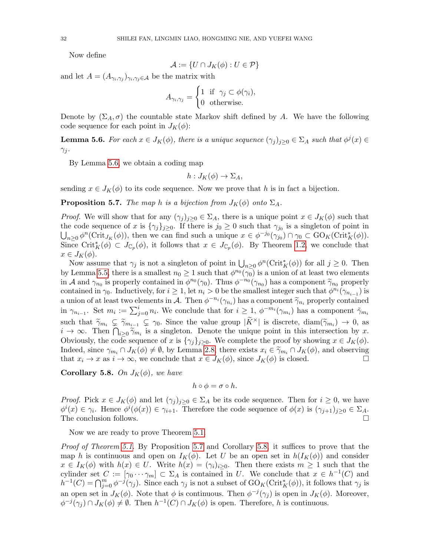Now define

$$
\mathcal{A} := \{ U \cap J_K(\phi) : U \in \mathcal{P} \}
$$

and let  $A = (A_{\gamma_i, \gamma_j})_{\gamma_i, \gamma_j \in \mathcal{A}}$  be the matrix with

$$
A_{\gamma_i, \gamma_j} = \begin{cases} 1 & \text{if } \gamma_j \subset \phi(\gamma_i), \\ 0 & \text{otherwise.} \end{cases}
$$

Denote by  $(\Sigma_A, \sigma)$  the countable state Markov shift defined by A. We have the following code sequence for each point in  $J_K(\phi)$ :

<span id="page-31-0"></span>**Lemma 5.6.** For each  $x \in J_K(\phi)$ , there is a unique sequence  $(\gamma_j)_{j \geq 0} \in \Sigma_A$  such that  $\phi^j(x) \in$  $\gamma_j$ .

By Lemma [5.6,](#page-31-0) we obtain a coding map

$$
h:J_K(\phi)\to\Sigma_A,
$$

sending  $x \in J_K(\phi)$  to its code sequence. Now we prove that h is in fact a bijection.

<span id="page-31-1"></span>**Proposition 5.7.** The map h is a bijection from  $J_K(\phi)$  onto  $\Sigma_A$ .

*Proof.* We will show that for any  $(\gamma_j)_{j\geq 0} \in \Sigma_A$ , there is a unique point  $x \in J_K(\phi)$  such that the code sequence of x is  $\{\gamma_j\}_{j\geq 0}$ . If there is  $j_0 \geq 0$  such that  $\gamma_{j_0}$  is a singleton of point in  $\bigcup_{n\geq 0} \phi^n(\mathrm{Crit}_{J_K}(\phi))$ , then we can find such a unique  $x \in \phi^{-j_0}(\gamma_{j_0}) \cap \gamma_0 \subset \mathrm{GO}_K(\mathrm{Crit}_K^*(\phi)).$ Since Crit<sub>K</sub><sup>( $\phi$ )</sup> ⊂  $J_{\mathbb{C}_p}(\phi)$ , it follows that  $x \in J_{\mathbb{C}_p}(\phi)$ . By Theorem [1.2,](#page-2-0) we conclude that  $x \in J_K(\phi)$ .

Now assume that  $\gamma_j$  is not a singleton of point in  $\bigcup_{n\geq 0} \phi^n(\mathrm{Crit}_K^*(\phi))$  for all  $j\geq 0$ . Then by Lemma [5.5,](#page-30-1) there is a smallest  $n_0 \ge 1$  such that  $\phi^{n_0}(\gamma_0)$  is a union of at least two elements in A and  $\gamma_{n_0}$  is properly contained in  $\phi^{n_0}(\gamma_0)$ . Thus  $\phi^{-n_0}(\gamma_{n_0})$  has a component  $\widetilde{\gamma}_{n_0}$  properly contained in  $\gamma_{n_0}$ . Inductively, for  $i > 1$  let  $n_i > 0$  be the smallest integer such that  $\phi^{n_i$ contained in  $\gamma_0$ . Inductively, for  $i \geq 1$ , let  $n_i > 0$  be the smallest integer such that  $\phi^{n_i}(\gamma_{n_{i-1}})$  is a union of at least two elements in A. Then  $\phi^{-n_i}(\gamma_{n_i})$  has a component  $\widetilde{\gamma}_{n_i}$  properly contained<br>in  $\psi$ in  $\gamma_{n_{i-1}}$ . Set  $m_i := \sum_{j=0}^i n_i$ . We conclude that for  $i \geq 1$ ,  $\phi^{-m_i}(\gamma_{m_i})$  has a component  $\tilde{\gamma}_{m_i}$ such that  $\widetilde{\gamma}_{m_i} \subsetneq \widetilde{\gamma}_{m_{i-1}} \subsetneq \gamma_0$ . Since the value group  $|\widetilde{K}^{\times}|$  is discrete,  $\text{diam}(\widetilde{\gamma}_{m_i}) \to 0$ , as  $i \to \infty$ . Then  $\bigcap_{i\geq 0} \widetilde{\gamma}_{m_i}$  is a singleton. Denote the unique point in this intersection by x.<br>Obviously the sede securing of x is for  $\bigcup_{i=1}^{\infty}$ . We seem lets the proof by showing  $x \in I_{\infty}(\Lambda)$ . Obviously, the code sequence of x is  $\{\gamma_i\}_{i>0}$ . We complete the proof by showing  $x \in J_K(\phi)$ . Indeed, since  $\gamma_{m_i} \cap J_K(\phi) \neq \emptyset$ , by Lemma [2.8,](#page-8-0) there exists  $x_i \in \widetilde{\gamma}_{m_i} \cap J_K(\phi)$ , and observing that  $x_i \to x$  as  $i \to \infty$  we conclude that  $x \in J_K(\phi)$  is closed that  $x_i \to x$  as  $i \to \infty$ , we conclude that  $x \in J_K(\phi)$ , since  $J_K(\phi)$  is closed.

<span id="page-31-2"></span>**Corollary 5.8.** On  $J_K(\phi)$ , we have

$$
h\circ\phi=\sigma\circ h.
$$

*Proof.* Pick  $x \in J_K(\phi)$  and let  $(\gamma_j)_{j\geq 0} \in \Sigma_A$  be its code sequence. Then for  $i \geq 0$ , we have  $\phi^i(x) \in \gamma_i$ . Hence  $\phi^i(\phi(x)) \in \gamma_{i+1}$ . Therefore the code sequence of  $\phi(x)$  is  $(\gamma_{j+1})_{j\geq 0} \in \Sigma_A$ . The conclusion follows.  $\Box$ 

Now we are ready to prove Theorem [5.1.](#page-29-1)

Proof of Theorem [5.1.](#page-29-1) By Proposition [5.7](#page-31-1) and Corollary [5.8,](#page-31-2) it suffices to prove that the map h is continuous and open on  $I_K(\phi)$ . Let U be an open set in  $h(I_K(\phi))$  and consider  $x \in I_K(\phi)$  with  $h(x) \in U$ . Write  $h(x) = (\gamma_i)_{i \geq 0}$ . Then there exists  $m \geq 1$  such that the cylinder set  $C := [\gamma_0 \cdots \gamma_m] \subset \Sigma_A$  is contained in U. We conclude that  $x \in h^{-1}(C)$  and  $h^{-1}(C) = \bigcap_{j=0}^m \phi^{-j}(\gamma_j)$ . Since each  $\gamma_j$  is not a subset of  $\mathrm{GO}_K(\mathrm{Crit}_K^*(\phi))$ , it follows that  $\gamma_j$  is an open set in  $J_K(\phi)$ . Note that  $\phi$  is continuous. Then  $\phi^{-j}(\gamma_j)$  is open in  $J_K(\phi)$ . Moreover,  $\phi^{-j}(\gamma_j) \cap J_K(\phi) \neq \emptyset$ . Then  $h^{-1}(C) \cap J_K(\phi)$  is open. Therefore, h is continuous.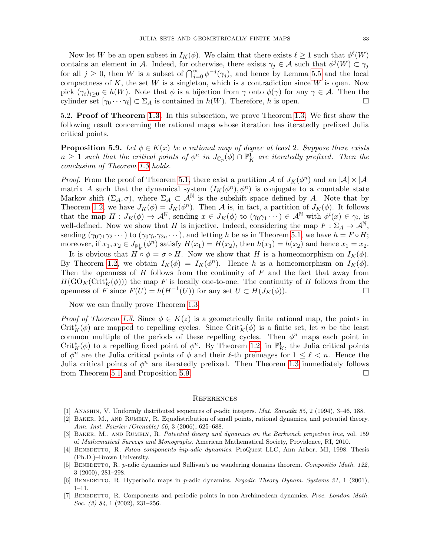Now let W be an open subset in  $I_K(\phi)$ . We claim that there exists  $\ell \geq 1$  such that  $\phi^{\ell}(W)$ contains an element in A. Indeed, for otherwise, there exists  $\gamma_j \in A$  such that  $\phi^j(W) \subset \gamma_j$ for all  $j \geq 0$ , then W is a subset of  $\bigcap_{j=0}^{\infty} \phi^{-j}(\gamma_j)$ , and hence by Lemma [5.5](#page-30-1) and the local compactness of  $K$ , the set  $W$  is a singleton, which is a contradiction since  $W$  is open. Now pick  $(\gamma_i)_{i\geq 0} \in h(W)$ . Note that  $\phi$  is a bijection from  $\gamma$  onto  $\phi(\gamma)$  for any  $\gamma \in \mathcal{A}$ . Then the cylinder set  $[\gamma_0 \cdots \gamma_\ell] \subset \Sigma_A$  is contained in  $h(W)$ . Therefore, h is open.

<span id="page-32-6"></span>5.2. Proof of Theorem [1.3.](#page-2-1) In this subsection, we prove Theorem [1.3.](#page-2-1) We first show the following result concerning the rational maps whose iteration has iteratedly prefixed Julia critical points.

<span id="page-32-9"></span>**Proposition 5.9.** Let  $\phi \in K(x)$  be a rational map of degree at least 2. Suppose there exists  $n \geq 1$  such that the critical points of  $\phi^n$  in  $J_{\mathbb{C}_p}(\phi) \cap \mathbb{P}^1_K$  are iteratedly prefixed. Then the conclusion of Theorem [1.3](#page-2-1) holds.

*Proof.* From the proof of Theorem [5.1,](#page-29-1) there exist a partition A of  $J_K(\phi^n)$  and an  $|\mathcal{A}| \times |\mathcal{A}|$ matrix A such that the dynamical system  $(I_K(\phi^n), \phi^n)$  is conjugate to a countable state Markov shift  $(\Sigma_A, \sigma)$ , where  $\Sigma_A \subset \mathcal{A}^{\mathbb{N}}$  is the subshift space defined by A. Note that by Theorem [1.2,](#page-2-0) we have  $J_K(\phi) = J_K(\phi^n)$ . Then A is, in fact, a partition of  $J_K(\phi)$ . It follows that the map  $H: J_K(\phi) \to \mathcal{A}^{\mathbb{N}}$ , sending  $x \in J_K(\phi)$  to  $(\gamma_0 \gamma_1 \cdots) \in \mathcal{A}^{\mathbb{N}}$  with  $\phi^i(x) \in \gamma_i$ , is well-defined. Now we show that H is injective. Indeed, considering the map  $F : \Sigma_A \to \mathcal{A}^{\mathbb{N}},$ sending  $(\gamma_0 \gamma_1 \gamma_2 \cdots)$  to  $(\gamma_0 \gamma_n \gamma_{2n} \cdots)$ , and letting h be as in Theorem [5.1,](#page-29-1) we have  $h = F \circ H$ ; moreover, if  $x_1, x_2 \in J_{\mathbb{P}^1_K}(\phi^n)$  satisfy  $H(x_1) = H(x_2)$ , then  $h(x_1) = h(x_2)$  and hence  $x_1 = x_2$ .

It is obvious that  $H \circ \phi = \sigma \circ H$ . Now we show that H is a homeomorphism on  $I_K(\phi)$ . By Theorem [1.2,](#page-2-0) we obtain  $I_K(\phi) = I_K(\phi^n)$ . Hence h is a homeomorphism on  $I_K(\phi)$ . Then the openness of  $H$  follows from the continuity of  $F$  and the fact that away from  $H(\text{GO}_K(\text{Crit}_K^*(\phi)))$  the map F is locally one-to-one. The continuity of H follows from the openness of F since  $F(U) = h(H^{-1}(U))$  for any set  $U \subset H(J_K(\phi))$ .

Now we can finally prove Theorem [1.3.](#page-2-1)

*Proof of Theorem [1.3.](#page-2-1)* Since  $\phi \in K(z)$  is a geometrically finite rational map, the points in Crit<sup>\*</sup><sub>K</sub>( $\phi$ ) are mapped to repelling cycles. Since Crit<sup>\*</sup><sub>K</sub>( $\phi$ ) is a finite set, let n be the least common multiple of the periods of these repelling cycles. Then  $\phi^n$  maps each point in Crit<sup>\*</sup><sub>K</sub>( $\phi$ ) to a repelling fixed point of  $\phi^n$ . By Theorem [1.2,](#page-2-0) in  $\mathbb{P}^1_K$ , the Julia critical points of  $\phi^n$  are the Julia critical points of  $\phi$  and their  $\ell$ -th preimages for  $1 \leq \ell < n$ . Hence the Julia critical points of  $\phi^n$  are iteratedly prefixed. Then Theorem [1.3](#page-2-1) immediately follows from Theorem [5.1](#page-29-1) and Proposition [5.9.](#page-32-9)

### <span id="page-32-0"></span>**REFERENCES**

- <span id="page-32-2"></span>[1] Anashin, V. Uniformly distributed sequences of p-adic integers. Mat. Zametki 55, 2 (1994), 3–46, 188.
- <span id="page-32-3"></span>[2] Baker, M., and Rumely, R. Equidistribution of small points, rational dynamics, and potential theory. Ann. Inst. Fourier (Grenoble) 56, 3 (2006), 625–688.
- <span id="page-32-8"></span>[3] BAKER, M., AND RUMELY, R. Potential theory and dynamics on the Berkovich projective line, vol. 159 of Mathematical Surveys and Monographs. American Mathematical Society, Providence, RI, 2010.
- <span id="page-32-1"></span>[4] BENEDETTO, R. Fatou components inp-adic dynamics. ProQuest LLC, Ann Arbor, MI, 1998. Thesis (Ph.D.)–Brown University.
- <span id="page-32-4"></span>[5] BENEDETTO, R. p-adic dynamics and Sullivan's no wandering domains theorem. Compositio Math. 122, 3 (2000), 281–298.
- <span id="page-32-5"></span>[6] BENEDETTO, R. Hyperbolic maps in p-adic dynamics. Ergodic Theory Dynam. Systems 21, 1 (2001), 1–11.
- <span id="page-32-7"></span>[7] BENEDETTO, R. Components and periodic points in non-Archimedean dynamics. Proc. London Math. Soc. (3) 84, 1 (2002), 231–256.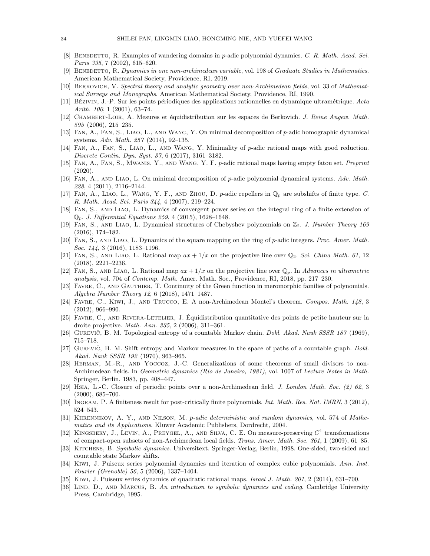- <span id="page-33-22"></span>[8] BENEDETTO, R. Examples of wandering domains in p-adic polynomial dynamics. C. R. Math. Acad. Sci. Paris 335, 7 (2002), 615–620.
- <span id="page-33-8"></span>[9] BENEDETTO, R. Dynamics in one non-archimedean variable, vol. 198 of Graduate Studies in Mathematics. American Mathematical Society, Providence, RI, 2019.
- <span id="page-33-21"></span>[10] Berkovich, V. Spectral theory and analytic geometry over non-Archimedean fields, vol. 33 of Mathematical Surveys and Monographs. American Mathematical Society, Providence, RI, 1990.
- <span id="page-33-7"></span>[11] BÉZIVIN, J.-P. Sur les points périodiques des applications rationnelles en dynamique ultramétrique. Acta Arith. 100, 1 (2001), 63–74.
- <span id="page-33-5"></span>[12] CHAMBERT-LOIR, A. Mesures et équidistribution sur les espaces de Berkovich. J. Reine Angew. Math. 595 (2006), 215–235.
- <span id="page-33-11"></span>[13] Fan, A., Fan, S., Liao, L., and Wang, Y. On minimal decomposition of p-adic homographic dynamical systems. Adv. Math. 257 (2014), 92–135.
- <span id="page-33-12"></span>[14] Fan, A., Fan, S., Liao, L., and Wang, Y. Minimality of p-adic rational maps with good reduction. Discrete Contin. Dyn. Syst. 37, 6 (2017), 3161–3182.
- <span id="page-33-20"></span>[15] Fan, A., Fan, S., Mwanis, Y., and Wang, Y. F. p-adic rational maps having empty fatou set. Preprint (2020).
- <span id="page-33-9"></span>[16] Fan, A., and Liao, L. On minimal decomposition of p-adic polynomial dynamical systems. Adv. Math. 228, 4 (2011), 2116–2144.
- <span id="page-33-15"></span>[17] FAN, A., LIAO, L., WANG, Y. F., AND ZHOU, D. p-adic repellers in  $\mathbb{Q}_p$  are subshifts of finite type. C. R. Math. Acad. Sci. Paris 344, 4 (2007), 219–224.
- <span id="page-33-10"></span>[18] Fan, S., and Liao, L. Dynamics of convergent power series on the integral ring of a finite extension of  $\mathbb{Q}_p$ . J. Differential Equations 259, 4 (2015), 1628–1648.
- <span id="page-33-13"></span>[19] FAN, S., AND LIAO, L. Dynamical structures of Chebyshev polynomials on  $\mathbb{Z}_2$ . J. Number Theory 169 (2016), 174–182.
- <span id="page-33-14"></span>[20] Fan, S., and Liao, L. Dynamics of the square mapping on the ring of p-adic integers. Proc. Amer. Math. Soc. 144, 3 (2016), 1183-1196.
- <span id="page-33-16"></span>[21] FAN, S., AND LIAO, L. Rational map  $ax + 1/x$  on the projective line over  $\mathbb{Q}_2$ . Sci. China Math. 61, 12 (2018), 2221–2236.
- <span id="page-33-17"></span>[22] FAN, S., AND LIAO, L. Rational map  $ax + 1/x$  on the projective line over  $\mathbb{Q}_p$ . In Advances in ultrametric analysis, vol. 704 of Contemp. Math. Amer. Math. Soc., Providence, RI, 2018, pp. 217–230.
- <span id="page-33-28"></span>[23] Favre, C., and Gauthier, T. Continuity of the Green function in meromorphic families of polynomials. Algebra Number Theory 12, 6 (2018), 1471–1487.
- <span id="page-33-2"></span>[24] Favre, C., Kiwi, J., and Trucco, E. A non-Archimedean Montel's theorem. Compos. Math. 148, 3 (2012), 966–990.
- <span id="page-33-6"></span>[25] Favre, C., and Rivera-Letelier, J. Equidistribution quantitative des points de petite hauteur sur la ´ droite projective. Math. Ann. 335, 2 (2006), 311–361.
- <span id="page-33-25"></span>[26] GUREVIČ, B. M. Topological entropy of a countable Markov chain. *Dokl. Akad. Nauk SSSR 187* (1969), 715–718.
- <span id="page-33-26"></span>[27] GUREVIC, B. M. Shift entropy and Markov measures in the space of paths of a countable graph. *Dokl.* Akad. Nauk SSSR 192 (1970), 963–965.
- <span id="page-33-0"></span>[28] Herman, M.-R., and Yoccoz, J.-C. Generalizations of some theorems of small divisors to non-Archimedean fields. In Geometric dynamics (Rio de Janeiro, 1981), vol. 1007 of Lecture Notes in Math. Springer, Berlin, 1983, pp. 408–447.
- <span id="page-33-1"></span>[29] Hsia, L.-C. Closure of periodic points over a non-Archimedean field. J. London Math. Soc. (2) 62, 3 (2000), 685–700.
- <span id="page-33-27"></span>[30] INGRAM, P. A finiteness result for post-critically finite polynomials. Int. Math. Res. Not. IMRN, 3 (2012), 524–543.
- <span id="page-33-18"></span>[31] KHRENNIKOV, A. Y., AND NILSON, M. p-adic deterministic and random dynamics, vol. 574 of Mathematics and its Applications. Kluwer Academic Publishers, Dordrecht, 2004.
- <span id="page-33-19"></span>[32] KINGSBERY, J., LEVIN, A., PREYGEL, A., AND SILVA, C. E. On measure-preserving  $C^1$  transformations of compact-open subsets of non-Archimedean local fields. Trans. Amer. Math. Soc. 361, 1 (2009), 61–85.
- <span id="page-33-23"></span>[33] KITCHENS, B. Symbolic dynamics. Universitext. Springer-Verlag, Berlin, 1998. One-sided, two-sided and countable state Markov shifts.
- <span id="page-33-3"></span>[34] Kiwi, J. Puiseux series polynomial dynamics and iteration of complex cubic polynomials. Ann. Inst. Fourier (Grenoble) 56, 5 (2006), 1337–1404.
- <span id="page-33-4"></span>[35] Kiwi, J. Puiseux series dynamics of quadratic rational maps. Israel J. Math. 201, 2 (2014), 631–700.
- <span id="page-33-24"></span>[36] LIND, D., AND MARCUS, B. An introduction to symbolic dynamics and coding. Cambridge University Press, Cambridge, 1995.